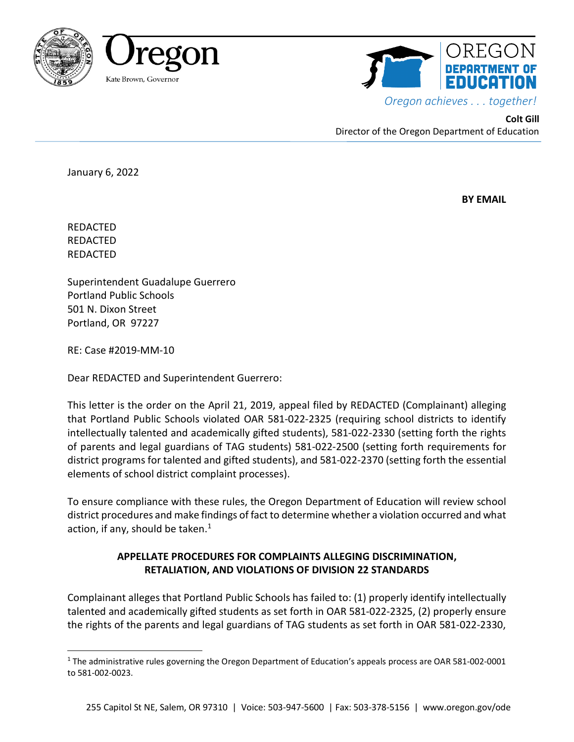



**Colt Gill** Director of the Oregon Department of Education

January 6, 2022

 **BY EMAIL** 

REDACTED REDACTED REDACTED

Superintendent Guadalupe Guerrero Portland Public Schools 501 N. Dixon Street Portland, OR 97227

RE: Case #2019-MM-10

Dear REDACTED and Superintendent Guerrero:

This letter is the order on the April 21, 2019, appeal filed by REDACTED (Complainant) alleging that Portland Public Schools violated OAR 581-022-2325 (requiring school districts to identify intellectually talented and academically gifted students), 581-022-2330 (setting forth the rights of parents and legal guardians of TAG students) 581-022-2500 (setting forth requirements for district programs for talented and gifted students), and 581-022-2370 (setting forth the essential elements of school district complaint processes).

To ensure compliance with these rules, the Oregon Department of Education will review school district procedures and make findings of fact to determine whether a violation occurred and what action, if any, should be taken. $<sup>1</sup>$  $<sup>1</sup>$  $<sup>1</sup>$ </sup>

# **APPELLATE PROCEDURES FOR COMPLAINTS ALLEGING DISCRIMINATION, RETALIATION, AND VIOLATIONS OF DIVISION 22 STANDARDS**

Complainant alleges that Portland Public Schools has failed to: (1) properly identify intellectually talented and academically gifted students as set forth in OAR 581-022-2325, (2) properly ensure the rights of the parents and legal guardians of TAG students as set forth in OAR 581-022-2330,

<span id="page-0-0"></span><sup>&</sup>lt;sup>1</sup> The administrative rules governing the Oregon Department of Education's appeals process are OAR 581-002-0001 to 581-002-0023.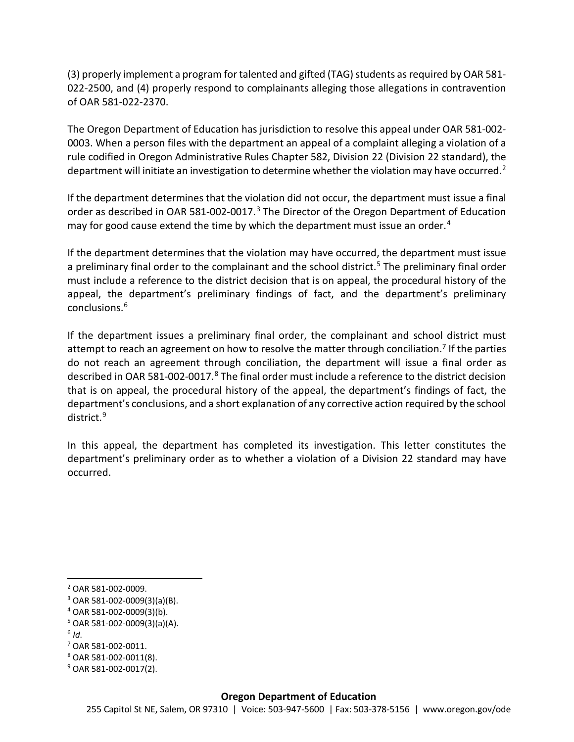(3) properly implement a program for talented and gifted (TAG) students asrequired by OAR 581- 022-2500, and (4) properly respond to complainants alleging those allegations in contravention of OAR 581-022-2370.

The Oregon Department of Education has jurisdiction to resolve this appeal under OAR 581-002- 0003. When a person files with the department an appeal of a complaint alleging a violation of a rule codified in Oregon Administrative Rules Chapter 582, Division 22 (Division 22 standard), the department will initiate an investigation to determine whether the violation may have occurred.<sup>[2](#page-1-0)</sup>

If the department determines that the violation did not occur, the department must issue a final order as described in OAR 581-002-0017.<sup>[3](#page-1-1)</sup> The Director of the Oregon Department of Education may for good cause extend the time by which the department must issue an order.<sup>[4](#page-1-2)</sup>

If the department determines that the violation may have occurred, the department must issue a preliminary final order to the complainant and the school district.<sup>[5](#page-1-3)</sup> The preliminary final order must include a reference to the district decision that is on appeal, the procedural history of the appeal, the department's preliminary findings of fact, and the department's preliminary conclusions.[6](#page-1-4)

If the department issues a preliminary final order, the complainant and school district must attempt to reach an agreement on how to resolve the matter through conciliation.<sup>[7](#page-1-5)</sup> If the parties do not reach an agreement through conciliation, the department will issue a final order as described in OAR 5[8](#page-1-6)1-002-0017.<sup>8</sup> The final order must include a reference to the district decision that is on appeal, the procedural history of the appeal, the department's findings of fact, the department's conclusions, and a short explanation of any corrective action required by the school district.[9](#page-1-7)

In this appeal, the department has completed its investigation. This letter constitutes the department's preliminary order as to whether a violation of a Division 22 standard may have occurred.

- <span id="page-1-3"></span> $5$  OAR 581-002-0009(3)(a)(A).
- <span id="page-1-4"></span> $6$  *Id.*

<span id="page-1-6"></span><sup>8</sup> OAR 581-002-0011(8).

<span id="page-1-0"></span> <sup>2</sup> OAR 581-002-0009.

<span id="page-1-1"></span> $3$  OAR 581-002-0009(3)(a)(B).

<span id="page-1-2"></span><sup>4</sup> OAR 581-002-0009(3)(b).

<span id="page-1-5"></span><sup>7</sup> OAR 581-002-0011.

<span id="page-1-7"></span><sup>9</sup> OAR 581-002-0017(2).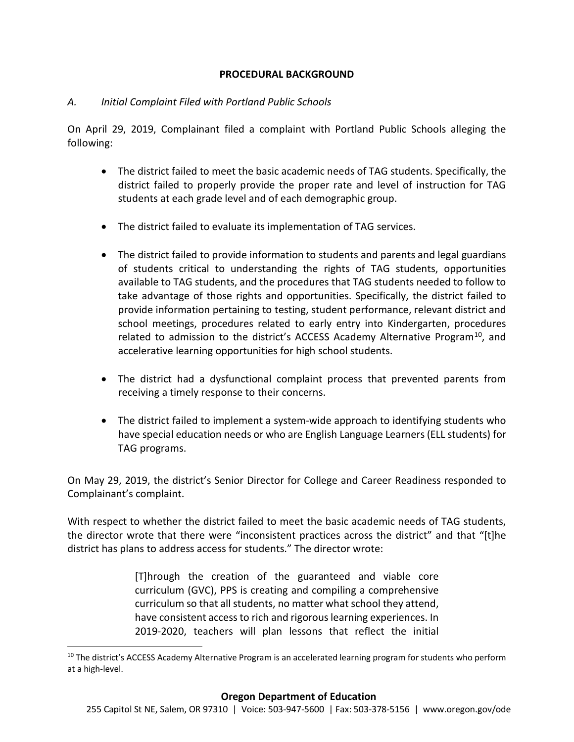### **PROCEDURAL BACKGROUND**

## *A. Initial Complaint Filed with Portland Public Schools*

On April 29, 2019, Complainant filed a complaint with Portland Public Schools alleging the following:

- The district failed to meet the basic academic needs of TAG students. Specifically, the district failed to properly provide the proper rate and level of instruction for TAG students at each grade level and of each demographic group.
- The district failed to evaluate its implementation of TAG services.
- The district failed to provide information to students and parents and legal guardians of students critical to understanding the rights of TAG students, opportunities available to TAG students, and the procedures that TAG students needed to follow to take advantage of those rights and opportunities. Specifically, the district failed to provide information pertaining to testing, student performance, relevant district and school meetings, procedures related to early entry into Kindergarten, procedures related to admission to the district's ACCESS Academy Alternative Program<sup>[10](#page-2-0)</sup>, and accelerative learning opportunities for high school students.
- The district had a dysfunctional complaint process that prevented parents from receiving a timely response to their concerns.
- The district failed to implement a system-wide approach to identifying students who have special education needs or who are English Language Learners (ELL students) for TAG programs.

On May 29, 2019, the district's Senior Director for College and Career Readiness responded to Complainant's complaint.

With respect to whether the district failed to meet the basic academic needs of TAG students, the director wrote that there were "inconsistent practices across the district" and that "[t]he district has plans to address access for students." The director wrote:

> [T]hrough the creation of the guaranteed and viable core curriculum (GVC), PPS is creating and compiling a comprehensive curriculum so that all students, no matter what school they attend, have consistent access to rich and rigorous learning experiences. In 2019-2020, teachers will plan lessons that reflect the initial

<span id="page-2-0"></span><sup>&</sup>lt;sup>10</sup> The district's ACCESS Academy Alternative Program is an accelerated learning program for students who perform at a high-level.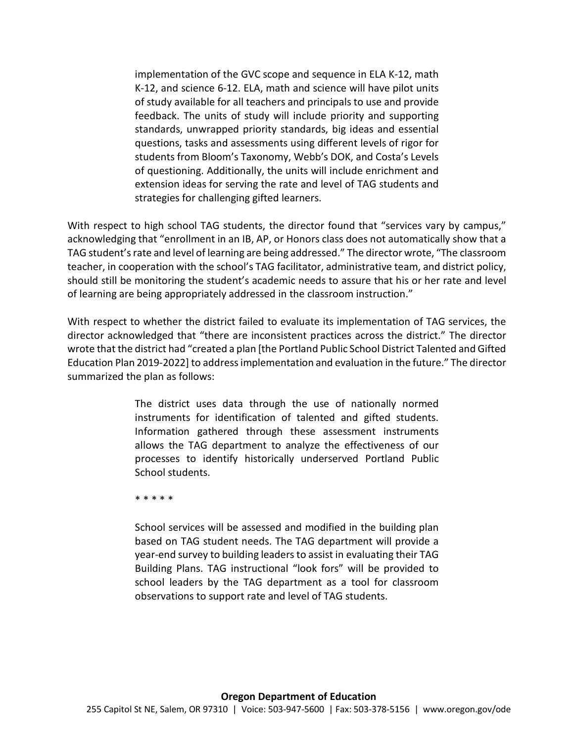implementation of the GVC scope and sequence in ELA K-12, math K-12, and science 6-12. ELA, math and science will have pilot units of study available for all teachers and principals to use and provide feedback. The units of study will include priority and supporting standards, unwrapped priority standards, big ideas and essential questions, tasks and assessments using different levels of rigor for students from Bloom's Taxonomy, Webb's DOK, and Costa's Levels of questioning. Additionally, the units will include enrichment and extension ideas for serving the rate and level of TAG students and strategies for challenging gifted learners.

With respect to high school TAG students, the director found that "services vary by campus," acknowledging that "enrollment in an IB, AP, or Honors class does not automatically show that a TAG student's rate and level of learning are being addressed." The director wrote, "The classroom teacher, in cooperation with the school's TAG facilitator, administrative team, and district policy, should still be monitoring the student's academic needs to assure that his or her rate and level of learning are being appropriately addressed in the classroom instruction."

With respect to whether the district failed to evaluate its implementation of TAG services, the director acknowledged that "there are inconsistent practices across the district." The director wrote that the district had "created a plan [the Portland Public School District Talented and Gifted Education Plan 2019-2022] to address implementation and evaluation in the future." The director summarized the plan as follows:

> The district uses data through the use of nationally normed instruments for identification of talented and gifted students. Information gathered through these assessment instruments allows the TAG department to analyze the effectiveness of our processes to identify historically underserved Portland Public School students.

\* \* \* \* \*

School services will be assessed and modified in the building plan based on TAG student needs. The TAG department will provide a year-end survey to building leaders to assist in evaluating their TAG Building Plans. TAG instructional "look fors" will be provided to school leaders by the TAG department as a tool for classroom observations to support rate and level of TAG students.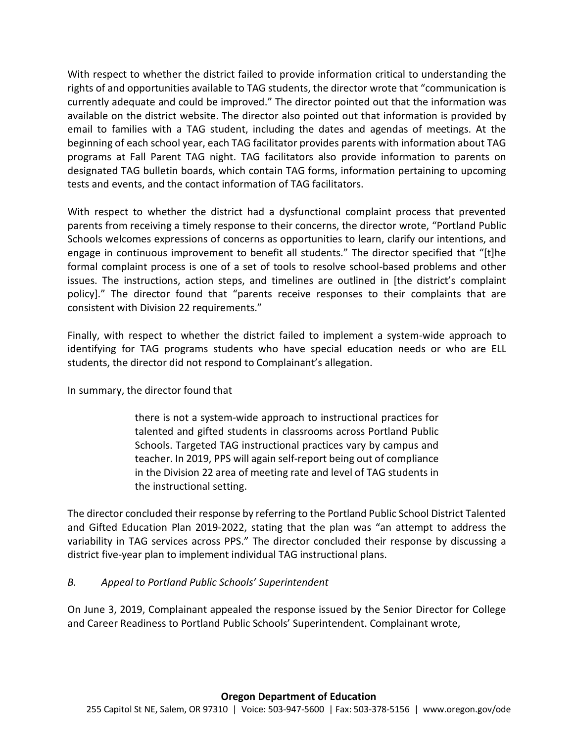With respect to whether the district failed to provide information critical to understanding the rights of and opportunities available to TAG students, the director wrote that "communication is currently adequate and could be improved." The director pointed out that the information was available on the district website. The director also pointed out that information is provided by email to families with a TAG student, including the dates and agendas of meetings. At the beginning of each school year, each TAG facilitator provides parents with information about TAG programs at Fall Parent TAG night. TAG facilitators also provide information to parents on designated TAG bulletin boards, which contain TAG forms, information pertaining to upcoming tests and events, and the contact information of TAG facilitators.

With respect to whether the district had a dysfunctional complaint process that prevented parents from receiving a timely response to their concerns, the director wrote, "Portland Public Schools welcomes expressions of concerns as opportunities to learn, clarify our intentions, and engage in continuous improvement to benefit all students." The director specified that "[t]he formal complaint process is one of a set of tools to resolve school-based problems and other issues. The instructions, action steps, and timelines are outlined in [the district's complaint policy]." The director found that "parents receive responses to their complaints that are consistent with Division 22 requirements."

Finally, with respect to whether the district failed to implement a system-wide approach to identifying for TAG programs students who have special education needs or who are ELL students, the director did not respond to Complainant's allegation.

In summary, the director found that

there is not a system-wide approach to instructional practices for talented and gifted students in classrooms across Portland Public Schools. Targeted TAG instructional practices vary by campus and teacher. In 2019, PPS will again self-report being out of compliance in the Division 22 area of meeting rate and level of TAG students in the instructional setting.

The director concluded their response by referring to the Portland Public School District Talented and Gifted Education Plan 2019-2022, stating that the plan was "an attempt to address the variability in TAG services across PPS." The director concluded their response by discussing a district five-year plan to implement individual TAG instructional plans.

# *B. Appeal to Portland Public Schools' Superintendent*

On June 3, 2019, Complainant appealed the response issued by the Senior Director for College and Career Readiness to Portland Public Schools' Superintendent. Complainant wrote,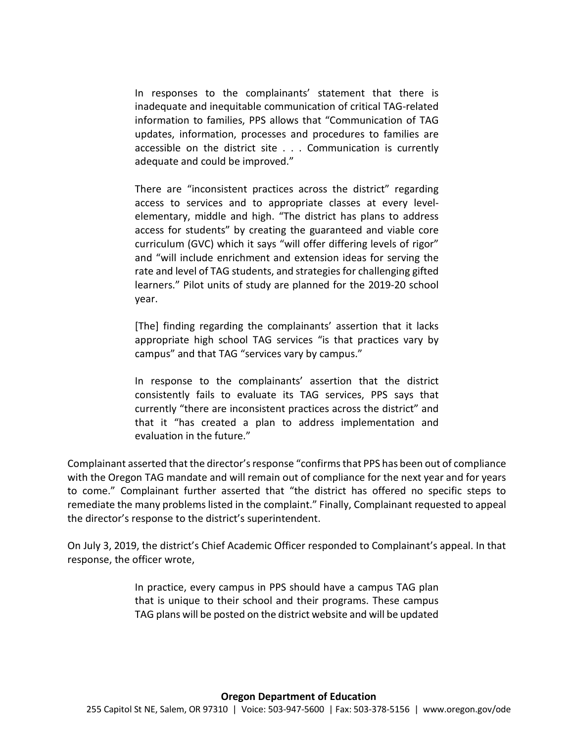In responses to the complainants' statement that there is inadequate and inequitable communication of critical TAG-related information to families, PPS allows that "Communication of TAG updates, information, processes and procedures to families are accessible on the district site . . . Communication is currently adequate and could be improved."

There are "inconsistent practices across the district" regarding access to services and to appropriate classes at every levelelementary, middle and high. "The district has plans to address access for students" by creating the guaranteed and viable core curriculum (GVC) which it says "will offer differing levels of rigor" and "will include enrichment and extension ideas for serving the rate and level of TAG students, and strategies for challenging gifted learners." Pilot units of study are planned for the 2019-20 school year.

[The] finding regarding the complainants' assertion that it lacks appropriate high school TAG services "is that practices vary by campus" and that TAG "services vary by campus."

In response to the complainants' assertion that the district consistently fails to evaluate its TAG services, PPS says that currently "there are inconsistent practices across the district" and that it "has created a plan to address implementation and evaluation in the future."

Complainant asserted that the director's response "confirms that PPS has been out of compliance with the Oregon TAG mandate and will remain out of compliance for the next year and for years to come." Complainant further asserted that "the district has offered no specific steps to remediate the many problems listed in the complaint." Finally, Complainant requested to appeal the director's response to the district's superintendent.

On July 3, 2019, the district's Chief Academic Officer responded to Complainant's appeal. In that response, the officer wrote,

> In practice, every campus in PPS should have a campus TAG plan that is unique to their school and their programs. These campus TAG plans will be posted on the district website and will be updated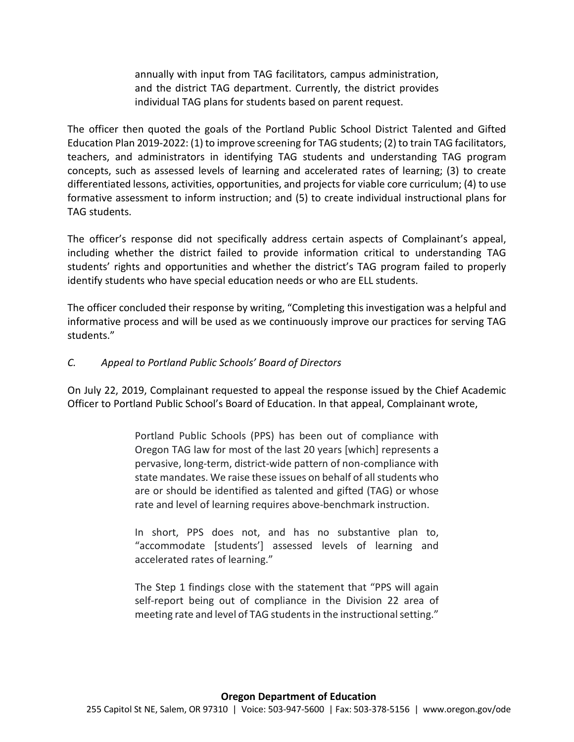annually with input from TAG facilitators, campus administration, and the district TAG department. Currently, the district provides individual TAG plans for students based on parent request.

The officer then quoted the goals of the Portland Public School District Talented and Gifted Education Plan 2019-2022: (1) to improve screening for TAG students; (2) to train TAG facilitators, teachers, and administrators in identifying TAG students and understanding TAG program concepts, such as assessed levels of learning and accelerated rates of learning; (3) to create differentiated lessons, activities, opportunities, and projects for viable core curriculum; (4) to use formative assessment to inform instruction; and (5) to create individual instructional plans for TAG students.

The officer's response did not specifically address certain aspects of Complainant's appeal, including whether the district failed to provide information critical to understanding TAG students' rights and opportunities and whether the district's TAG program failed to properly identify students who have special education needs or who are ELL students.

The officer concluded their response by writing, "Completing this investigation was a helpful and informative process and will be used as we continuously improve our practices for serving TAG students."

# *C. Appeal to Portland Public Schools' Board of Directors*

On July 22, 2019, Complainant requested to appeal the response issued by the Chief Academic Officer to Portland Public School's Board of Education. In that appeal, Complainant wrote,

> Portland Public Schools (PPS) has been out of compliance with Oregon TAG law for most of the last 20 years [which] represents a pervasive, long-term, district-wide pattern of non-compliance with state mandates. We raise these issues on behalf of all students who are or should be identified as talented and gifted (TAG) or whose rate and level of learning requires above-benchmark instruction.

> In short, PPS does not, and has no substantive plan to, "accommodate [students'] assessed levels of learning and accelerated rates of learning."

> The Step 1 findings close with the statement that "PPS will again self-report being out of compliance in the Division 22 area of meeting rate and level of TAG students in the instructional setting."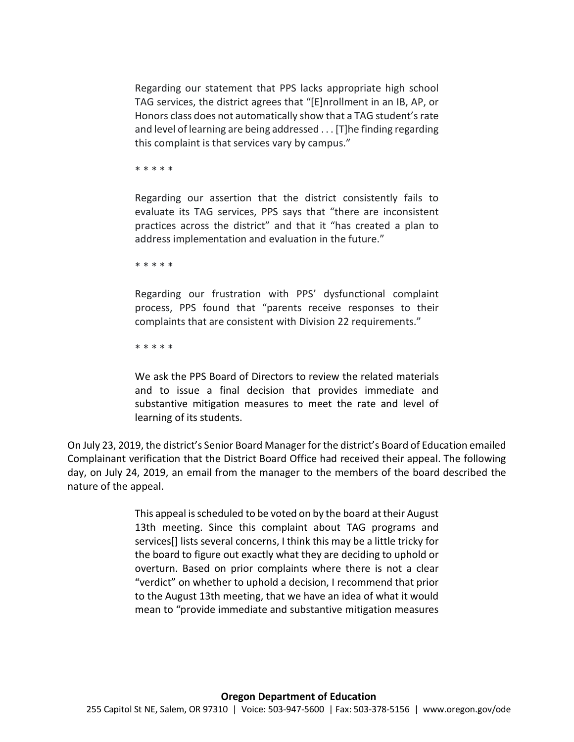Regarding our statement that PPS lacks appropriate high school TAG services, the district agrees that "[E]nrollment in an IB, AP, or Honors class does not automatically show that a TAG student's rate and level of learning are being addressed . . . [T]he finding regarding this complaint is that services vary by campus."

\* \* \* \* \*

Regarding our assertion that the district consistently fails to evaluate its TAG services, PPS says that "there are inconsistent practices across the district" and that it "has created a plan to address implementation and evaluation in the future."

\* \* \* \* \*

Regarding our frustration with PPS' dysfunctional complaint process, PPS found that "parents receive responses to their complaints that are consistent with Division 22 requirements."

\* \* \* \* \*

We ask the PPS Board of Directors to review the related materials and to issue a final decision that provides immediate and substantive mitigation measures to meet the rate and level of learning of its students.

On July 23, 2019, the district's Senior Board Manager for the district's Board of Education emailed Complainant verification that the District Board Office had received their appeal. The following day, on July 24, 2019, an email from the manager to the members of the board described the nature of the appeal.

> This appeal is scheduled to be voted on by the board at their August 13th meeting. Since this complaint about TAG programs and services[] lists several concerns, I think this may be a little tricky for the board to figure out exactly what they are deciding to uphold or overturn. Based on prior complaints where there is not a clear "verdict" on whether to uphold a decision, I recommend that prior to the August 13th meeting, that we have an idea of what it would mean to "provide immediate and substantive mitigation measures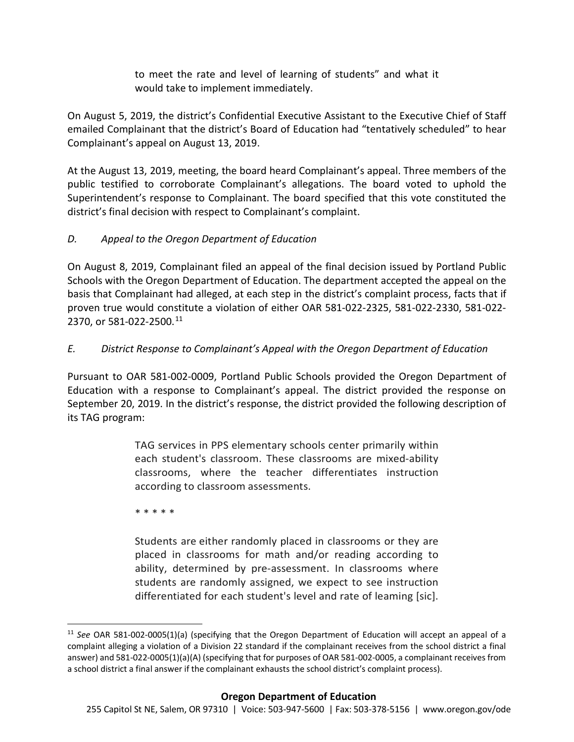to meet the rate and level of learning of students" and what it would take to implement immediately.

On August 5, 2019, the district's Confidential Executive Assistant to the Executive Chief of Staff emailed Complainant that the district's Board of Education had "tentatively scheduled" to hear Complainant's appeal on August 13, 2019.

At the August 13, 2019, meeting, the board heard Complainant's appeal. Three members of the public testified to corroborate Complainant's allegations. The board voted to uphold the Superintendent's response to Complainant. The board specified that this vote constituted the district's final decision with respect to Complainant's complaint.

# *D. Appeal to the Oregon Department of Education*

On August 8, 2019, Complainant filed an appeal of the final decision issued by Portland Public Schools with the Oregon Department of Education. The department accepted the appeal on the basis that Complainant had alleged, at each step in the district's complaint process, facts that if proven true would constitute a violation of either OAR 581-022-2325, 581-022-2330, 581-022- 2370, or 581-022-2500.[11](#page-8-0)

# *E. District Response to Complainant's Appeal with the Oregon Department of Education*

Pursuant to OAR 581-002-0009, Portland Public Schools provided the Oregon Department of Education with a response to Complainant's appeal. The district provided the response on September 20, 2019. In the district's response, the district provided the following description of its TAG program:

> TAG services in PPS elementary schools center primarily within each student's classroom. These classrooms are mixed-ability classrooms, where the teacher differentiates instruction according to classroom assessments.

\* \* \* \* \*

Students are either randomly placed in classrooms or they are placed in classrooms for math and/or reading according to ability, determined by pre-assessment. In classrooms where students are randomly assigned, we expect to see instruction differentiated for each student's level and rate of leaming [sic].

<span id="page-8-0"></span> <sup>11</sup> *See* OAR 581-002-0005(1)(a) (specifying that the Oregon Department of Education will accept an appeal of a complaint alleging a violation of a Division 22 standard if the complainant receives from the school district a final answer) and 581-022-0005(1)(a)(A) (specifying that for purposes of OAR 581-002-0005, a complainant receives from a school district a final answer if the complainant exhausts the school district's complaint process).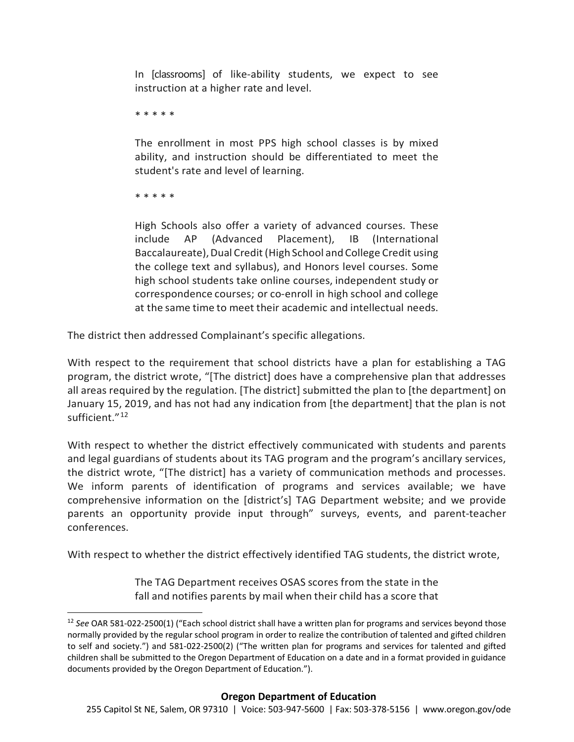In [classrooms] of like-ability students, we expect to see instruction at a higher rate and level.

\* \* \* \* \*

The enrollment in most PPS high school classes is by mixed ability, and instruction should be differentiated to meet the student's rate and level of learning.

\* \* \* \* \*

High Schools also offer a variety of advanced courses. These include AP (Advanced Placement), IB (International Baccalaureate), Dual Credit (High School and College Credit using the college text and syllabus), and Honors level courses. Some high school students take online courses, independent study or correspondence courses; or co-enroll in high school and college at the same time to meet their academic and intellectual needs.

The district then addressed Complainant's specific allegations.

With respect to the requirement that school districts have a plan for establishing a TAG program, the district wrote, "[The district] does have a comprehensive plan that addresses all areas required by the regulation. [The district] submitted the plan to [the department] on January 15, 2019, and has not had any indication from [the department] that the plan is not sufficient."<sup>[12](#page-9-0)</sup>

With respect to whether the district effectively communicated with students and parents and legal guardians of students about its TAG program and the program's ancillary services, the district wrote, "[The district] has a variety of communication methods and processes. We inform parents of identification of programs and services available; we have comprehensive information on the [district's] TAG Department website; and we provide parents an opportunity provide input through" surveys, events, and parent-teacher conferences.

With respect to whether the district effectively identified TAG students, the district wrote,

The TAG Department receives OSAS scores from the state in the fall and notifies parents by mail when their child has a score that

<span id="page-9-0"></span> <sup>12</sup> *See* OAR 581-022-2500(1) ("Each school district shall have a written plan for programs and services beyond those normally provided by the regular school program in order to realize the contribution of talented and gifted children to self and society.") and 581-022-2500(2) ("The written plan for programs and services for talented and gifted children shall be submitted to the Oregon Department of Education on a date and in a format provided in guidance documents provided by the Oregon Department of Education.").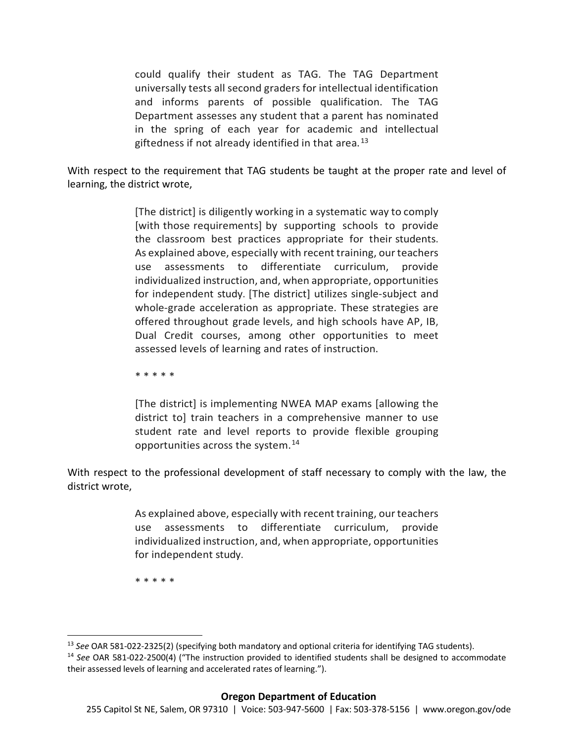could qualify their student as TAG. The TAG Department universally tests all second graders for intellectual identification and informs parents of possible qualification. The TAG Department assesses any student that a parent has nominated in the spring of each year for academic and intellectual giftedness if not already identified in that area.<sup>[13](#page-10-0)</sup>

With respect to the requirement that TAG students be taught at the proper rate and level of learning, the district wrote,

> [The district] is diligently working in a systematic way to comply [with those requirements] by supporting schools to provide the classroom best practices appropriate for their students. As explained above, especially with recent training, our teachers use assessments to differentiate curriculum, provide individualized instruction, and, when appropriate, opportunities for independent study. [The district] utilizes single-subject and whole-grade acceleration as appropriate. These strategies are offered throughout grade levels, and high schools have AP, IB, Dual Credit courses, among other opportunities to meet assessed levels of learning and rates of instruction.

\* \* \* \* \*

[The district] is implementing NWEA MAP exams [allowing the district to] train teachers in a comprehensive manner to use student rate and level reports to provide flexible grouping opportunities across the system. [14](#page-10-1)

With respect to the professional development of staff necessary to comply with the law, the district wrote,

> As explained above, especially with recent training, our teachers use assessments to differentiate curriculum, provide individualized instruction, and, when appropriate, opportunities for independent study.

\* \* \* \* \*

<span id="page-10-0"></span> <sup>13</sup> *See* OAR 581-022-2325(2) (specifying both mandatory and optional criteria for identifying TAG students).

<span id="page-10-1"></span><sup>14</sup> *See* OAR 581-022-2500(4) ("The instruction provided to identified students shall be designed to accommodate their assessed levels of learning and accelerated rates of learning.").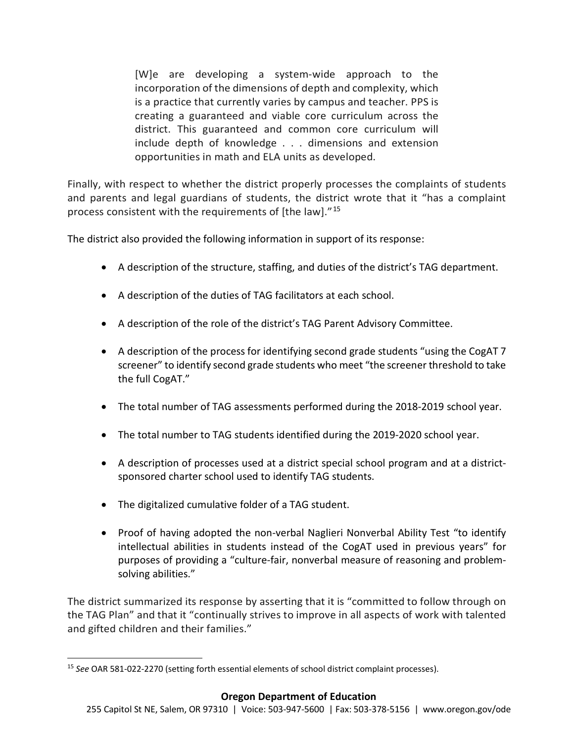[W]e are developing a system-wide approach to the incorporation of the dimensions of depth and complexity, which is a practice that currently varies by campus and teacher. PPS is creating a guaranteed and viable core curriculum across the district. This guaranteed and common core curriculum will include depth of knowledge . . . dimensions and extension opportunities in math and ELA units as developed.

Finally, with respect to whether the district properly processes the complaints of students and parents and legal guardians of students, the district wrote that it "has a complaint process consistent with the requirements of [the law]."[15](#page-11-0)

The district also provided the following information in support of its response:

- A description of the structure, staffing, and duties of the district's TAG department.
- A description of the duties of TAG facilitators at each school.
- A description of the role of the district's TAG Parent Advisory Committee.
- A description of the process for identifying second grade students "using the CogAT 7 screener" to identify second grade students who meet "the screener threshold to take the full CogAT."
- The total number of TAG assessments performed during the 2018-2019 school year.
- The total number to TAG students identified during the 2019-2020 school year.
- A description of processes used at a district special school program and at a districtsponsored charter school used to identify TAG students.
- The digitalized cumulative folder of a TAG student.
- Proof of having adopted the non-verbal Naglieri Nonverbal Ability Test "to identify intellectual abilities in students instead of the CogAT used in previous years" for purposes of providing a "culture-fair, nonverbal measure of reasoning and problemsolving abilities."

The district summarized its response by asserting that it is "committed to follow through on the TAG Plan" and that it "continually strives to improve in all aspects of work with talented and gifted children and their families."

<span id="page-11-0"></span> <sup>15</sup> *See* OAR 581-022-2270 (setting forth essential elements of school district complaint processes).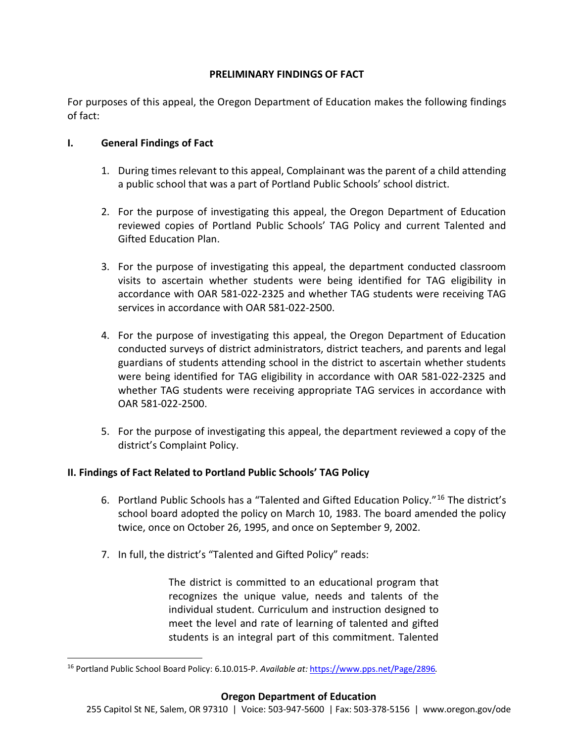## **PRELIMINARY FINDINGS OF FACT**

For purposes of this appeal, the Oregon Department of Education makes the following findings of fact:

#### **I. General Findings of Fact**

- 1. During times relevant to this appeal, Complainant was the parent of a child attending a public school that was a part of Portland Public Schools' school district.
- 2. For the purpose of investigating this appeal, the Oregon Department of Education reviewed copies of Portland Public Schools' TAG Policy and current Talented and Gifted Education Plan.
- 3. For the purpose of investigating this appeal, the department conducted classroom visits to ascertain whether students were being identified for TAG eligibility in accordance with OAR 581-022-2325 and whether TAG students were receiving TAG services in accordance with OAR 581-022-2500.
- 4. For the purpose of investigating this appeal, the Oregon Department of Education conducted surveys of district administrators, district teachers, and parents and legal guardians of students attending school in the district to ascertain whether students were being identified for TAG eligibility in accordance with OAR 581-022-2325 and whether TAG students were receiving appropriate TAG services in accordance with OAR 581-022-2500.
- 5. For the purpose of investigating this appeal, the department reviewed a copy of the district's Complaint Policy.

# **II. Findings of Fact Related to Portland Public Schools' TAG Policy**

- 6. Portland Public Schools has a "Talented and Gifted Education Policy."[16](#page-12-0) The district's school board adopted the policy on March 10, 1983. The board amended the policy twice, once on October 26, 1995, and once on September 9, 2002.
- 7. In full, the district's "Talented and Gifted Policy" reads:

The district is committed to an educational program that recognizes the unique value, needs and talents of the individual student. Curriculum and instruction designed to meet the level and rate of learning of talented and gifted students is an integral part of this commitment. Talented

<span id="page-12-0"></span> <sup>16</sup> Portland Public School Board Policy: 6.10.015-P. *Available at:* <https://www.pps.net/Page/2896>*.*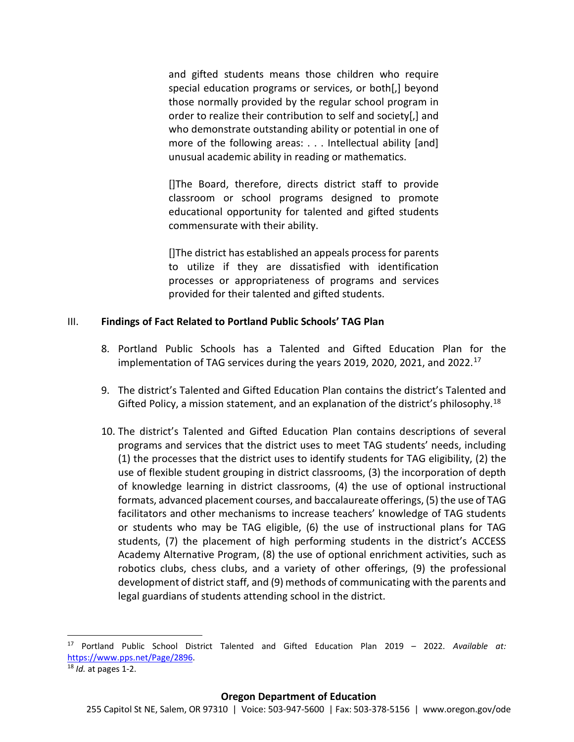and gifted students means those children who require special education programs or services, or both[,] beyond those normally provided by the regular school program in order to realize their contribution to self and society[,] and who demonstrate outstanding ability or potential in one of more of the following areas: . . . Intellectual ability [and] unusual academic ability in reading or mathematics.

[]The Board, therefore, directs district staff to provide classroom or school programs designed to promote educational opportunity for talented and gifted students commensurate with their ability.

[]The district has established an appeals process for parents to utilize if they are dissatisfied with identification processes or appropriateness of programs and services provided for their talented and gifted students.

#### III. **Findings of Fact Related to Portland Public Schools' TAG Plan**

- 8. Portland Public Schools has a Talented and Gifted Education Plan for the implementation of TAG services during the years 2019, 2020, 2021, and 2022.<sup>[17](#page-13-0)</sup>
- 9. The district's Talented and Gifted Education Plan contains the district's Talented and Gifted Policy, a mission statement, and an explanation of the district's philosophy.<sup>[18](#page-13-1)</sup>
- 10. The district's Talented and Gifted Education Plan contains descriptions of several programs and services that the district uses to meet TAG students' needs, including (1) the processes that the district uses to identify students for TAG eligibility, (2) the use of flexible student grouping in district classrooms, (3) the incorporation of depth of knowledge learning in district classrooms, (4) the use of optional instructional formats, advanced placement courses, and baccalaureate offerings, (5) the use of TAG facilitators and other mechanisms to increase teachers' knowledge of TAG students or students who may be TAG eligible, (6) the use of instructional plans for TAG students, (7) the placement of high performing students in the district's ACCESS Academy Alternative Program, (8) the use of optional enrichment activities, such as robotics clubs, chess clubs, and a variety of other offerings, (9) the professional development of district staff, and (9) methods of communicating with the parents and legal guardians of students attending school in the district.

<span id="page-13-0"></span> <sup>17</sup> Portland Public School District Talented and Gifted Education Plan 2019 – 2022. *Available at:*  [https://www.pps.net/Page/2896.](https://www.pps.net/Page/2896)

<span id="page-13-1"></span><sup>18</sup> *Id.* at pages 1-2.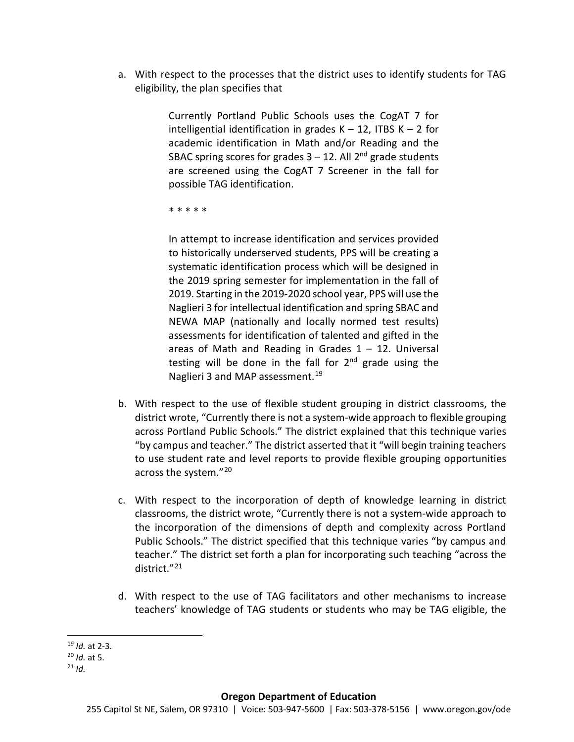a. With respect to the processes that the district uses to identify students for TAG eligibility, the plan specifies that

> Currently Portland Public Schools uses the CogAT 7 for intelligential identification in grades  $K - 12$ , ITBS  $K - 2$  for academic identification in Math and/or Reading and the SBAC spring scores for grades  $3 - 12$ . All  $2^{nd}$  grade students are screened using the CogAT 7 Screener in the fall for possible TAG identification.

\* \* \* \* \*

In attempt to increase identification and services provided to historically underserved students, PPS will be creating a systematic identification process which will be designed in the 2019 spring semester for implementation in the fall of 2019. Starting in the 2019-2020 school year, PPS will use the Naglieri 3 for intellectual identification and spring SBAC and NEWA MAP (nationally and locally normed test results) assessments for identification of talented and gifted in the areas of Math and Reading in Grades  $1 - 12$ . Universal testing will be done in the fall for  $2<sup>nd</sup>$  grade using the Naglieri 3 and MAP assessment.<sup>[19](#page-14-0)</sup>

- b. With respect to the use of flexible student grouping in district classrooms, the district wrote, "Currently there is not a system-wide approach to flexible grouping across Portland Public Schools." The district explained that this technique varies "by campus and teacher." The district asserted that it "will begin training teachers to use student rate and level reports to provide flexible grouping opportunities across the system."<sup>[20](#page-14-1)</sup>
- c. With respect to the incorporation of depth of knowledge learning in district classrooms, the district wrote, "Currently there is not a system-wide approach to the incorporation of the dimensions of depth and complexity across Portland Public Schools." The district specified that this technique varies "by campus and teacher." The district set forth a plan for incorporating such teaching "across the district."[21](#page-14-2)
- d. With respect to the use of TAG facilitators and other mechanisms to increase teachers' knowledge of TAG students or students who may be TAG eligible, the

<span id="page-14-0"></span> <sup>19</sup> *Id.* at 2-3.

<span id="page-14-1"></span><sup>20</sup> *Id.* at 5.

<span id="page-14-2"></span> $^{21}$  *Id.*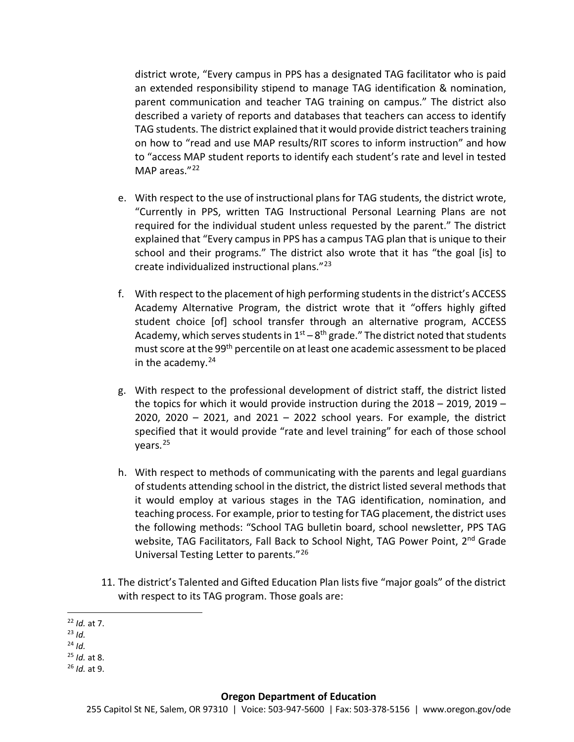district wrote, "Every campus in PPS has a designated TAG facilitator who is paid an extended responsibility stipend to manage TAG identification & nomination, parent communication and teacher TAG training on campus." The district also described a variety of reports and databases that teachers can access to identify TAG students. The district explained that it would provide district teachers training on how to "read and use MAP results/RIT scores to inform instruction" and how to "access MAP student reports to identify each student's rate and level in tested MAP areas."[22](#page-15-0)

- e. With respect to the use of instructional plans for TAG students, the district wrote, "Currently in PPS, written TAG Instructional Personal Learning Plans are not required for the individual student unless requested by the parent." The district explained that "Every campus in PPS has a campus TAG plan that is unique to their school and their programs." The district also wrote that it has "the goal [is] to create individualized instructional plans."[23](#page-15-1)
- f. With respect to the placement of high performing students in the district's ACCESS Academy Alternative Program, the district wrote that it "offers highly gifted student choice [of] school transfer through an alternative program, ACCESS Academy, which serves students in  $1<sup>st</sup> - 8<sup>th</sup>$  grade." The district noted that students must score at the 99<sup>th</sup> percentile on at least one academic assessment to be placed in the academy. $24$
- g. With respect to the professional development of district staff, the district listed the topics for which it would provide instruction during the 2018 – 2019, 2019 – 2020, 2020  $-$  2021, and 2021  $-$  2022 school years. For example, the district specified that it would provide "rate and level training" for each of those school years.[25](#page-15-3)
- h. With respect to methods of communicating with the parents and legal guardians of students attending school in the district, the district listed several methods that it would employ at various stages in the TAG identification, nomination, and teaching process. For example, prior to testing for TAG placement, the district uses the following methods: "School TAG bulletin board, school newsletter, PPS TAG website, TAG Facilitators, Fall Back to School Night, TAG Power Point, 2<sup>nd</sup> Grade Universal Testing Letter to parents."[26](#page-15-4)
- 11. The district's Talented and Gifted Education Plan lists five "major goals" of the district with respect to its TAG program. Those goals are:

<span id="page-15-4"></span><sup>26</sup> *Id.* at 9.

<span id="page-15-0"></span> <sup>22</sup> *Id.* at 7.

<span id="page-15-1"></span><sup>23</sup> *Id.* 

<span id="page-15-2"></span> $^{24}$  *Id.* 

<span id="page-15-3"></span><sup>25</sup> *Id.* at 8.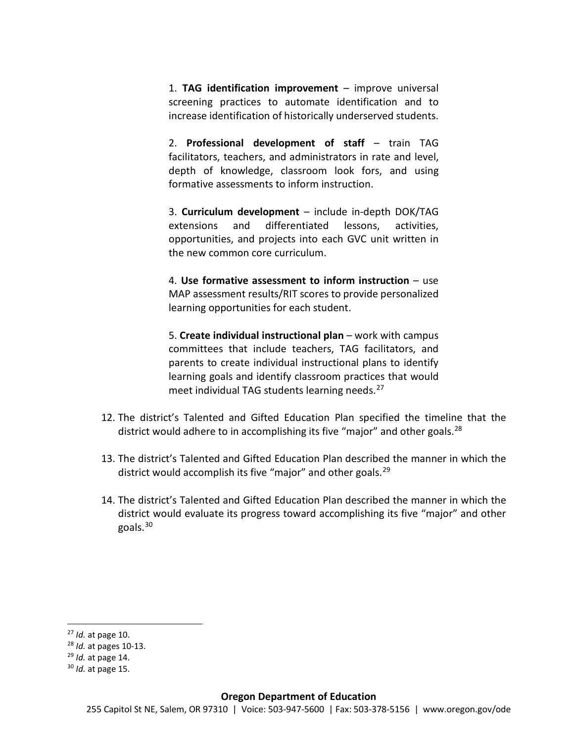1. **TAG identification improvement** – improve universal screening practices to automate identification and to increase identification of historically underserved students.

2. **Professional development of staff** – train TAG facilitators, teachers, and administrators in rate and level, depth of knowledge, classroom look fors, and using formative assessments to inform instruction.

3. **Curriculum development** – include in-depth DOK/TAG extensions and differentiated lessons, activities, opportunities, and projects into each GVC unit written in the new common core curriculum.

4. **Use formative assessment to inform instruction** – use MAP assessment results/RIT scores to provide personalized learning opportunities for each student.

5. **Create individual instructional plan** – work with campus committees that include teachers, TAG facilitators, and parents to create individual instructional plans to identify learning goals and identify classroom practices that would meet individual TAG students learning needs.<sup>[27](#page-16-0)</sup>

- 12. The district's Talented and Gifted Education Plan specified the timeline that the district would adhere to in accomplishing its five "major" and other goals.<sup>[28](#page-16-1)</sup>
- 13. The district's Talented and Gifted Education Plan described the manner in which the district would accomplish its five "major" and other goals.<sup>[29](#page-16-2)</sup>
- 14. The district's Talented and Gifted Education Plan described the manner in which the district would evaluate its progress toward accomplishing its five "major" and other goals.[30](#page-16-3)

<span id="page-16-0"></span> <sup>27</sup> *Id.* at page 10.

<span id="page-16-1"></span><sup>28</sup> *Id.* at pages 10-13.

<span id="page-16-2"></span><sup>29</sup> *Id.* at page 14.

<span id="page-16-3"></span><sup>30</sup> *Id.* at page 15.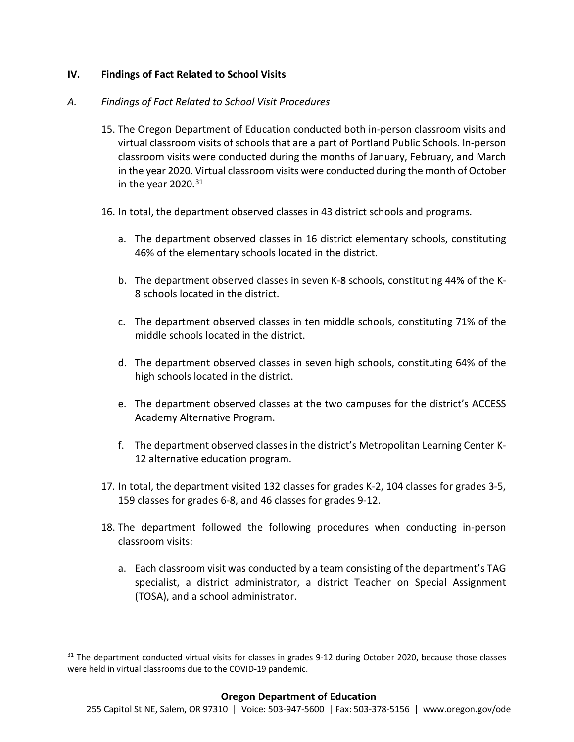## **IV. Findings of Fact Related to School Visits**

#### *A. Findings of Fact Related to School Visit Procedures*

- 15. The Oregon Department of Education conducted both in-person classroom visits and virtual classroom visits of schools that are a part of Portland Public Schools. In-person classroom visits were conducted during the months of January, February, and March in the year 2020. Virtual classroom visits were conducted during the month of October in the year 2020. $31$
- 16. In total, the department observed classes in 43 district schools and programs.
	- a. The department observed classes in 16 district elementary schools, constituting 46% of the elementary schools located in the district.
	- b. The department observed classes in seven K-8 schools, constituting 44% of the K-8 schools located in the district.
	- c. The department observed classes in ten middle schools, constituting 71% of the middle schools located in the district.
	- d. The department observed classes in seven high schools, constituting 64% of the high schools located in the district.
	- e. The department observed classes at the two campuses for the district's ACCESS Academy Alternative Program.
	- f. The department observed classes in the district's Metropolitan Learning Center K-12 alternative education program.
- 17. In total, the department visited 132 classes for grades K-2, 104 classes for grades 3-5, 159 classes for grades 6-8, and 46 classes for grades 9-12.
- 18. The department followed the following procedures when conducting in-person classroom visits:
	- a. Each classroom visit was conducted by a team consisting of the department's TAG specialist, a district administrator, a district Teacher on Special Assignment (TOSA), and a school administrator.

<span id="page-17-0"></span> $31$  The department conducted virtual visits for classes in grades 9-12 during October 2020, because those classes were held in virtual classrooms due to the COVID-19 pandemic.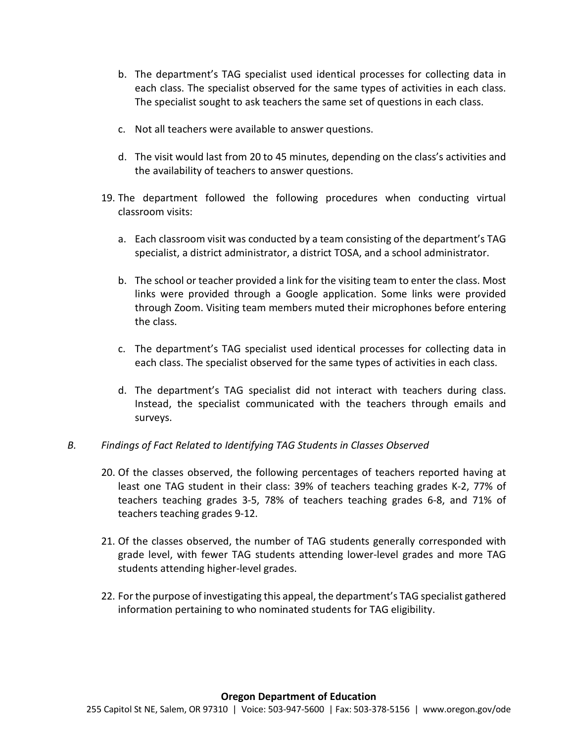- b. The department's TAG specialist used identical processes for collecting data in each class. The specialist observed for the same types of activities in each class. The specialist sought to ask teachers the same set of questions in each class.
- c. Not all teachers were available to answer questions.
- d. The visit would last from 20 to 45 minutes, depending on the class's activities and the availability of teachers to answer questions.
- 19. The department followed the following procedures when conducting virtual classroom visits:
	- a. Each classroom visit was conducted by a team consisting of the department's TAG specialist, a district administrator, a district TOSA, and a school administrator.
	- b. The school or teacher provided a link for the visiting team to enter the class. Most links were provided through a Google application. Some links were provided through Zoom. Visiting team members muted their microphones before entering the class.
	- c. The department's TAG specialist used identical processes for collecting data in each class. The specialist observed for the same types of activities in each class.
	- d. The department's TAG specialist did not interact with teachers during class. Instead, the specialist communicated with the teachers through emails and surveys.

#### *B. Findings of Fact Related to Identifying TAG Students in Classes Observed*

- 20. Of the classes observed, the following percentages of teachers reported having at least one TAG student in their class: 39% of teachers teaching grades K-2, 77% of teachers teaching grades 3-5, 78% of teachers teaching grades 6-8, and 71% of teachers teaching grades 9-12.
- 21. Of the classes observed, the number of TAG students generally corresponded with grade level, with fewer TAG students attending lower-level grades and more TAG students attending higher-level grades.
- 22. For the purpose of investigating this appeal, the department's TAG specialist gathered information pertaining to who nominated students for TAG eligibility.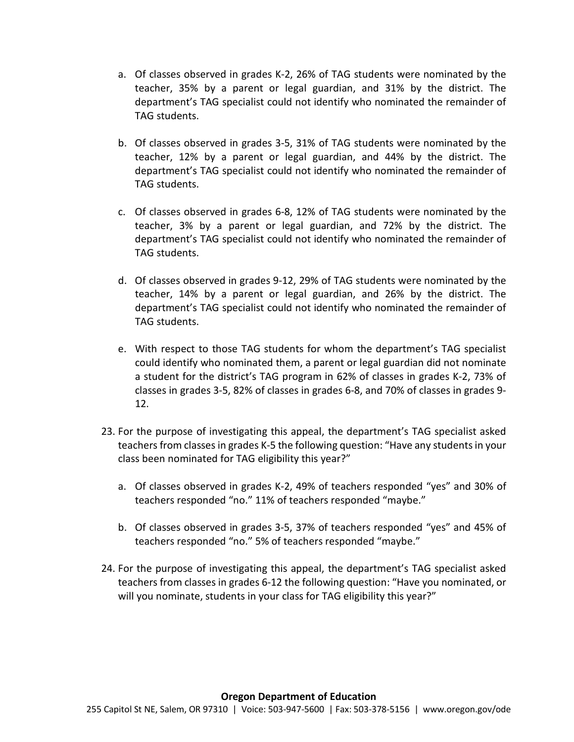- a. Of classes observed in grades K-2, 26% of TAG students were nominated by the teacher, 35% by a parent or legal guardian, and 31% by the district. The department's TAG specialist could not identify who nominated the remainder of TAG students.
- b. Of classes observed in grades 3-5, 31% of TAG students were nominated by the teacher, 12% by a parent or legal guardian, and 44% by the district. The department's TAG specialist could not identify who nominated the remainder of TAG students.
- c. Of classes observed in grades 6-8, 12% of TAG students were nominated by the teacher, 3% by a parent or legal guardian, and 72% by the district. The department's TAG specialist could not identify who nominated the remainder of TAG students.
- d. Of classes observed in grades 9-12, 29% of TAG students were nominated by the teacher, 14% by a parent or legal guardian, and 26% by the district. The department's TAG specialist could not identify who nominated the remainder of TAG students.
- e. With respect to those TAG students for whom the department's TAG specialist could identify who nominated them, a parent or legal guardian did not nominate a student for the district's TAG program in 62% of classes in grades K-2, 73% of classes in grades 3-5, 82% of classes in grades 6-8, and 70% of classes in grades 9- 12.
- 23. For the purpose of investigating this appeal, the department's TAG specialist asked teachers from classes in grades K-5 the following question: "Have any students in your class been nominated for TAG eligibility this year?"
	- a. Of classes observed in grades K-2, 49% of teachers responded "yes" and 30% of teachers responded "no." 11% of teachers responded "maybe."
	- b. Of classes observed in grades 3-5, 37% of teachers responded "yes" and 45% of teachers responded "no." 5% of teachers responded "maybe."
- 24. For the purpose of investigating this appeal, the department's TAG specialist asked teachers from classes in grades 6-12 the following question: "Have you nominated, or will you nominate, students in your class for TAG eligibility this year?"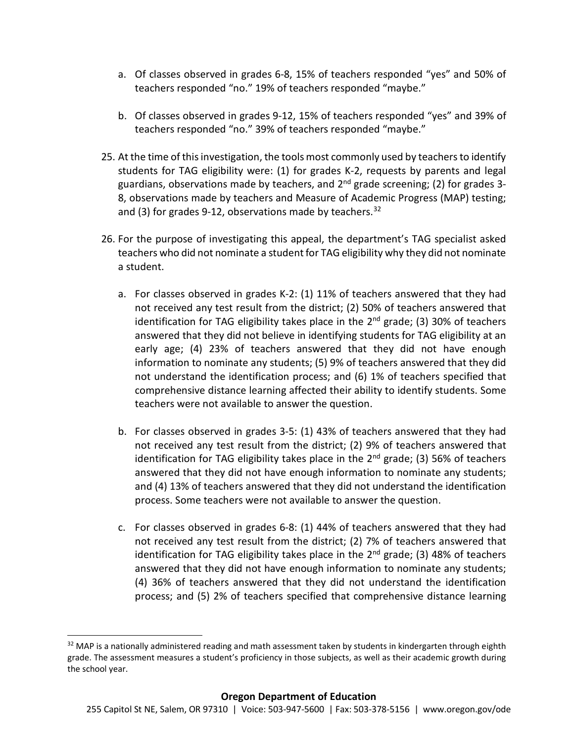- a. Of classes observed in grades 6-8, 15% of teachers responded "yes" and 50% of teachers responded "no." 19% of teachers responded "maybe."
- b. Of classes observed in grades 9-12, 15% of teachers responded "yes" and 39% of teachers responded "no." 39% of teachers responded "maybe."
- 25. At the time of this investigation, the tools most commonly used by teachers to identify students for TAG eligibility were: (1) for grades K-2, requests by parents and legal guardians, observations made by teachers, and  $2<sup>nd</sup>$  grade screening; (2) for grades 3-8, observations made by teachers and Measure of Academic Progress (MAP) testing; and (3) for grades 9-12, observations made by teachers.  $32$
- 26. For the purpose of investigating this appeal, the department's TAG specialist asked teachers who did not nominate a student for TAG eligibility why they did not nominate a student.
	- a. For classes observed in grades K-2: (1) 11% of teachers answered that they had not received any test result from the district; (2) 50% of teachers answered that identification for TAG eligibility takes place in the  $2^{nd}$  grade; (3) 30% of teachers answered that they did not believe in identifying students for TAG eligibility at an early age; (4) 23% of teachers answered that they did not have enough information to nominate any students; (5) 9% of teachers answered that they did not understand the identification process; and (6) 1% of teachers specified that comprehensive distance learning affected their ability to identify students. Some teachers were not available to answer the question.
	- b. For classes observed in grades 3-5: (1) 43% of teachers answered that they had not received any test result from the district; (2) 9% of teachers answered that identification for TAG eligibility takes place in the  $2<sup>nd</sup>$  grade; (3) 56% of teachers answered that they did not have enough information to nominate any students; and (4) 13% of teachers answered that they did not understand the identification process. Some teachers were not available to answer the question.
	- c. For classes observed in grades 6-8: (1) 44% of teachers answered that they had not received any test result from the district; (2) 7% of teachers answered that identification for TAG eligibility takes place in the  $2^{nd}$  grade; (3) 48% of teachers answered that they did not have enough information to nominate any students; (4) 36% of teachers answered that they did not understand the identification process; and (5) 2% of teachers specified that comprehensive distance learning

<span id="page-20-0"></span> $32$  MAP is a nationally administered reading and math assessment taken by students in kindergarten through eighth grade. The assessment measures a student's proficiency in those subjects, as well as their academic growth during the school year.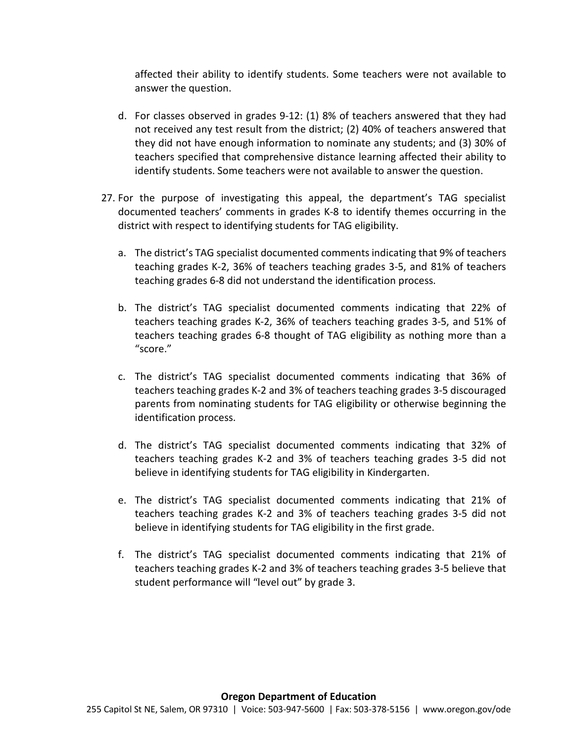affected their ability to identify students. Some teachers were not available to answer the question.

- d. For classes observed in grades 9-12: (1) 8% of teachers answered that they had not received any test result from the district; (2) 40% of teachers answered that they did not have enough information to nominate any students; and (3) 30% of teachers specified that comprehensive distance learning affected their ability to identify students. Some teachers were not available to answer the question.
- 27. For the purpose of investigating this appeal, the department's TAG specialist documented teachers' comments in grades K-8 to identify themes occurring in the district with respect to identifying students for TAG eligibility.
	- a. The district's TAG specialist documented comments indicating that 9% of teachers teaching grades K-2, 36% of teachers teaching grades 3-5, and 81% of teachers teaching grades 6-8 did not understand the identification process.
	- b. The district's TAG specialist documented comments indicating that 22% of teachers teaching grades K-2, 36% of teachers teaching grades 3-5, and 51% of teachers teaching grades 6-8 thought of TAG eligibility as nothing more than a "score."
	- c. The district's TAG specialist documented comments indicating that 36% of teachers teaching grades K-2 and 3% of teachers teaching grades 3-5 discouraged parents from nominating students for TAG eligibility or otherwise beginning the identification process.
	- d. The district's TAG specialist documented comments indicating that 32% of teachers teaching grades K-2 and 3% of teachers teaching grades 3-5 did not believe in identifying students for TAG eligibility in Kindergarten.
	- e. The district's TAG specialist documented comments indicating that 21% of teachers teaching grades K-2 and 3% of teachers teaching grades 3-5 did not believe in identifying students for TAG eligibility in the first grade.
	- f. The district's TAG specialist documented comments indicating that 21% of teachers teaching grades K-2 and 3% of teachers teaching grades 3-5 believe that student performance will "level out" by grade 3.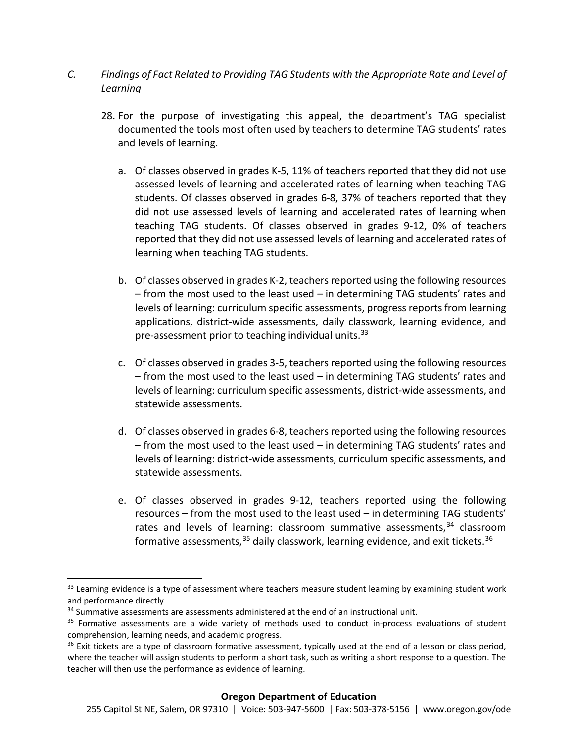- *C. Findings of Fact Related to Providing TAG Students with the Appropriate Rate and Level of Learning*
	- 28. For the purpose of investigating this appeal, the department's TAG specialist documented the tools most often used by teachers to determine TAG students' rates and levels of learning.
		- a. Of classes observed in grades K-5, 11% of teachers reported that they did not use assessed levels of learning and accelerated rates of learning when teaching TAG students. Of classes observed in grades 6-8, 37% of teachers reported that they did not use assessed levels of learning and accelerated rates of learning when teaching TAG students. Of classes observed in grades 9-12, 0% of teachers reported that they did not use assessed levels of learning and accelerated rates of learning when teaching TAG students.
		- b. Of classes observed in grades K-2, teachers reported using the following resources – from the most used to the least used – in determining TAG students' rates and levels of learning: curriculum specific assessments, progress reports from learning applications, district-wide assessments, daily classwork, learning evidence, and pre-assessment prior to teaching individual units.<sup>[33](#page-22-0)</sup>
		- c. Of classes observed in grades 3-5, teachers reported using the following resources – from the most used to the least used – in determining TAG students' rates and levels of learning: curriculum specific assessments, district-wide assessments, and statewide assessments.
		- d. Of classes observed in grades 6-8, teachers reported using the following resources – from the most used to the least used – in determining TAG students' rates and levels of learning: district-wide assessments, curriculum specific assessments, and statewide assessments.
		- e. Of classes observed in grades 9-12, teachers reported using the following resources – from the most used to the least used – in determining TAG students' rates and levels of learning: classroom summative assessments,<sup>[34](#page-22-1)</sup> classroom formative assessments,  $35$  daily classwork, learning evidence, and exit tickets.  $36$

<span id="page-22-0"></span> $33$  Learning evidence is a type of assessment where teachers measure student learning by examining student work and performance directly.

<span id="page-22-1"></span><sup>&</sup>lt;sup>34</sup> Summative assessments are assessments administered at the end of an instructional unit.

<span id="page-22-2"></span><sup>&</sup>lt;sup>35</sup> Formative assessments are a wide variety of methods used to conduct in-process evaluations of student comprehension, learning needs, and academic progress.

<span id="page-22-3"></span> $36$  Exit tickets are a type of classroom formative assessment, typically used at the end of a lesson or class period, where the teacher will assign students to perform a short task, such as writing a short response to a question. The teacher will then use the performance as evidence of learning.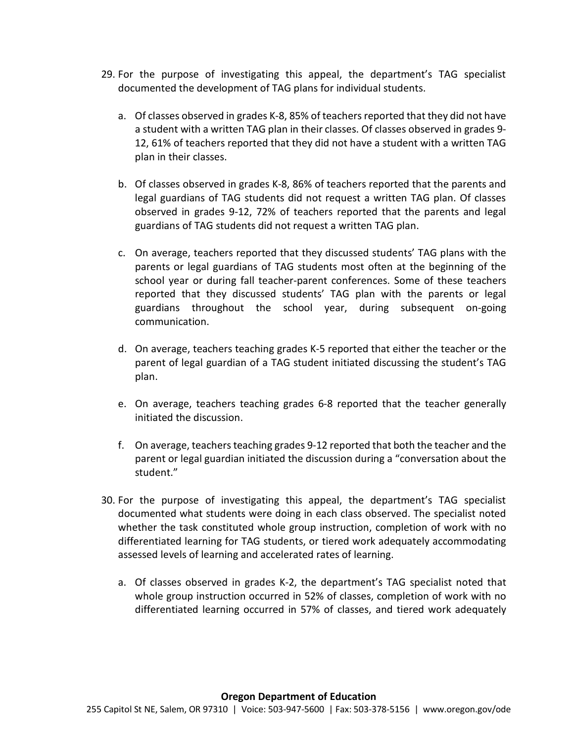- 29. For the purpose of investigating this appeal, the department's TAG specialist documented the development of TAG plans for individual students.
	- a. Of classes observed in grades K-8, 85% of teachers reported that they did not have a student with a written TAG plan in their classes. Of classes observed in grades 9- 12, 61% of teachers reported that they did not have a student with a written TAG plan in their classes.
	- b. Of classes observed in grades K-8, 86% of teachers reported that the parents and legal guardians of TAG students did not request a written TAG plan. Of classes observed in grades 9-12, 72% of teachers reported that the parents and legal guardians of TAG students did not request a written TAG plan.
	- c. On average, teachers reported that they discussed students' TAG plans with the parents or legal guardians of TAG students most often at the beginning of the school year or during fall teacher-parent conferences. Some of these teachers reported that they discussed students' TAG plan with the parents or legal guardians throughout the school year, during subsequent on-going communication.
	- d. On average, teachers teaching grades K-5 reported that either the teacher or the parent of legal guardian of a TAG student initiated discussing the student's TAG plan.
	- e. On average, teachers teaching grades 6-8 reported that the teacher generally initiated the discussion.
	- f. On average, teachers teaching grades 9-12 reported that both the teacher and the parent or legal guardian initiated the discussion during a "conversation about the student."
- 30. For the purpose of investigating this appeal, the department's TAG specialist documented what students were doing in each class observed. The specialist noted whether the task constituted whole group instruction, completion of work with no differentiated learning for TAG students, or tiered work adequately accommodating assessed levels of learning and accelerated rates of learning.
	- a. Of classes observed in grades K-2, the department's TAG specialist noted that whole group instruction occurred in 52% of classes, completion of work with no differentiated learning occurred in 57% of classes, and tiered work adequately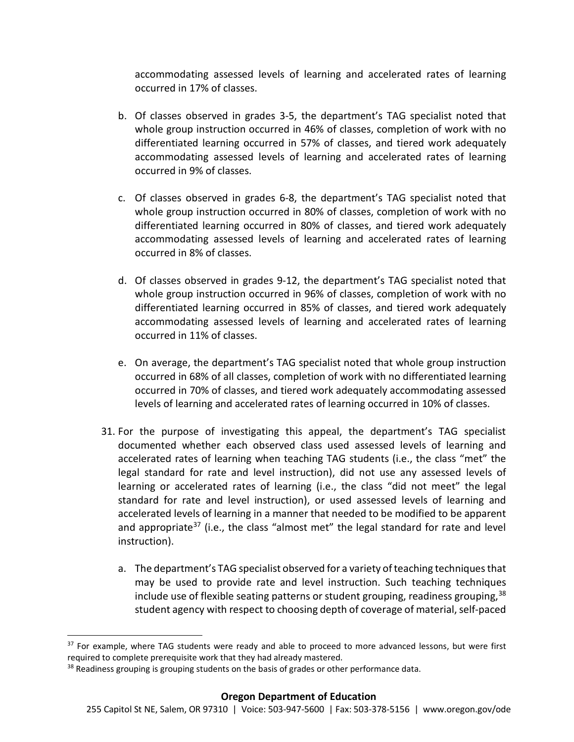accommodating assessed levels of learning and accelerated rates of learning occurred in 17% of classes.

- b. Of classes observed in grades 3-5, the department's TAG specialist noted that whole group instruction occurred in 46% of classes, completion of work with no differentiated learning occurred in 57% of classes, and tiered work adequately accommodating assessed levels of learning and accelerated rates of learning occurred in 9% of classes.
- c. Of classes observed in grades 6-8, the department's TAG specialist noted that whole group instruction occurred in 80% of classes, completion of work with no differentiated learning occurred in 80% of classes, and tiered work adequately accommodating assessed levels of learning and accelerated rates of learning occurred in 8% of classes.
- d. Of classes observed in grades 9-12, the department's TAG specialist noted that whole group instruction occurred in 96% of classes, completion of work with no differentiated learning occurred in 85% of classes, and tiered work adequately accommodating assessed levels of learning and accelerated rates of learning occurred in 11% of classes.
- e. On average, the department's TAG specialist noted that whole group instruction occurred in 68% of all classes, completion of work with no differentiated learning occurred in 70% of classes, and tiered work adequately accommodating assessed levels of learning and accelerated rates of learning occurred in 10% of classes.
- 31. For the purpose of investigating this appeal, the department's TAG specialist documented whether each observed class used assessed levels of learning and accelerated rates of learning when teaching TAG students (i.e., the class "met" the legal standard for rate and level instruction), did not use any assessed levels of learning or accelerated rates of learning (i.e., the class "did not meet" the legal standard for rate and level instruction), or used assessed levels of learning and accelerated levels of learning in a manner that needed to be modified to be apparent and appropriate<sup>[37](#page-24-0)</sup> (i.e., the class "almost met" the legal standard for rate and level instruction).
	- a. The department's TAG specialist observed for a variety of teaching techniques that may be used to provide rate and level instruction. Such teaching techniques include use of flexible seating patterns or student grouping, readiness grouping, <sup>[38](#page-24-1)</sup> student agency with respect to choosing depth of coverage of material, self-paced

<span id="page-24-0"></span><sup>&</sup>lt;sup>37</sup> For example, where TAG students were ready and able to proceed to more advanced lessons, but were first required to complete prerequisite work that they had already mastered.

<span id="page-24-1"></span><sup>&</sup>lt;sup>38</sup> Readiness grouping is grouping students on the basis of grades or other performance data.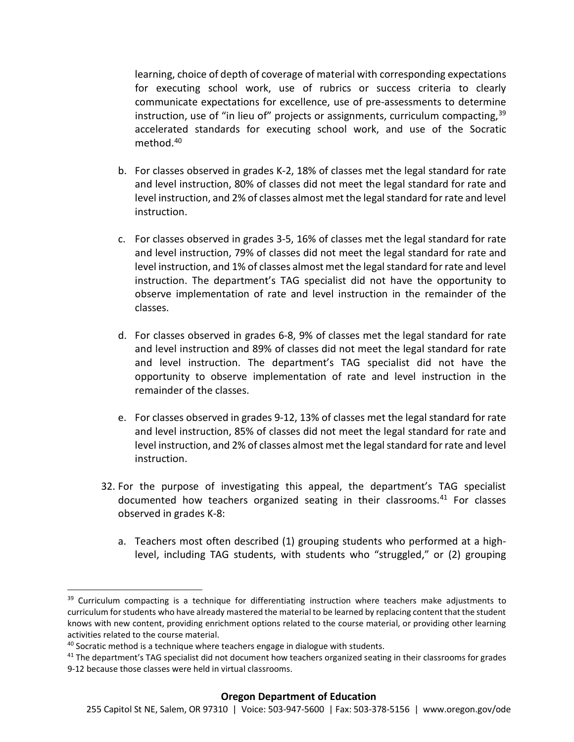learning, choice of depth of coverage of material with corresponding expectations for executing school work, use of rubrics or success criteria to clearly communicate expectations for excellence, use of pre-assessments to determine instruction, use of "in lieu of" projects or assignments, curriculum compacting,  $39$ accelerated standards for executing school work, and use of the Socratic method.[40](#page-25-1)

- b. For classes observed in grades K-2, 18% of classes met the legal standard for rate and level instruction, 80% of classes did not meet the legal standard for rate and level instruction, and 2% of classes almost met the legal standard for rate and level instruction.
- c. For classes observed in grades 3-5, 16% of classes met the legal standard for rate and level instruction, 79% of classes did not meet the legal standard for rate and level instruction, and 1% of classes almost met the legal standard for rate and level instruction. The department's TAG specialist did not have the opportunity to observe implementation of rate and level instruction in the remainder of the classes.
- d. For classes observed in grades 6-8, 9% of classes met the legal standard for rate and level instruction and 89% of classes did not meet the legal standard for rate and level instruction. The department's TAG specialist did not have the opportunity to observe implementation of rate and level instruction in the remainder of the classes.
- e. For classes observed in grades 9-12, 13% of classes met the legal standard for rate and level instruction, 85% of classes did not meet the legal standard for rate and level instruction, and 2% of classes almost met the legal standard for rate and level instruction.
- 32. For the purpose of investigating this appeal, the department's TAG specialist documented how teachers organized seating in their classrooms. [41](#page-25-2) For classes observed in grades K-8:
	- a. Teachers most often described (1) grouping students who performed at a highlevel, including TAG students, with students who "struggled," or (2) grouping

<span id="page-25-0"></span><sup>&</sup>lt;sup>39</sup> Curriculum compacting is a technique for differentiating instruction where teachers make adjustments to curriculum for students who have already mastered the material to be learned by replacing content that the student knows with new content, providing enrichment options related to the course material, or providing other learning

<span id="page-25-1"></span>activities related to the course material.<br><sup>40</sup> Socratic method is a technique where teachers engage in dialogue with students.

<span id="page-25-2"></span> $41$  The department's TAG specialist did not document how teachers organized seating in their classrooms for grades 9-12 because those classes were held in virtual classrooms.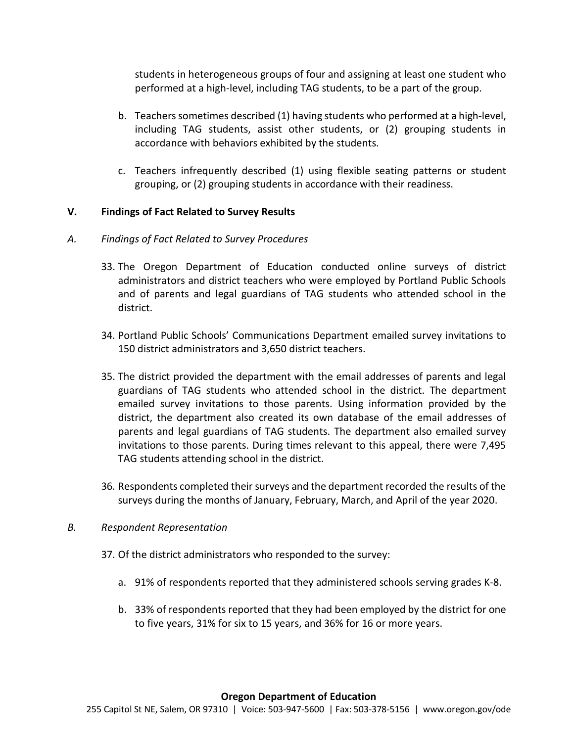students in heterogeneous groups of four and assigning at least one student who performed at a high-level, including TAG students, to be a part of the group.

- b. Teacherssometimes described (1) having students who performed at a high-level, including TAG students, assist other students, or (2) grouping students in accordance with behaviors exhibited by the students.
- c. Teachers infrequently described (1) using flexible seating patterns or student grouping, or (2) grouping students in accordance with their readiness.

### **V. Findings of Fact Related to Survey Results**

#### *A. Findings of Fact Related to Survey Procedures*

- 33. The Oregon Department of Education conducted online surveys of district administrators and district teachers who were employed by Portland Public Schools and of parents and legal guardians of TAG students who attended school in the district.
- 34. Portland Public Schools' Communications Department emailed survey invitations to 150 district administrators and 3,650 district teachers.
- 35. The district provided the department with the email addresses of parents and legal guardians of TAG students who attended school in the district. The department emailed survey invitations to those parents. Using information provided by the district, the department also created its own database of the email addresses of parents and legal guardians of TAG students. The department also emailed survey invitations to those parents. During times relevant to this appeal, there were 7,495 TAG students attending school in the district.
- 36. Respondents completed their surveys and the department recorded the results of the surveys during the months of January, February, March, and April of the year 2020.

#### *B. Respondent Representation*

- 37. Of the district administrators who responded to the survey:
	- a. 91% of respondents reported that they administered schools serving grades K-8.
	- b. 33% of respondents reported that they had been employed by the district for one to five years, 31% for six to 15 years, and 36% for 16 or more years.

#### **Oregon Department of Education**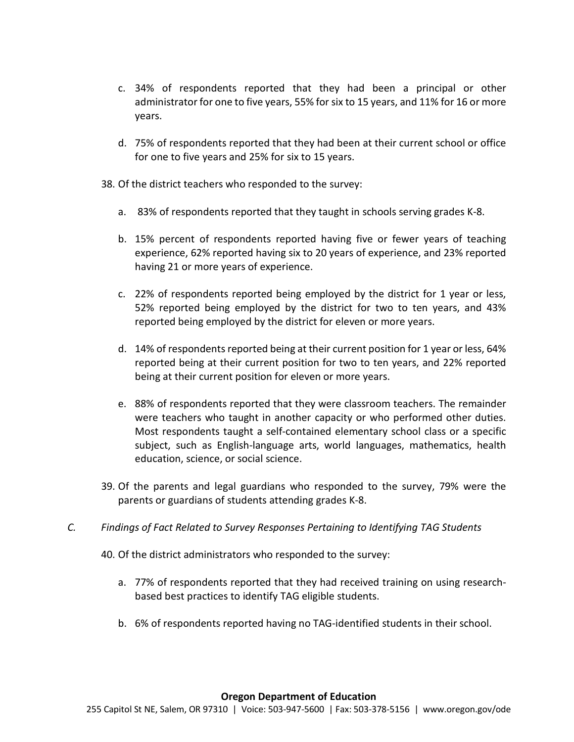- c. 34% of respondents reported that they had been a principal or other administrator for one to five years, 55% for six to 15 years, and 11% for 16 or more years.
- d. 75% of respondents reported that they had been at their current school or office for one to five years and 25% for six to 15 years.
- 38. Of the district teachers who responded to the survey:
	- a. 83% of respondents reported that they taught in schools serving grades K-8.
	- b. 15% percent of respondents reported having five or fewer years of teaching experience, 62% reported having six to 20 years of experience, and 23% reported having 21 or more years of experience.
	- c. 22% of respondents reported being employed by the district for 1 year or less, 52% reported being employed by the district for two to ten years, and 43% reported being employed by the district for eleven or more years.
	- d. 14% of respondents reported being at their current position for 1 year or less, 64% reported being at their current position for two to ten years, and 22% reported being at their current position for eleven or more years.
	- e. 88% of respondents reported that they were classroom teachers. The remainder were teachers who taught in another capacity or who performed other duties. Most respondents taught a self-contained elementary school class or a specific subject, such as English-language arts, world languages, mathematics, health education, science, or social science.
- 39. Of the parents and legal guardians who responded to the survey, 79% were the parents or guardians of students attending grades K-8.
- *C. Findings of Fact Related to Survey Responses Pertaining to Identifying TAG Students* 
	- 40. Of the district administrators who responded to the survey:
		- a. 77% of respondents reported that they had received training on using researchbased best practices to identify TAG eligible students.
		- b. 6% of respondents reported having no TAG-identified students in their school.

#### **Oregon Department of Education**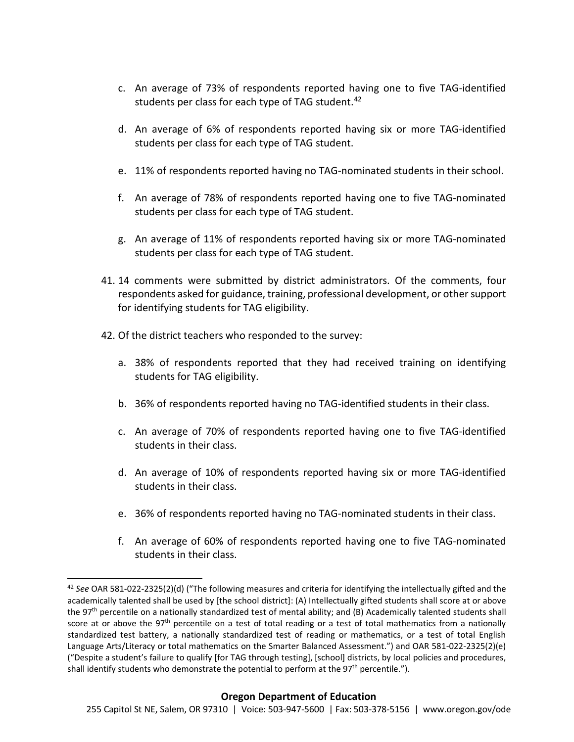- c. An average of 73% of respondents reported having one to five TAG-identified students per class for each type of TAG student.<sup>[42](#page-28-0)</sup>
- d. An average of 6% of respondents reported having six or more TAG-identified students per class for each type of TAG student.
- e. 11% of respondents reported having no TAG-nominated students in their school.
- f. An average of 78% of respondents reported having one to five TAG-nominated students per class for each type of TAG student.
- g. An average of 11% of respondents reported having six or more TAG-nominated students per class for each type of TAG student.
- 41. 14 comments were submitted by district administrators. Of the comments, four respondents asked for guidance, training, professional development, or other support for identifying students for TAG eligibility.
- 42. Of the district teachers who responded to the survey:
	- a. 38% of respondents reported that they had received training on identifying students for TAG eligibility.
	- b. 36% of respondents reported having no TAG-identified students in their class.
	- c. An average of 70% of respondents reported having one to five TAG-identified students in their class.
	- d. An average of 10% of respondents reported having six or more TAG-identified students in their class.
	- e. 36% of respondents reported having no TAG-nominated students in their class.
	- f. An average of 60% of respondents reported having one to five TAG-nominated students in their class.

#### **Oregon Department of Education**

<span id="page-28-0"></span> <sup>42</sup> *See* OAR 581-022-2325(2)(d) ("The following measures and criteria for identifying the intellectually gifted and the academically talented shall be used by [the school district]: (A) Intellectually gifted students shall score at or above the 97<sup>th</sup> percentile on a nationally standardized test of mental ability; and (B) Academically talented students shall score at or above the 97<sup>th</sup> percentile on a test of total reading or a test of total mathematics from a nationally standardized test battery, a nationally standardized test of reading or mathematics, or a test of total English Language Arts/Literacy or total mathematics on the Smarter Balanced Assessment.") and OAR 581-022-2325(2)(e) ("Despite a student's failure to qualify [for TAG through testing], [school] districts, by local policies and procedures, shall identify students who demonstrate the potential to perform at the  $97<sup>th</sup>$  percentile.").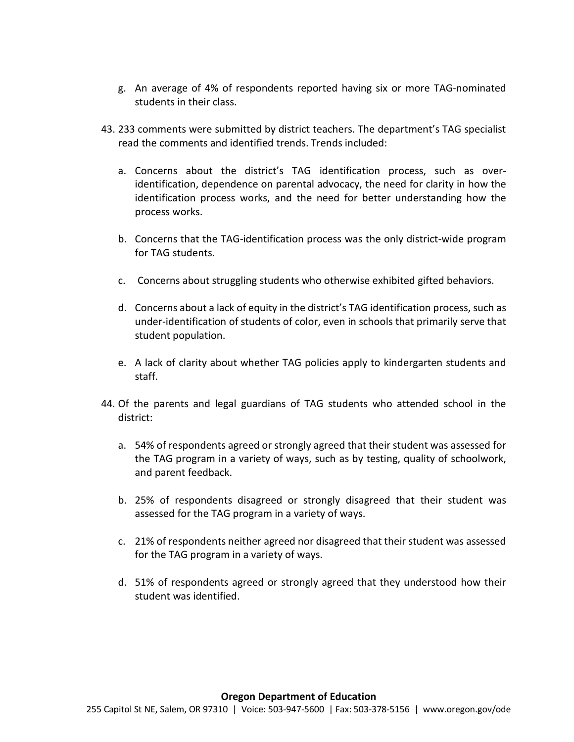- g. An average of 4% of respondents reported having six or more TAG-nominated students in their class.
- 43. 233 comments were submitted by district teachers. The department's TAG specialist read the comments and identified trends. Trends included:
	- a. Concerns about the district's TAG identification process, such as overidentification, dependence on parental advocacy, the need for clarity in how the identification process works, and the need for better understanding how the process works.
	- b. Concerns that the TAG-identification process was the only district-wide program for TAG students.
	- c. Concerns about struggling students who otherwise exhibited gifted behaviors.
	- d. Concerns about a lack of equity in the district's TAG identification process, such as under-identification of students of color, even in schools that primarily serve that student population.
	- e. A lack of clarity about whether TAG policies apply to kindergarten students and staff.
- 44. Of the parents and legal guardians of TAG students who attended school in the district:
	- a. 54% of respondents agreed or strongly agreed that their student was assessed for the TAG program in a variety of ways, such as by testing, quality of schoolwork, and parent feedback.
	- b. 25% of respondents disagreed or strongly disagreed that their student was assessed for the TAG program in a variety of ways.
	- c. 21% of respondents neither agreed nor disagreed that their student was assessed for the TAG program in a variety of ways.
	- d. 51% of respondents agreed or strongly agreed that they understood how their student was identified.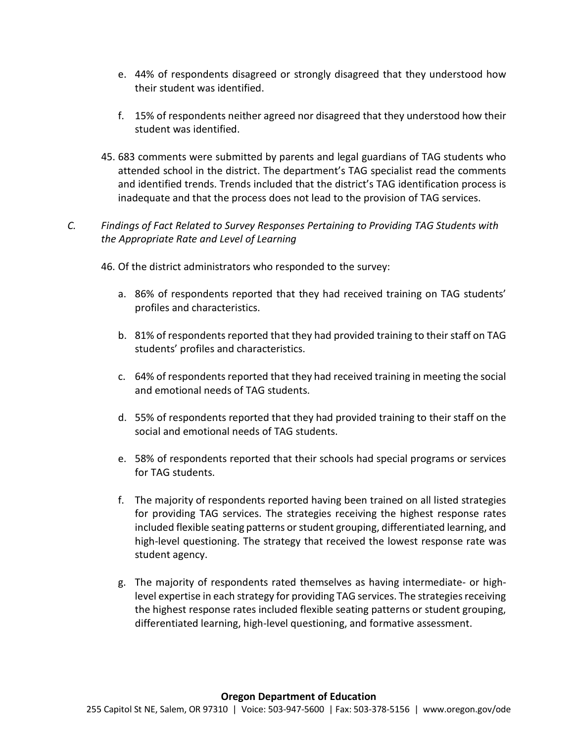- e. 44% of respondents disagreed or strongly disagreed that they understood how their student was identified.
- f. 15% of respondents neither agreed nor disagreed that they understood how their student was identified.
- 45. 683 comments were submitted by parents and legal guardians of TAG students who attended school in the district. The department's TAG specialist read the comments and identified trends. Trends included that the district's TAG identification process is inadequate and that the process does not lead to the provision of TAG services.

# *C. Findings of Fact Related to Survey Responses Pertaining to Providing TAG Students with the Appropriate Rate and Level of Learning*

- 46. Of the district administrators who responded to the survey:
	- a. 86% of respondents reported that they had received training on TAG students' profiles and characteristics.
	- b. 81% of respondents reported that they had provided training to their staff on TAG students' profiles and characteristics.
	- c. 64% of respondents reported that they had received training in meeting the social and emotional needs of TAG students.
	- d. 55% of respondents reported that they had provided training to their staff on the social and emotional needs of TAG students.
	- e. 58% of respondents reported that their schools had special programs or services for TAG students.
	- f. The majority of respondents reported having been trained on all listed strategies for providing TAG services. The strategies receiving the highest response rates included flexible seating patterns or student grouping, differentiated learning, and high-level questioning. The strategy that received the lowest response rate was student agency.
	- g. The majority of respondents rated themselves as having intermediate- or highlevel expertise in each strategy for providing TAG services. The strategies receiving the highest response rates included flexible seating patterns or student grouping, differentiated learning, high-level questioning, and formative assessment.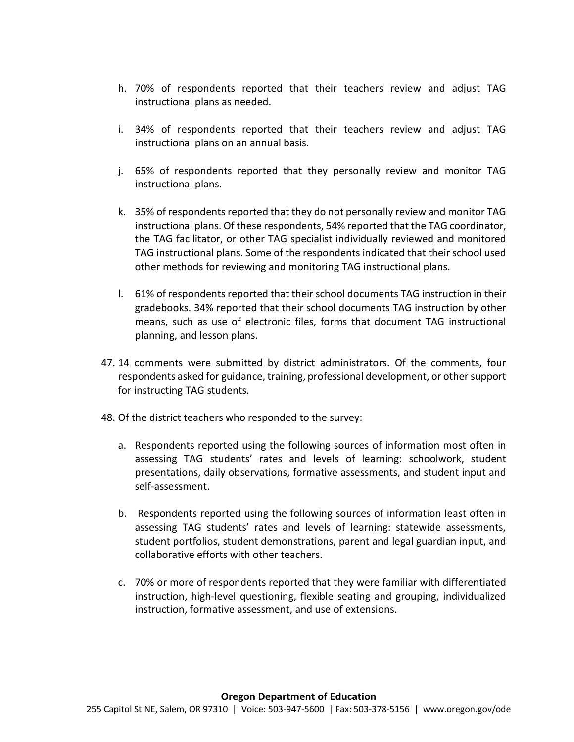- h. 70% of respondents reported that their teachers review and adjust TAG instructional plans as needed.
- i. 34% of respondents reported that their teachers review and adjust TAG instructional plans on an annual basis.
- j. 65% of respondents reported that they personally review and monitor TAG instructional plans.
- k. 35% of respondents reported that they do not personally review and monitor TAG instructional plans. Of these respondents, 54% reported that the TAG coordinator, the TAG facilitator, or other TAG specialist individually reviewed and monitored TAG instructional plans. Some of the respondents indicated that their school used other methods for reviewing and monitoring TAG instructional plans.
- l. 61% of respondents reported that their school documents TAG instruction in their gradebooks. 34% reported that their school documents TAG instruction by other means, such as use of electronic files, forms that document TAG instructional planning, and lesson plans.
- 47. 14 comments were submitted by district administrators. Of the comments, four respondents asked for guidance, training, professional development, or other support for instructing TAG students.
- 48. Of the district teachers who responded to the survey:
	- a. Respondents reported using the following sources of information most often in assessing TAG students' rates and levels of learning: schoolwork, student presentations, daily observations, formative assessments, and student input and self-assessment.
	- b. Respondents reported using the following sources of information least often in assessing TAG students' rates and levels of learning: statewide assessments, student portfolios, student demonstrations, parent and legal guardian input, and collaborative efforts with other teachers.
	- c. 70% or more of respondents reported that they were familiar with differentiated instruction, high-level questioning, flexible seating and grouping, individualized instruction, formative assessment, and use of extensions.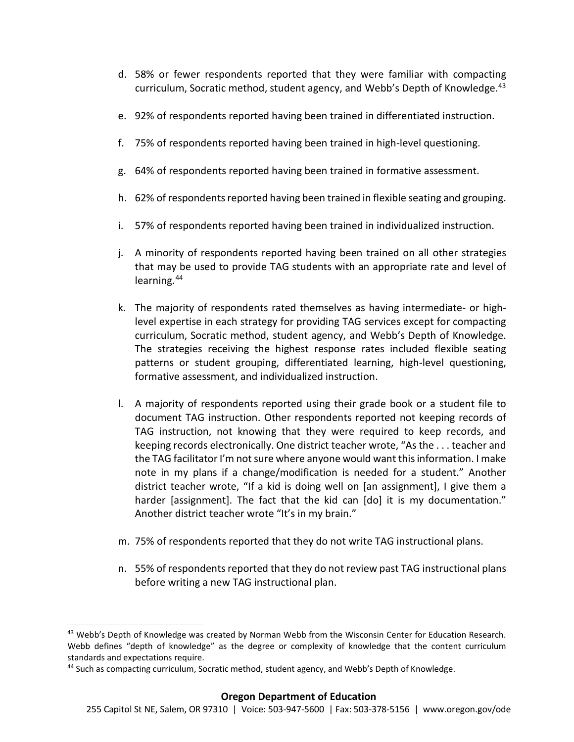- d. 58% or fewer respondents reported that they were familiar with compacting curriculum, Socratic method, student agency, and Webb's Depth of Knowledge.<sup>[43](#page-32-0)</sup>
- e. 92% of respondents reported having been trained in differentiated instruction.
- f. 75% of respondents reported having been trained in high-level questioning.
- g. 64% of respondents reported having been trained in formative assessment.
- h. 62% of respondents reported having been trained in flexible seating and grouping.
- i. 57% of respondents reported having been trained in individualized instruction.
- j. A minority of respondents reported having been trained on all other strategies that may be used to provide TAG students with an appropriate rate and level of learning.[44](#page-32-1)
- k. The majority of respondents rated themselves as having intermediate- or highlevel expertise in each strategy for providing TAG services except for compacting curriculum, Socratic method, student agency, and Webb's Depth of Knowledge. The strategies receiving the highest response rates included flexible seating patterns or student grouping, differentiated learning, high-level questioning, formative assessment, and individualized instruction.
- l. A majority of respondents reported using their grade book or a student file to document TAG instruction. Other respondents reported not keeping records of TAG instruction, not knowing that they were required to keep records, and keeping records electronically. One district teacher wrote, "As the . . . teacher and the TAG facilitator I'm not sure where anyone would want this information. I make note in my plans if a change/modification is needed for a student." Another district teacher wrote, "If a kid is doing well on [an assignment], I give them a harder [assignment]. The fact that the kid can [do] it is my documentation." Another district teacher wrote "It's in my brain."
- m. 75% of respondents reported that they do not write TAG instructional plans.
- n. 55% of respondents reported that they do not review past TAG instructional plans before writing a new TAG instructional plan.

<span id="page-32-0"></span><sup>&</sup>lt;sup>43</sup> Webb's Depth of Knowledge was created by Norman Webb from the Wisconsin Center for Education Research. Webb defines "depth of knowledge" as the degree or complexity of knowledge that the content curriculum standards and expectations require.

<span id="page-32-1"></span><sup>&</sup>lt;sup>44</sup> Such as compacting curriculum, Socratic method, student agency, and Webb's Depth of Knowledge.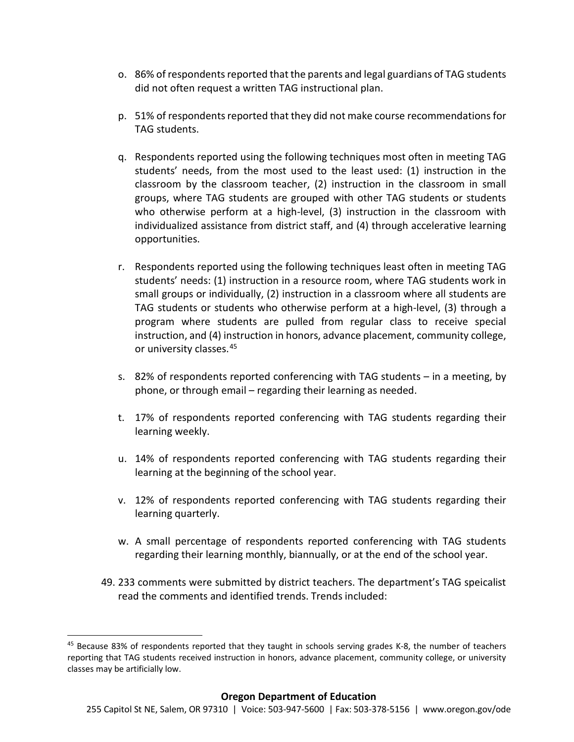- o. 86% of respondents reported that the parents and legal guardians of TAG students did not often request a written TAG instructional plan.
- p. 51% of respondents reported that they did not make course recommendations for TAG students.
- q. Respondents reported using the following techniques most often in meeting TAG students' needs, from the most used to the least used: (1) instruction in the classroom by the classroom teacher, (2) instruction in the classroom in small groups, where TAG students are grouped with other TAG students or students who otherwise perform at a high-level, (3) instruction in the classroom with individualized assistance from district staff, and (4) through accelerative learning opportunities.
- r. Respondents reported using the following techniques least often in meeting TAG students' needs: (1) instruction in a resource room, where TAG students work in small groups or individually, (2) instruction in a classroom where all students are TAG students or students who otherwise perform at a high-level, (3) through a program where students are pulled from regular class to receive special instruction, and (4) instruction in honors, advance placement, community college, or university classes.<sup>[45](#page-33-0)</sup>
- s. 82% of respondents reported conferencing with TAG students in a meeting, by phone, or through email – regarding their learning as needed.
- t. 17% of respondents reported conferencing with TAG students regarding their learning weekly.
- u. 14% of respondents reported conferencing with TAG students regarding their learning at the beginning of the school year.
- v. 12% of respondents reported conferencing with TAG students regarding their learning quarterly.
- w. A small percentage of respondents reported conferencing with TAG students regarding their learning monthly, biannually, or at the end of the school year.
- 49. 233 comments were submitted by district teachers. The department's TAG speicalist read the comments and identified trends. Trends included:

<span id="page-33-0"></span><sup>&</sup>lt;sup>45</sup> Because 83% of respondents reported that they taught in schools serving grades K-8, the number of teachers reporting that TAG students received instruction in honors, advance placement, community college, or university classes may be artificially low.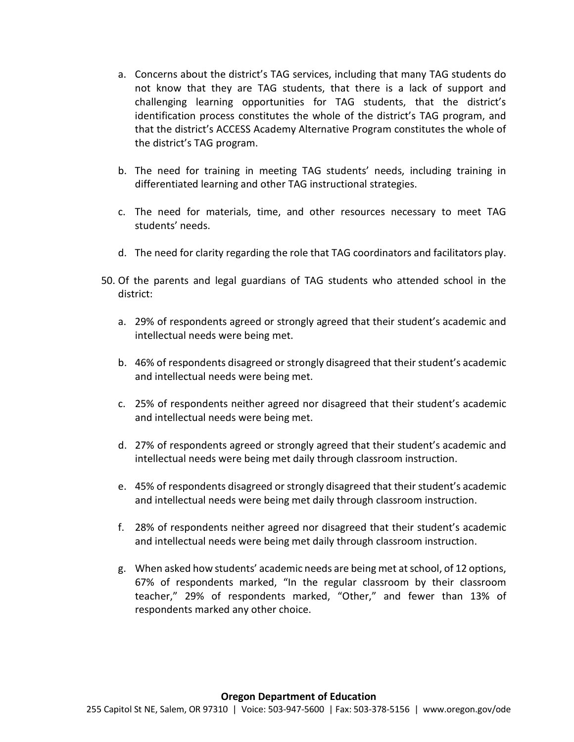- a. Concerns about the district's TAG services, including that many TAG students do not know that they are TAG students, that there is a lack of support and challenging learning opportunities for TAG students, that the district's identification process constitutes the whole of the district's TAG program, and that the district's ACCESS Academy Alternative Program constitutes the whole of the district's TAG program.
- b. The need for training in meeting TAG students' needs, including training in differentiated learning and other TAG instructional strategies.
- c. The need for materials, time, and other resources necessary to meet TAG students' needs.
- d. The need for clarity regarding the role that TAG coordinators and facilitators play.
- 50. Of the parents and legal guardians of TAG students who attended school in the district:
	- a. 29% of respondents agreed or strongly agreed that their student's academic and intellectual needs were being met.
	- b. 46% of respondents disagreed or strongly disagreed that their student's academic and intellectual needs were being met.
	- c. 25% of respondents neither agreed nor disagreed that their student's academic and intellectual needs were being met.
	- d. 27% of respondents agreed or strongly agreed that their student's academic and intellectual needs were being met daily through classroom instruction.
	- e. 45% of respondents disagreed or strongly disagreed that their student's academic and intellectual needs were being met daily through classroom instruction.
	- f. 28% of respondents neither agreed nor disagreed that their student's academic and intellectual needs were being met daily through classroom instruction.
	- g. When asked how students' academic needs are being met at school, of 12 options, 67% of respondents marked, "In the regular classroom by their classroom teacher," 29% of respondents marked, "Other," and fewer than 13% of respondents marked any other choice.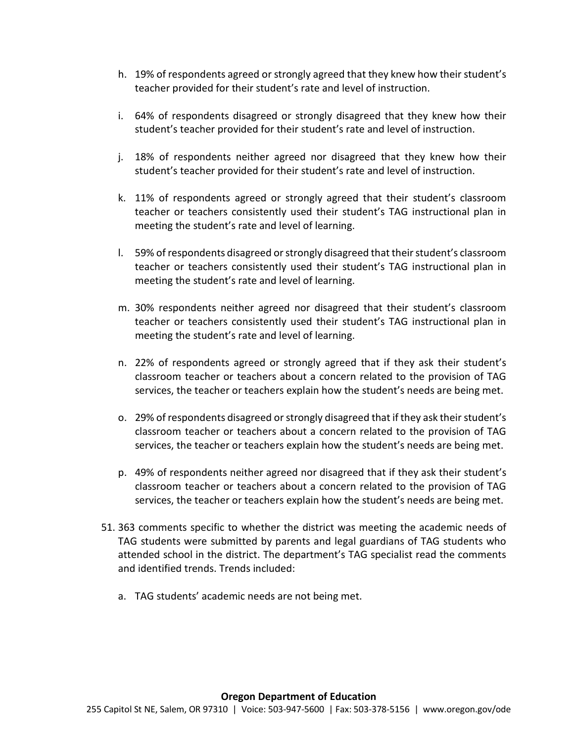- h. 19% of respondents agreed or strongly agreed that they knew how their student's teacher provided for their student's rate and level of instruction.
- i. 64% of respondents disagreed or strongly disagreed that they knew how their student's teacher provided for their student's rate and level of instruction.
- j. 18% of respondents neither agreed nor disagreed that they knew how their student's teacher provided for their student's rate and level of instruction.
- k. 11% of respondents agreed or strongly agreed that their student's classroom teacher or teachers consistently used their student's TAG instructional plan in meeting the student's rate and level of learning.
- l. 59% of respondents disagreed or strongly disagreed that their student's classroom teacher or teachers consistently used their student's TAG instructional plan in meeting the student's rate and level of learning.
- m. 30% respondents neither agreed nor disagreed that their student's classroom teacher or teachers consistently used their student's TAG instructional plan in meeting the student's rate and level of learning.
- n. 22% of respondents agreed or strongly agreed that if they ask their student's classroom teacher or teachers about a concern related to the provision of TAG services, the teacher or teachers explain how the student's needs are being met.
- o. 29% of respondents disagreed or strongly disagreed that if they ask their student's classroom teacher or teachers about a concern related to the provision of TAG services, the teacher or teachers explain how the student's needs are being met.
- p. 49% of respondents neither agreed nor disagreed that if they ask their student's classroom teacher or teachers about a concern related to the provision of TAG services, the teacher or teachers explain how the student's needs are being met.
- 51. 363 comments specific to whether the district was meeting the academic needs of TAG students were submitted by parents and legal guardians of TAG students who attended school in the district. The department's TAG specialist read the comments and identified trends. Trends included:
	- a. TAG students' academic needs are not being met.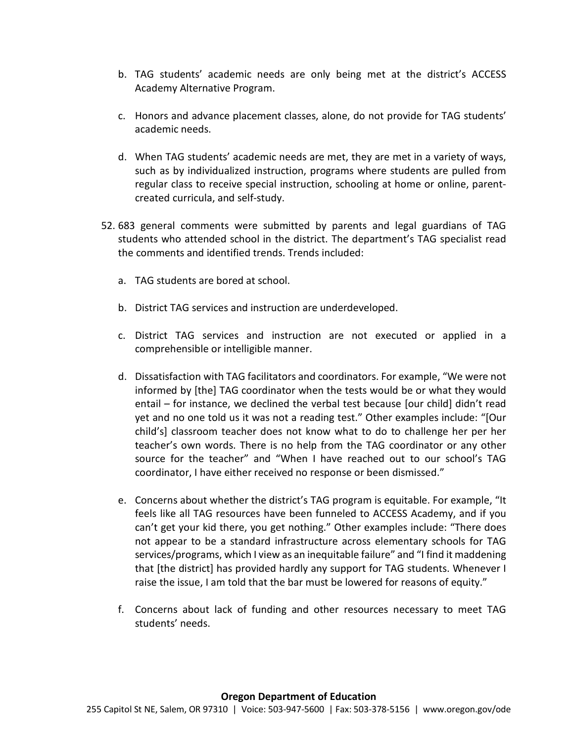- b. TAG students' academic needs are only being met at the district's ACCESS Academy Alternative Program.
- c. Honors and advance placement classes, alone, do not provide for TAG students' academic needs.
- d. When TAG students' academic needs are met, they are met in a variety of ways, such as by individualized instruction, programs where students are pulled from regular class to receive special instruction, schooling at home or online, parentcreated curricula, and self-study.
- 52. 683 general comments were submitted by parents and legal guardians of TAG students who attended school in the district. The department's TAG specialist read the comments and identified trends. Trends included:
	- a. TAG students are bored at school.
	- b. District TAG services and instruction are underdeveloped.
	- c. District TAG services and instruction are not executed or applied in a comprehensible or intelligible manner.
	- d. Dissatisfaction with TAG facilitators and coordinators. For example, "We were not informed by [the] TAG coordinator when the tests would be or what they would entail – for instance, we declined the verbal test because [our child] didn't read yet and no one told us it was not a reading test." Other examples include: "[Our child's] classroom teacher does not know what to do to challenge her per her teacher's own words. There is no help from the TAG coordinator or any other source for the teacher" and "When I have reached out to our school's TAG coordinator, I have either received no response or been dismissed."
	- e. Concerns about whether the district's TAG program is equitable. For example, "It feels like all TAG resources have been funneled to ACCESS Academy, and if you can't get your kid there, you get nothing." Other examples include: "There does not appear to be a standard infrastructure across elementary schools for TAG services/programs, which I view as an inequitable failure" and "I find it maddening that [the district] has provided hardly any support for TAG students. Whenever I raise the issue, I am told that the bar must be lowered for reasons of equity."
	- f. Concerns about lack of funding and other resources necessary to meet TAG students' needs.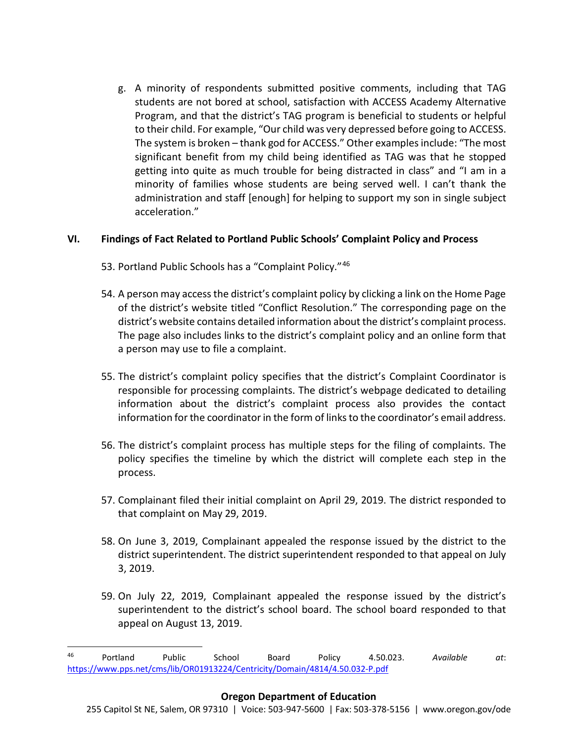g. A minority of respondents submitted positive comments, including that TAG students are not bored at school, satisfaction with ACCESS Academy Alternative Program, and that the district's TAG program is beneficial to students or helpful to their child. For example, "Our child was very depressed before going to ACCESS. The system is broken – thank god for ACCESS." Other examples include: "The most significant benefit from my child being identified as TAG was that he stopped getting into quite as much trouble for being distracted in class" and "I am in a minority of families whose students are being served well. I can't thank the administration and staff [enough] for helping to support my son in single subject acceleration."

#### **VI. Findings of Fact Related to Portland Public Schools' Complaint Policy and Process**

- 53. Portland Public Schools has a "Complaint Policy."<sup>[46](#page-37-0)</sup>
- 54. A person may access the district's complaint policy by clicking a link on the Home Page of the district's website titled "Conflict Resolution." The corresponding page on the district's website contains detailed information about the district's complaint process. The page also includes links to the district's complaint policy and an online form that a person may use to file a complaint.
- 55. The district's complaint policy specifies that the district's Complaint Coordinator is responsible for processing complaints. The district's webpage dedicated to detailing information about the district's complaint process also provides the contact information for the coordinator in the form of links to the coordinator's email address.
- 56. The district's complaint process has multiple steps for the filing of complaints. The policy specifies the timeline by which the district will complete each step in the process.
- 57. Complainant filed their initial complaint on April 29, 2019. The district responded to that complaint on May 29, 2019.
- 58. On June 3, 2019, Complainant appealed the response issued by the district to the district superintendent. The district superintendent responded to that appeal on July 3, 2019.
- 59. On July 22, 2019, Complainant appealed the response issued by the district's superintendent to the district's school board. The school board responded to that appeal on August 13, 2019.

<span id="page-37-0"></span> <sup>46</sup> Portland Public School Board Policy 4.50.023. *Available at*: <https://www.pps.net/cms/lib/OR01913224/Centricity/Domain/4814/4.50.032-P.pdf>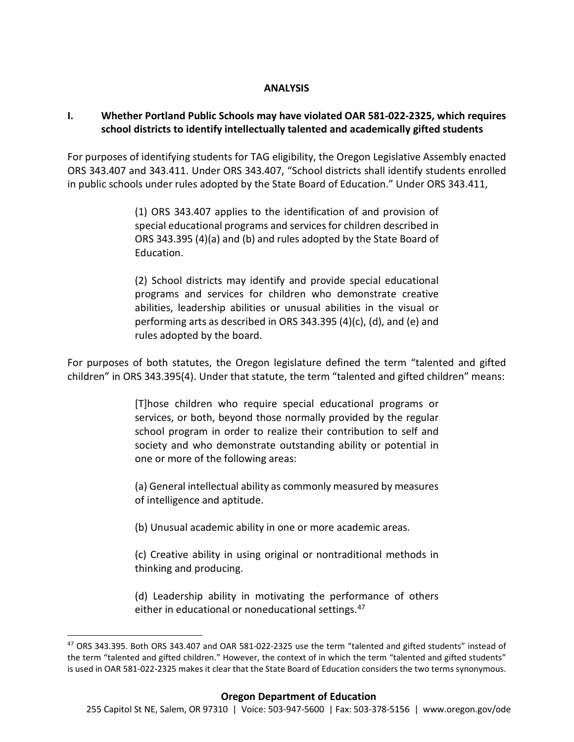#### **ANALYSIS**

#### **I. Whether Portland Public Schools may have violated OAR 581-022-2325, which requires school districts to identify intellectually talented and academically gifted students**

For purposes of identifying students for TAG eligibility, the Oregon Legislative Assembly enacted ORS 343.407 and 343.411. Under ORS 343.407, "School districts shall identify students enrolled in public schools under rules adopted by the State Board of Education." Under ORS 343.411,

> (1) ORS 343.407 applies to the identification of and provision of special educational programs and services for children described in ORS 343.395 (4)(a) and (b) and rules adopted by the State Board of Education.

> (2) School districts may identify and provide special educational programs and services for children who demonstrate creative abilities, leadership abilities or unusual abilities in the visual or performing arts as described in ORS 343.395 (4)(c), (d), and (e) and rules adopted by the board.

For purposes of both statutes, the Oregon legislature defined the term "talented and gifted children" in ORS 343.395(4). Under that statute, the term "talented and gifted children" means:

> [T]hose children who require special educational programs or services, or both, beyond those normally provided by the regular school program in order to realize their contribution to self and society and who demonstrate outstanding ability or potential in one or more of the following areas:

> (a) General intellectual ability as commonly measured by measures of intelligence and aptitude.

(b) Unusual academic ability in one or more academic areas.

(c) Creative ability in using original or nontraditional methods in thinking and producing.

(d) Leadership ability in motivating the performance of others either in educational or noneducational settings.<sup>[47](#page-38-0)</sup>

<span id="page-38-0"></span> <sup>47</sup> ORS 343.395. Both ORS 343.407 and OAR 581-022-2325 use the term "talented and gifted students" instead of the term "talented and gifted children." However, the context of in which the term "talented and gifted students" is used in OAR 581-022-2325 makes it clear that the State Board of Education considers the two terms synonymous.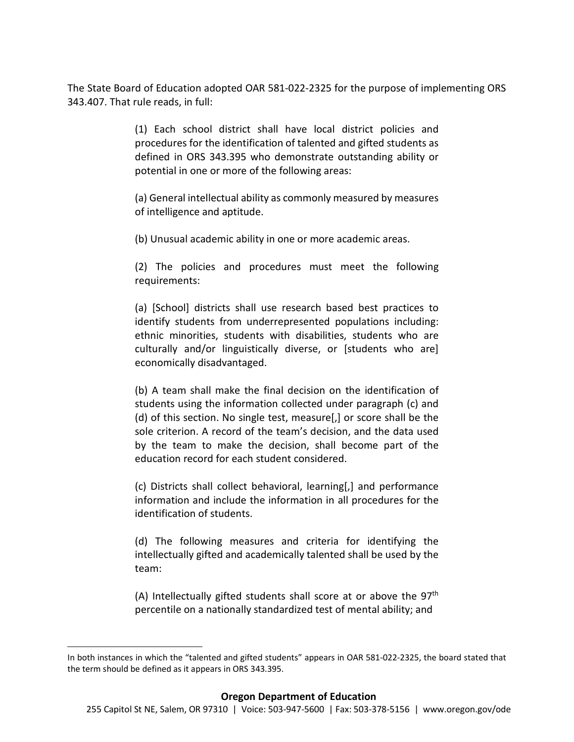The State Board of Education adopted OAR 581-022-2325 for the purpose of implementing ORS 343.407. That rule reads, in full:

> (1) Each school district shall have local district policies and procedures for the identification of talented and gifted students as defined in ORS 343.395 who demonstrate outstanding ability or potential in one or more of the following areas:

> (a) General intellectual ability as commonly measured by measures of intelligence and aptitude.

(b) Unusual academic ability in one or more academic areas.

(2) The policies and procedures must meet the following requirements:

(a) [School] districts shall use research based best practices to identify students from underrepresented populations including: ethnic minorities, students with disabilities, students who are culturally and/or linguistically diverse, or [students who are] economically disadvantaged.

(b) A team shall make the final decision on the identification of students using the information collected under paragraph (c) and (d) of this section. No single test, measure[,] or score shall be the sole criterion. A record of the team's decision, and the data used by the team to make the decision, shall become part of the education record for each student considered.

(c) Districts shall collect behavioral, learning[,] and performance information and include the information in all procedures for the identification of students.

(d) The following measures and criteria for identifying the intellectually gifted and academically talented shall be used by the team:

(A) Intellectually gifted students shall score at or above the 97<sup>th</sup> percentile on a nationally standardized test of mental ability; and

 $\overline{\phantom{a}}$ 

In both instances in which the "talented and gifted students" appears in OAR 581-022-2325, the board stated that the term should be defined as it appears in ORS 343.395.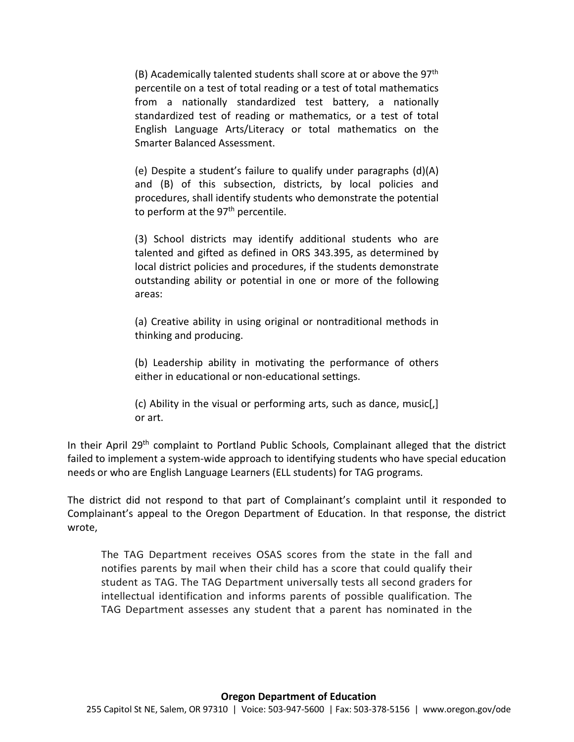$(B)$  Academically talented students shall score at or above the 97<sup>th</sup> percentile on a test of total reading or a test of total mathematics from a nationally standardized test battery, a nationally standardized test of reading or mathematics, or a test of total English Language Arts/Literacy or total mathematics on the Smarter Balanced Assessment.

(e) Despite a student's failure to qualify under paragraphs (d)(A) and (B) of this subsection, districts, by local policies and procedures, shall identify students who demonstrate the potential to perform at the 97<sup>th</sup> percentile.

(3) School districts may identify additional students who are talented and gifted as defined in ORS 343.395, as determined by local district policies and procedures, if the students demonstrate outstanding ability or potential in one or more of the following areas:

(a) Creative ability in using original or nontraditional methods in thinking and producing.

(b) Leadership ability in motivating the performance of others either in educational or non-educational settings.

(c) Ability in the visual or performing arts, such as dance, music[,] or art.

In their April 29<sup>th</sup> complaint to Portland Public Schools, Complainant alleged that the district failed to implement a system-wide approach to identifying students who have special education needs or who are English Language Learners (ELL students) for TAG programs.

The district did not respond to that part of Complainant's complaint until it responded to Complainant's appeal to the Oregon Department of Education. In that response, the district wrote,

The TAG Department receives OSAS scores from the state in the fall and notifies parents by mail when their child has a score that could qualify their student as TAG. The TAG Department universally tests all second graders for intellectual identification and informs parents of possible qualification. The TAG Department assesses any student that a parent has nominated in the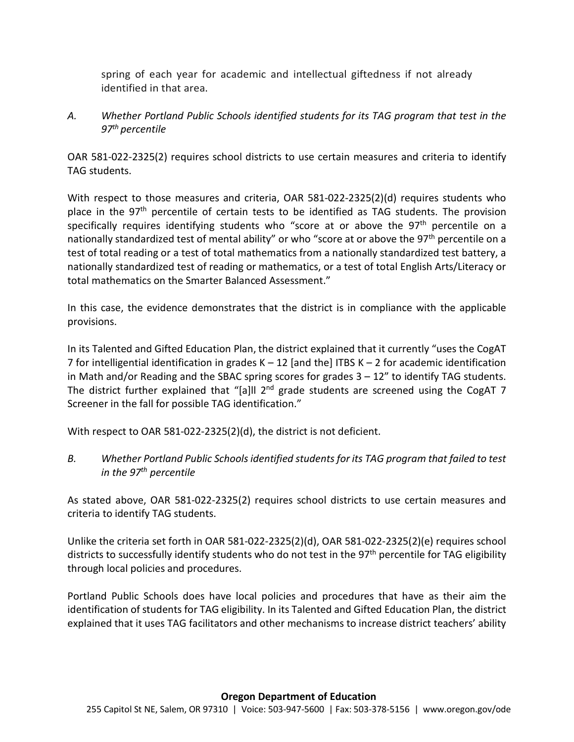spring of each year for academic and intellectual giftedness if not already identified in that area.

*A. Whether Portland Public Schools identified students for its TAG program that test in the 97th percentile*

OAR 581-022-2325(2) requires school districts to use certain measures and criteria to identify TAG students.

With respect to those measures and criteria, OAR 581-022-2325(2)(d) requires students who place in the 97<sup>th</sup> percentile of certain tests to be identified as TAG students. The provision specifically requires identifying students who "score at or above the 97<sup>th</sup> percentile on a nationally standardized test of mental ability" or who "score at or above the 97<sup>th</sup> percentile on a test of total reading or a test of total mathematics from a nationally standardized test battery, a nationally standardized test of reading or mathematics, or a test of total English Arts/Literacy or total mathematics on the Smarter Balanced Assessment."

In this case, the evidence demonstrates that the district is in compliance with the applicable provisions.

In its Talented and Gifted Education Plan, the district explained that it currently "uses the CogAT 7 for intelligential identification in grades K – 12 [and the] ITBS K – 2 for academic identification in Math and/or Reading and the SBAC spring scores for grades  $3 - 12$ " to identify TAG students. The district further explained that "[a]ll  $2^{nd}$  grade students are screened using the CogAT 7 Screener in the fall for possible TAG identification."

With respect to OAR 581-022-2325(2)(d), the district is not deficient.

*B. Whether Portland Public Schools identified studentsfor its TAG program that failed to test in the 97th percentile*

As stated above, OAR 581-022-2325(2) requires school districts to use certain measures and criteria to identify TAG students.

Unlike the criteria set forth in OAR 581-022-2325(2)(d), OAR 581-022-2325(2)(e) requires school districts to successfully identify students who do not test in the 97<sup>th</sup> percentile for TAG eligibility through local policies and procedures.

Portland Public Schools does have local policies and procedures that have as their aim the identification of students for TAG eligibility. In its Talented and Gifted Education Plan, the district explained that it uses TAG facilitators and other mechanisms to increase district teachers' ability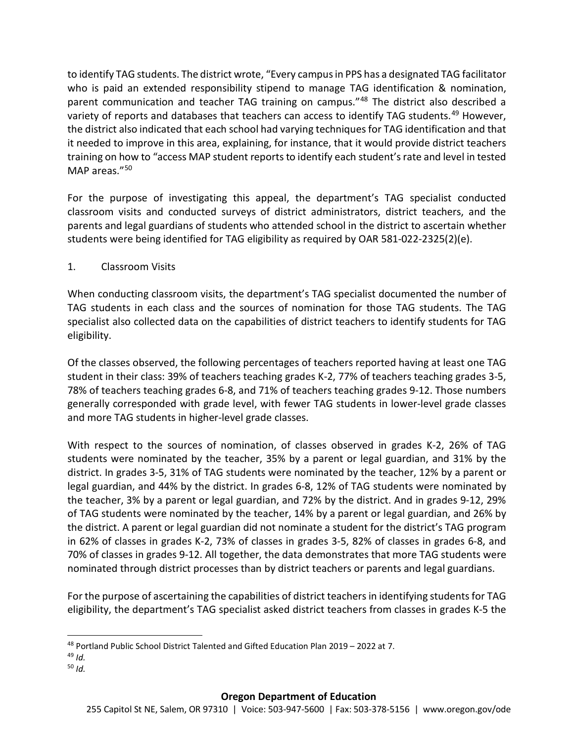to identify TAG students. The district wrote, "Every campus in PPS has a designated TAG facilitator who is paid an extended responsibility stipend to manage TAG identification & nomination, parent communication and teacher TAG training on campus."[48](#page-42-0) The district also described a variety of reports and databases that teachers can access to identify TAG students.<sup>[49](#page-42-1)</sup> However, the district also indicated that each school had varying techniques for TAG identification and that it needed to improve in this area, explaining, for instance, that it would provide district teachers training on how to "access MAP student reports to identify each student's rate and level in tested MAP areas."<sup>[50](#page-42-2)</sup>

For the purpose of investigating this appeal, the department's TAG specialist conducted classroom visits and conducted surveys of district administrators, district teachers, and the parents and legal guardians of students who attended school in the district to ascertain whether students were being identified for TAG eligibility as required by OAR 581-022-2325(2)(e).

## 1. Classroom Visits

When conducting classroom visits, the department's TAG specialist documented the number of TAG students in each class and the sources of nomination for those TAG students. The TAG specialist also collected data on the capabilities of district teachers to identify students for TAG eligibility.

Of the classes observed, the following percentages of teachers reported having at least one TAG student in their class: 39% of teachers teaching grades K-2, 77% of teachers teaching grades 3-5, 78% of teachers teaching grades 6-8, and 71% of teachers teaching grades 9-12. Those numbers generally corresponded with grade level, with fewer TAG students in lower-level grade classes and more TAG students in higher-level grade classes.

With respect to the sources of nomination, of classes observed in grades K-2, 26% of TAG students were nominated by the teacher, 35% by a parent or legal guardian, and 31% by the district. In grades 3-5, 31% of TAG students were nominated by the teacher, 12% by a parent or legal guardian, and 44% by the district. In grades 6-8, 12% of TAG students were nominated by the teacher, 3% by a parent or legal guardian, and 72% by the district. And in grades 9-12, 29% of TAG students were nominated by the teacher, 14% by a parent or legal guardian, and 26% by the district. A parent or legal guardian did not nominate a student for the district's TAG program in 62% of classes in grades K-2, 73% of classes in grades 3-5, 82% of classes in grades 6-8, and 70% of classes in grades 9-12. All together, the data demonstrates that more TAG students were nominated through district processes than by district teachers or parents and legal guardians.

For the purpose of ascertaining the capabilities of district teachers in identifying students for TAG eligibility, the department's TAG specialist asked district teachers from classes in grades K-5 the

<span id="page-42-0"></span> <sup>48</sup> Portland Public School District Talented and Gifted Education Plan 2019 – 2022 at 7.

<span id="page-42-1"></span><sup>49</sup> *Id.*

<span id="page-42-2"></span><sup>50</sup> *Id.*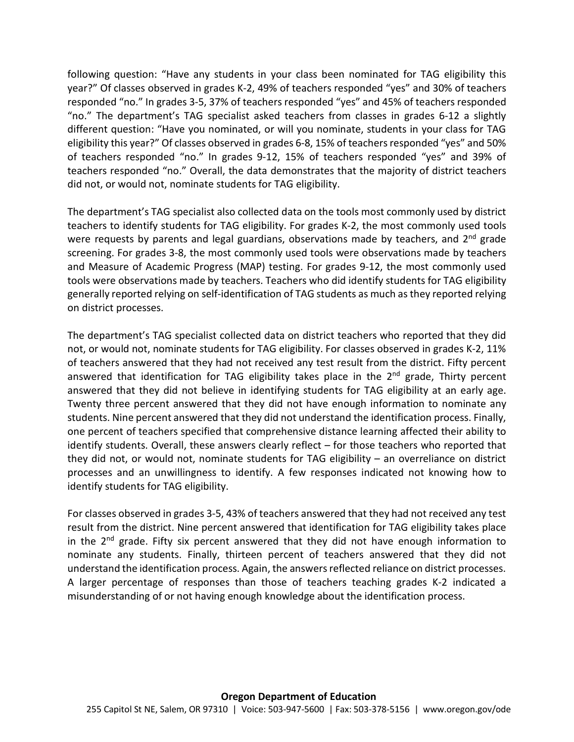following question: "Have any students in your class been nominated for TAG eligibility this year?" Of classes observed in grades K-2, 49% of teachers responded "yes" and 30% of teachers responded "no." In grades 3-5, 37% of teachers responded "yes" and 45% of teachers responded "no." The department's TAG specialist asked teachers from classes in grades 6-12 a slightly different question: "Have you nominated, or will you nominate, students in your class for TAG eligibility this year?" Of classes observed in grades 6-8, 15% of teachers responded "yes" and 50% of teachers responded "no." In grades 9-12, 15% of teachers responded "yes" and 39% of teachers responded "no." Overall, the data demonstrates that the majority of district teachers did not, or would not, nominate students for TAG eligibility.

The department's TAG specialist also collected data on the tools most commonly used by district teachers to identify students for TAG eligibility. For grades K-2, the most commonly used tools were requests by parents and legal guardians, observations made by teachers, and 2<sup>nd</sup> grade screening. For grades 3-8, the most commonly used tools were observations made by teachers and Measure of Academic Progress (MAP) testing. For grades 9-12, the most commonly used tools were observations made by teachers. Teachers who did identify students for TAG eligibility generally reported relying on self-identification of TAG students as much as they reported relying on district processes.

The department's TAG specialist collected data on district teachers who reported that they did not, or would not, nominate students for TAG eligibility. For classes observed in grades K-2, 11% of teachers answered that they had not received any test result from the district. Fifty percent answered that identification for TAG eligibility takes place in the  $2<sup>nd</sup>$  grade, Thirty percent answered that they did not believe in identifying students for TAG eligibility at an early age. Twenty three percent answered that they did not have enough information to nominate any students. Nine percent answered that they did not understand the identification process. Finally, one percent of teachers specified that comprehensive distance learning affected their ability to identify students. Overall, these answers clearly reflect – for those teachers who reported that they did not, or would not, nominate students for TAG eligibility – an overreliance on district processes and an unwillingness to identify. A few responses indicated not knowing how to identify students for TAG eligibility.

For classes observed in grades 3-5, 43% of teachers answered that they had not received any test result from the district. Nine percent answered that identification for TAG eligibility takes place in the  $2<sup>nd</sup>$  grade. Fifty six percent answered that they did not have enough information to nominate any students. Finally, thirteen percent of teachers answered that they did not understand the identification process. Again, the answers reflected reliance on district processes. A larger percentage of responses than those of teachers teaching grades K-2 indicated a misunderstanding of or not having enough knowledge about the identification process.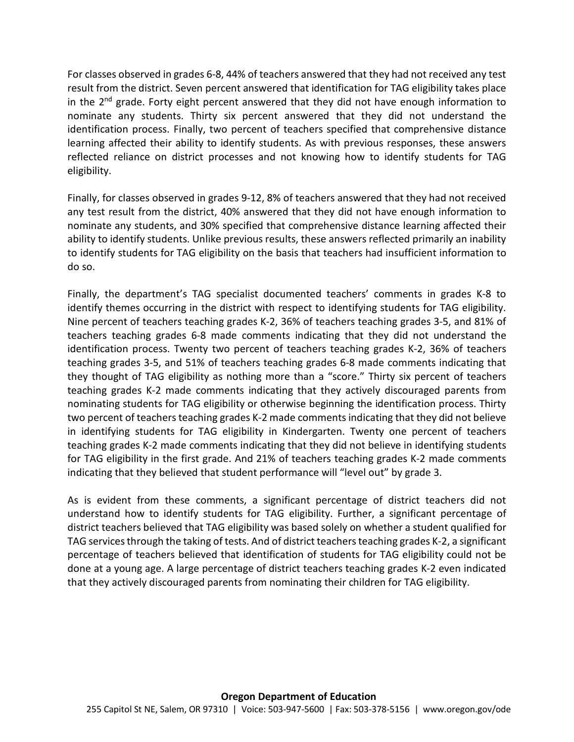For classes observed in grades 6-8, 44% of teachers answered that they had not received any test result from the district. Seven percent answered that identification for TAG eligibility takes place in the  $2<sup>nd</sup>$  grade. Forty eight percent answered that they did not have enough information to nominate any students. Thirty six percent answered that they did not understand the identification process. Finally, two percent of teachers specified that comprehensive distance learning affected their ability to identify students. As with previous responses, these answers reflected reliance on district processes and not knowing how to identify students for TAG eligibility.

Finally, for classes observed in grades 9-12, 8% of teachers answered that they had not received any test result from the district, 40% answered that they did not have enough information to nominate any students, and 30% specified that comprehensive distance learning affected their ability to identify students. Unlike previous results, these answers reflected primarily an inability to identify students for TAG eligibility on the basis that teachers had insufficient information to do so.

Finally, the department's TAG specialist documented teachers' comments in grades K-8 to identify themes occurring in the district with respect to identifying students for TAG eligibility. Nine percent of teachers teaching grades K-2, 36% of teachers teaching grades 3-5, and 81% of teachers teaching grades 6-8 made comments indicating that they did not understand the identification process. Twenty two percent of teachers teaching grades K-2, 36% of teachers teaching grades 3-5, and 51% of teachers teaching grades 6-8 made comments indicating that they thought of TAG eligibility as nothing more than a "score." Thirty six percent of teachers teaching grades K-2 made comments indicating that they actively discouraged parents from nominating students for TAG eligibility or otherwise beginning the identification process. Thirty two percent of teachers teaching grades K-2 made comments indicating that they did not believe in identifying students for TAG eligibility in Kindergarten. Twenty one percent of teachers teaching grades K-2 made comments indicating that they did not believe in identifying students for TAG eligibility in the first grade. And 21% of teachers teaching grades K-2 made comments indicating that they believed that student performance will "level out" by grade 3.

As is evident from these comments, a significant percentage of district teachers did not understand how to identify students for TAG eligibility. Further, a significant percentage of district teachers believed that TAG eligibility was based solely on whether a student qualified for TAG services through the taking of tests. And of district teachers teaching grades K-2, a significant percentage of teachers believed that identification of students for TAG eligibility could not be done at a young age. A large percentage of district teachers teaching grades K-2 even indicated that they actively discouraged parents from nominating their children for TAG eligibility.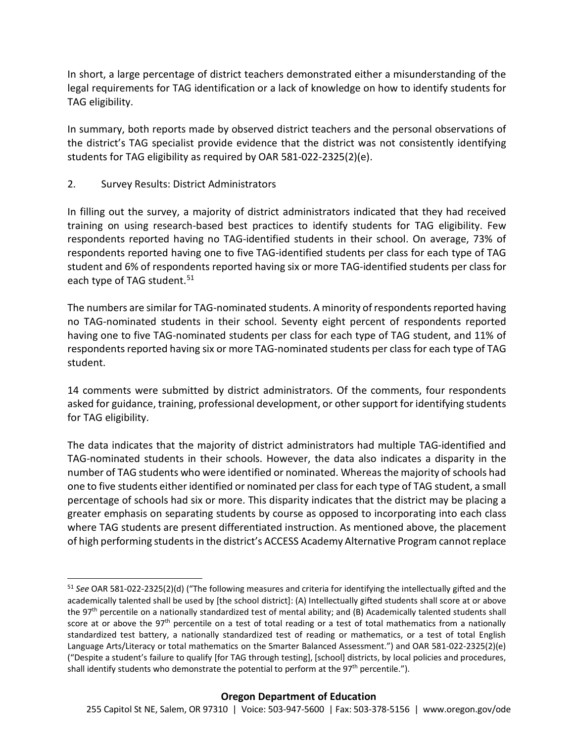In short, a large percentage of district teachers demonstrated either a misunderstanding of the legal requirements for TAG identification or a lack of knowledge on how to identify students for TAG eligibility.

In summary, both reports made by observed district teachers and the personal observations of the district's TAG specialist provide evidence that the district was not consistently identifying students for TAG eligibility as required by OAR 581-022-2325(2)(e).

2. Survey Results: District Administrators

In filling out the survey, a majority of district administrators indicated that they had received training on using research-based best practices to identify students for TAG eligibility. Few respondents reported having no TAG-identified students in their school. On average, 73% of respondents reported having one to five TAG-identified students per class for each type of TAG student and 6% of respondents reported having six or more TAG-identified students per class for each type of TAG student.<sup>[51](#page-45-0)</sup>

The numbers are similar for TAG-nominated students. A minority of respondents reported having no TAG-nominated students in their school. Seventy eight percent of respondents reported having one to five TAG-nominated students per class for each type of TAG student, and 11% of respondents reported having six or more TAG-nominated students per class for each type of TAG student.

14 comments were submitted by district administrators. Of the comments, four respondents asked for guidance, training, professional development, or other support for identifying students for TAG eligibility.

The data indicates that the majority of district administrators had multiple TAG-identified and TAG-nominated students in their schools. However, the data also indicates a disparity in the number of TAG students who were identified or nominated. Whereas the majority of schools had one to five students either identified or nominated per class for each type of TAG student, a small percentage of schools had six or more. This disparity indicates that the district may be placing a greater emphasis on separating students by course as opposed to incorporating into each class where TAG students are present differentiated instruction. As mentioned above, the placement of high performing students in the district's ACCESS Academy Alternative Program cannot replace

<span id="page-45-0"></span> <sup>51</sup> *See* OAR 581-022-2325(2)(d) ("The following measures and criteria for identifying the intellectually gifted and the academically talented shall be used by [the school district]: (A) Intellectually gifted students shall score at or above the 97<sup>th</sup> percentile on a nationally standardized test of mental ability; and (B) Academically talented students shall score at or above the 97<sup>th</sup> percentile on a test of total reading or a test of total mathematics from a nationally standardized test battery, a nationally standardized test of reading or mathematics, or a test of total English Language Arts/Literacy or total mathematics on the Smarter Balanced Assessment.") and OAR 581-022-2325(2)(e) ("Despite a student's failure to qualify [for TAG through testing], [school] districts, by local policies and procedures, shall identify students who demonstrate the potential to perform at the  $97<sup>th</sup>$  percentile.").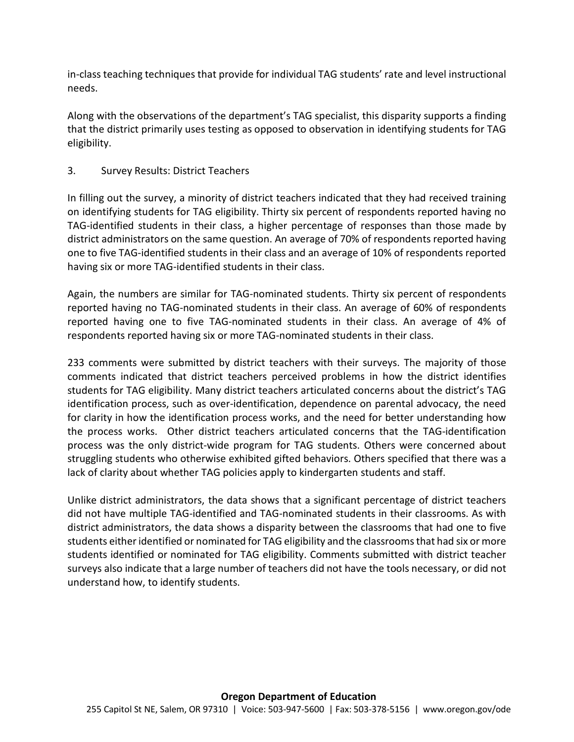in-class teaching techniques that provide for individual TAG students' rate and level instructional needs.

Along with the observations of the department's TAG specialist, this disparity supports a finding that the district primarily uses testing as opposed to observation in identifying students for TAG eligibility.

## 3. Survey Results: District Teachers

In filling out the survey, a minority of district teachers indicated that they had received training on identifying students for TAG eligibility. Thirty six percent of respondents reported having no TAG-identified students in their class, a higher percentage of responses than those made by district administrators on the same question. An average of 70% of respondents reported having one to five TAG-identified students in their class and an average of 10% of respondents reported having six or more TAG-identified students in their class.

Again, the numbers are similar for TAG-nominated students. Thirty six percent of respondents reported having no TAG-nominated students in their class. An average of 60% of respondents reported having one to five TAG-nominated students in their class. An average of 4% of respondents reported having six or more TAG-nominated students in their class.

233 comments were submitted by district teachers with their surveys. The majority of those comments indicated that district teachers perceived problems in how the district identifies students for TAG eligibility. Many district teachers articulated concerns about the district's TAG identification process, such as over-identification, dependence on parental advocacy, the need for clarity in how the identification process works, and the need for better understanding how the process works. Other district teachers articulated concerns that the TAG-identification process was the only district-wide program for TAG students. Others were concerned about struggling students who otherwise exhibited gifted behaviors. Others specified that there was a lack of clarity about whether TAG policies apply to kindergarten students and staff.

Unlike district administrators, the data shows that a significant percentage of district teachers did not have multiple TAG-identified and TAG-nominated students in their classrooms. As with district administrators, the data shows a disparity between the classrooms that had one to five students either identified or nominated for TAG eligibility and the classrooms that had six or more students identified or nominated for TAG eligibility. Comments submitted with district teacher surveys also indicate that a large number of teachers did not have the tools necessary, or did not understand how, to identify students.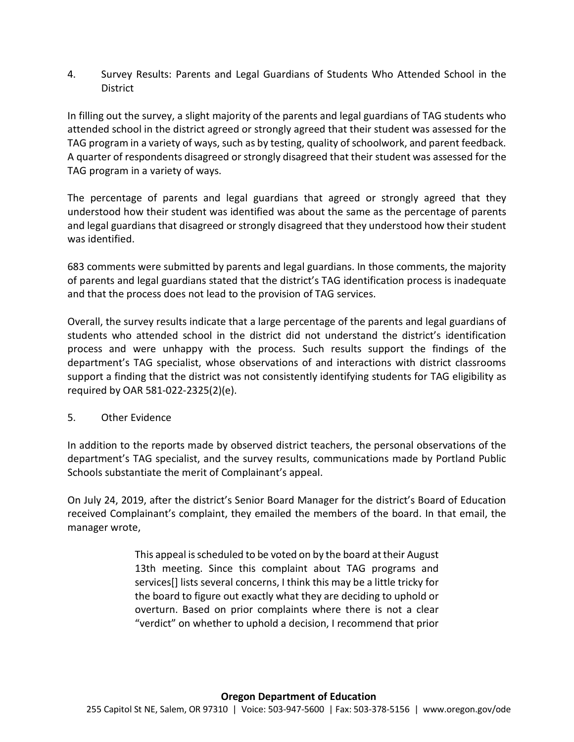4. Survey Results: Parents and Legal Guardians of Students Who Attended School in the District

In filling out the survey, a slight majority of the parents and legal guardians of TAG students who attended school in the district agreed or strongly agreed that their student was assessed for the TAG program in a variety of ways, such as by testing, quality of schoolwork, and parent feedback. A quarter of respondents disagreed or strongly disagreed that their student was assessed for the TAG program in a variety of ways.

The percentage of parents and legal guardians that agreed or strongly agreed that they understood how their student was identified was about the same as the percentage of parents and legal guardians that disagreed or strongly disagreed that they understood how their student was identified.

683 comments were submitted by parents and legal guardians. In those comments, the majority of parents and legal guardians stated that the district's TAG identification process is inadequate and that the process does not lead to the provision of TAG services.

Overall, the survey results indicate that a large percentage of the parents and legal guardians of students who attended school in the district did not understand the district's identification process and were unhappy with the process. Such results support the findings of the department's TAG specialist, whose observations of and interactions with district classrooms support a finding that the district was not consistently identifying students for TAG eligibility as required by OAR 581-022-2325(2)(e).

## 5. Other Evidence

In addition to the reports made by observed district teachers, the personal observations of the department's TAG specialist, and the survey results, communications made by Portland Public Schools substantiate the merit of Complainant's appeal.

On July 24, 2019, after the district's Senior Board Manager for the district's Board of Education received Complainant's complaint, they emailed the members of the board. In that email, the manager wrote,

> This appeal is scheduled to be voted on by the board at their August 13th meeting. Since this complaint about TAG programs and services[] lists several concerns, I think this may be a little tricky for the board to figure out exactly what they are deciding to uphold or overturn. Based on prior complaints where there is not a clear "verdict" on whether to uphold a decision, I recommend that prior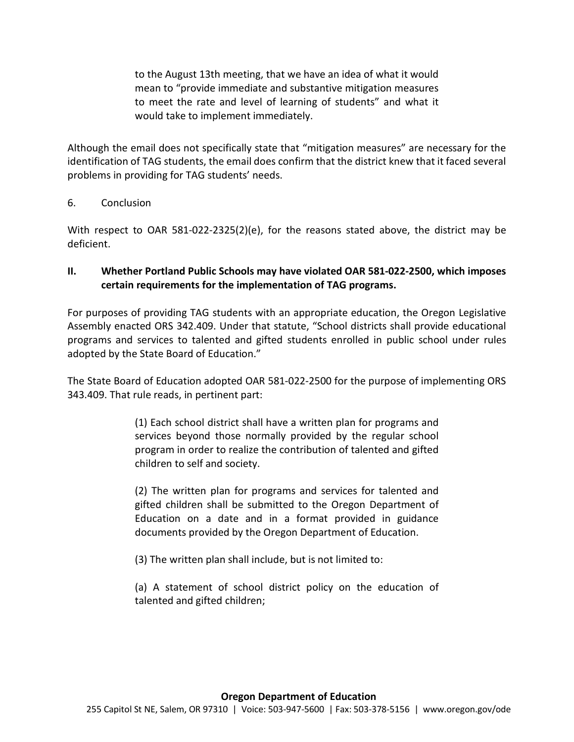to the August 13th meeting, that we have an idea of what it would mean to "provide immediate and substantive mitigation measures to meet the rate and level of learning of students" and what it would take to implement immediately.

Although the email does not specifically state that "mitigation measures" are necessary for the identification of TAG students, the email does confirm that the district knew that it faced several problems in providing for TAG students' needs.

#### 6. Conclusion

With respect to OAR 581-022-2325(2)(e), for the reasons stated above, the district may be deficient.

# **II. Whether Portland Public Schools may have violated OAR 581-022-2500, which imposes certain requirements for the implementation of TAG programs.**

For purposes of providing TAG students with an appropriate education, the Oregon Legislative Assembly enacted ORS 342.409. Under that statute, "School districts shall provide educational programs and services to talented and gifted students enrolled in public school under rules adopted by the State Board of Education."

The State Board of Education adopted OAR 581-022-2500 for the purpose of implementing ORS 343.409. That rule reads, in pertinent part:

> (1) Each school district shall have a written plan for programs and services beyond those normally provided by the regular school program in order to realize the contribution of talented and gifted children to self and society.

> (2) The written plan for programs and services for talented and gifted children shall be submitted to the Oregon Department of Education on a date and in a format provided in guidance documents provided by the Oregon Department of Education.

(3) The written plan shall include, but is not limited to:

(a) A statement of school district policy on the education of talented and gifted children;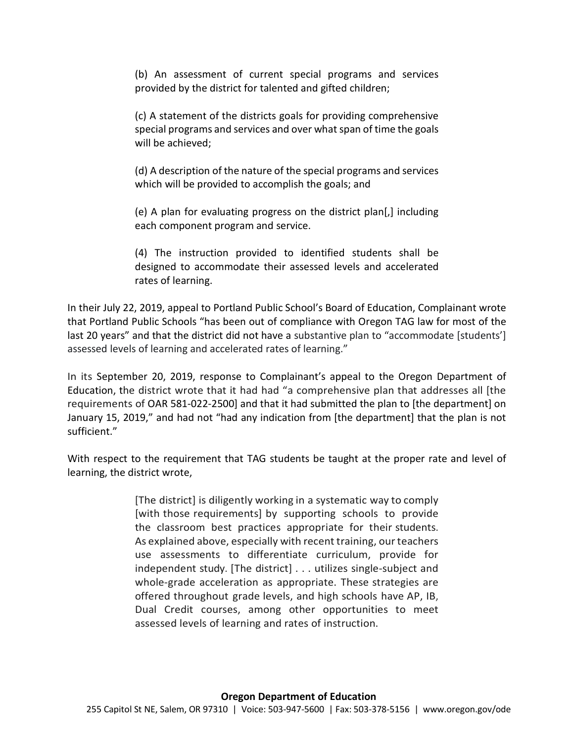(b) An assessment of current special programs and services provided by the district for talented and gifted children;

(c) A statement of the districts goals for providing comprehensive special programs and services and over what span of time the goals will be achieved;

(d) A description of the nature of the special programs and services which will be provided to accomplish the goals; and

(e) A plan for evaluating progress on the district plan[,] including each component program and service.

(4) The instruction provided to identified students shall be designed to accommodate their assessed levels and accelerated rates of learning.

In their July 22, 2019, appeal to Portland Public School's Board of Education, Complainant wrote that Portland Public Schools "has been out of compliance with Oregon TAG law for most of the last 20 years" and that the district did not have a substantive plan to "accommodate [students'] assessed levels of learning and accelerated rates of learning."

In its September 20, 2019, response to Complainant's appeal to the Oregon Department of Education, the district wrote that it had had "a comprehensive plan that addresses all [the requirements of OAR 581-022-2500] and that it had submitted the plan to [the department] on January 15, 2019," and had not "had any indication from [the department] that the plan is not sufficient."

With respect to the requirement that TAG students be taught at the proper rate and level of learning, the district wrote,

> [The district] is diligently working in a systematic way to comply [with those requirements] by supporting schools to provide the classroom best practices appropriate for their students. As explained above, especially with recent training, our teachers use assessments to differentiate curriculum, provide for independent study. [The district] . . . utilizes single-subject and whole-grade acceleration as appropriate. These strategies are offered throughout grade levels, and high schools have AP, IB, Dual Credit courses, among other opportunities to meet assessed levels of learning and rates of instruction.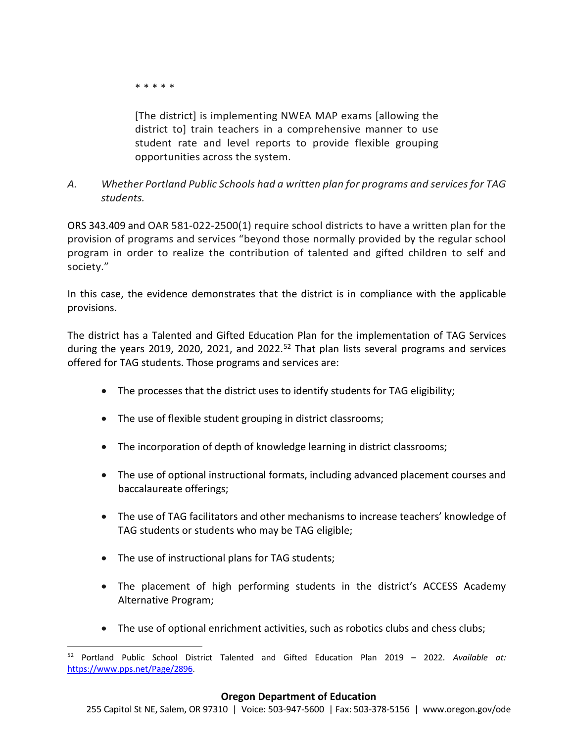\* \* \* \* \*

[The district] is implementing NWEA MAP exams [allowing the district to] train teachers in a comprehensive manner to use student rate and level reports to provide flexible grouping opportunities across the system.

*A. Whether Portland Public Schools had a written plan for programs and services for TAG students.*

ORS 343.409 and OAR 581-022-2500(1) require school districts to have a written plan for the provision of programs and services "beyond those normally provided by the regular school program in order to realize the contribution of talented and gifted children to self and society."

In this case, the evidence demonstrates that the district is in compliance with the applicable provisions.

The district has a Talented and Gifted Education Plan for the implementation of TAG Services during the years 2019, 2020, 2021, and 2022.<sup>[52](#page-50-0)</sup> That plan lists several programs and services offered for TAG students. Those programs and services are:

- The processes that the district uses to identify students for TAG eligibility;
- The use of flexible student grouping in district classrooms;
- The incorporation of depth of knowledge learning in district classrooms;
- The use of optional instructional formats, including advanced placement courses and baccalaureate offerings;
- The use of TAG facilitators and other mechanisms to increase teachers' knowledge of TAG students or students who may be TAG eligible;
- The use of instructional plans for TAG students;
- The placement of high performing students in the district's ACCESS Academy Alternative Program;
- The use of optional enrichment activities, such as robotics clubs and chess clubs;

<span id="page-50-0"></span> <sup>52</sup> Portland Public School District Talented and Gifted Education Plan 2019 – 2022. *Available at:*  [https://www.pps.net/Page/2896.](https://www.pps.net/Page/2896)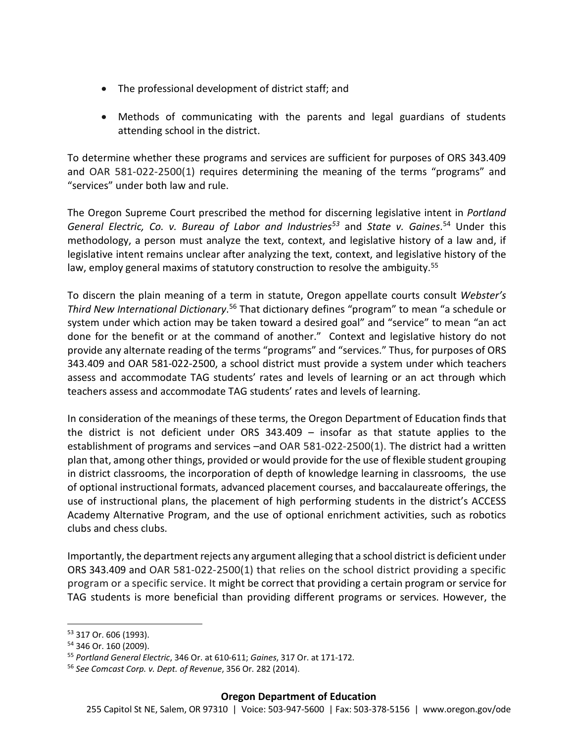- The professional development of district staff; and
- Methods of communicating with the parents and legal guardians of students attending school in the district.

To determine whether these programs and services are sufficient for purposes of ORS 343.409 and OAR 581-022-2500(1) requires determining the meaning of the terms "programs" and "services" under both law and rule.

The Oregon Supreme Court prescribed the method for discerning legislative intent in *Portland General Electric, Co. v. Bureau of Labor and Industrie[s53](#page-51-0)* and *State v. Gaines*. [54](#page-51-1) Under this methodology, a person must analyze the text, context, and legislative history of a law and, if legislative intent remains unclear after analyzing the text, context, and legislative history of the law, employ general maxims of statutory construction to resolve the ambiguity.<sup>[55](#page-51-2)</sup>

To discern the plain meaning of a term in statute, Oregon appellate courts consult *Webster's*  Third New International Dictionary.<sup>[56](#page-51-3)</sup> That dictionary defines "program" to mean "a schedule or system under which action may be taken toward a desired goal" and "service" to mean "an act done for the benefit or at the command of another." Context and legislative history do not provide any alternate reading of the terms "programs" and "services." Thus, for purposes of ORS 343.409 and OAR 581-022-2500, a school district must provide a system under which teachers assess and accommodate TAG students' rates and levels of learning or an act through which teachers assess and accommodate TAG students' rates and levels of learning.

In consideration of the meanings of these terms, the Oregon Department of Education finds that the district is not deficient under ORS 343.409 – insofar as that statute applies to the establishment of programs and services –and OAR 581-022-2500(1). The district had a written plan that, among other things, provided or would provide for the use of flexible student grouping in district classrooms, the incorporation of depth of knowledge learning in classrooms, the use of optional instructional formats, advanced placement courses, and baccalaureate offerings, the use of instructional plans, the placement of high performing students in the district's ACCESS Academy Alternative Program, and the use of optional enrichment activities, such as robotics clubs and chess clubs.

Importantly, the department rejects any argument alleging that a school district is deficient under ORS 343.409 and OAR 581-022-2500(1) that relies on the school district providing a specific program or a specific service. It might be correct that providing a certain program or service for TAG students is more beneficial than providing different programs or services. However, the

<span id="page-51-0"></span> <sup>53</sup> 317 Or. 606 (1993).

<span id="page-51-1"></span><sup>54</sup> 346 Or. 160 (2009).

<span id="page-51-2"></span><sup>55</sup> *Portland General Electric*, 346 Or. at 610-611; *Gaines*, 317 Or. at 171-172.

<span id="page-51-3"></span><sup>56</sup> *See Comcast Corp. v. Dept. of Revenue*, 356 Or. 282 (2014).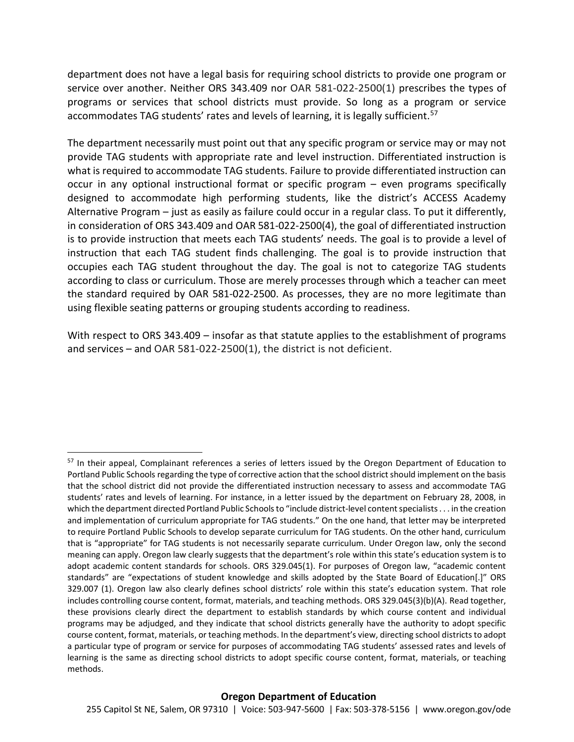department does not have a legal basis for requiring school districts to provide one program or service over another. Neither ORS 343.409 nor OAR 581-022-2500(1) prescribes the types of programs or services that school districts must provide. So long as a program or service accommodates TAG students' rates and levels of learning, it is legally sufficient.<sup>[57](#page-52-0)</sup>

The department necessarily must point out that any specific program or service may or may not provide TAG students with appropriate rate and level instruction. Differentiated instruction is what is required to accommodate TAG students. Failure to provide differentiated instruction can occur in any optional instructional format or specific program – even programs specifically designed to accommodate high performing students, like the district's ACCESS Academy Alternative Program – just as easily as failure could occur in a regular class. To put it differently, in consideration of ORS 343.409 and OAR 581-022-2500(4), the goal of differentiated instruction is to provide instruction that meets each TAG students' needs. The goal is to provide a level of instruction that each TAG student finds challenging. The goal is to provide instruction that occupies each TAG student throughout the day. The goal is not to categorize TAG students according to class or curriculum. Those are merely processes through which a teacher can meet the standard required by OAR 581-022-2500. As processes, they are no more legitimate than using flexible seating patterns or grouping students according to readiness.

With respect to ORS 343.409 – insofar as that statute applies to the establishment of programs and services – and OAR 581-022-2500(1), the district is not deficient.

<span id="page-52-0"></span><sup>&</sup>lt;sup>57</sup> In their appeal, Complainant references a series of letters issued by the Oregon Department of Education to Portland Public Schools regarding the type of corrective action that the school district should implement on the basis that the school district did not provide the differentiated instruction necessary to assess and accommodate TAG students' rates and levels of learning. For instance, in a letter issued by the department on February 28, 2008, in which the department directed Portland Public Schools to "include district-level content specialists . . . in the creation and implementation of curriculum appropriate for TAG students." On the one hand, that letter may be interpreted to require Portland Public Schools to develop separate curriculum for TAG students. On the other hand, curriculum that is "appropriate" for TAG students is not necessarily separate curriculum. Under Oregon law, only the second meaning can apply. Oregon law clearly suggests that the department's role within this state's education system is to adopt academic content standards for schools. ORS 329.045(1). For purposes of Oregon law, "academic content standards" are "expectations of student knowledge and skills adopted by the State Board of Education[.]" ORS 329.007 (1). Oregon law also clearly defines school districts' role within this state's education system. That role includes controlling course content, format, materials, and teaching methods. ORS 329.045(3)(b)(A). Read together, these provisions clearly direct the department to establish standards by which course content and individual programs may be adjudged, and they indicate that school districts generally have the authority to adopt specific course content, format, materials, or teaching methods. In the department's view, directing school districts to adopt a particular type of program or service for purposes of accommodating TAG students' assessed rates and levels of learning is the same as directing school districts to adopt specific course content, format, materials, or teaching methods.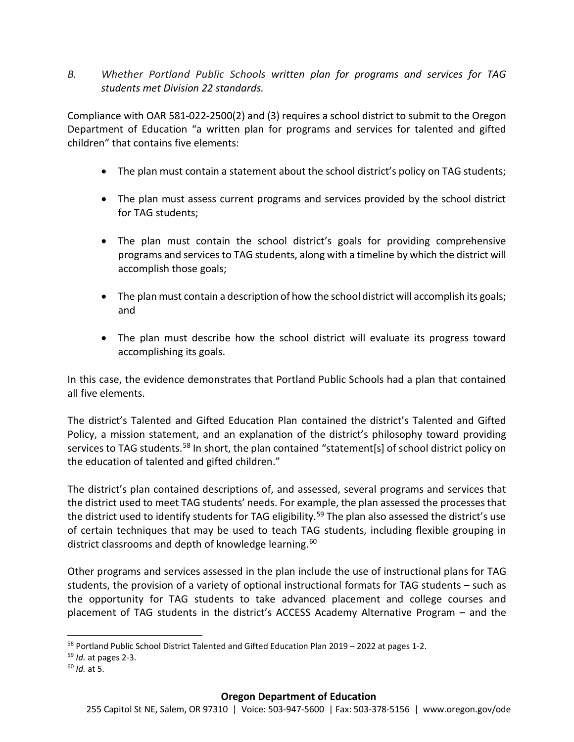*B. Whether Portland Public Schools written plan for programs and services for TAG students met Division 22 standards.*

Compliance with OAR 581-022-2500(2) and (3) requires a school district to submit to the Oregon Department of Education "a written plan for programs and services for talented and gifted children" that contains five elements:

- The plan must contain a statement about the school district's policy on TAG students;
- The plan must assess current programs and services provided by the school district for TAG students;
- The plan must contain the school district's goals for providing comprehensive programs and services to TAG students, along with a timeline by which the district will accomplish those goals;
- The plan must contain a description of how the school district will accomplish its goals; and
- The plan must describe how the school district will evaluate its progress toward accomplishing its goals.

In this case, the evidence demonstrates that Portland Public Schools had a plan that contained all five elements.

The district's Talented and Gifted Education Plan contained the district's Talented and Gifted Policy, a mission statement, and an explanation of the district's philosophy toward providing services to TAG students.<sup>[58](#page-53-0)</sup> In short, the plan contained "statement[s] of school district policy on the education of talented and gifted children."

The district's plan contained descriptions of, and assessed, several programs and services that the district used to meet TAG students' needs. For example, the plan assessed the processes that the district used to identify students for TAG eligibility.<sup>[59](#page-53-1)</sup> The plan also assessed the district's use of certain techniques that may be used to teach TAG students, including flexible grouping in district classrooms and depth of knowledge learning.<sup>[60](#page-53-2)</sup>

Other programs and services assessed in the plan include the use of instructional plans for TAG students, the provision of a variety of optional instructional formats for TAG students – such as the opportunity for TAG students to take advanced placement and college courses and placement of TAG students in the district's ACCESS Academy Alternative Program – and the

<span id="page-53-0"></span><sup>&</sup>lt;sup>58</sup> Portland Public School District Talented and Gifted Education Plan 2019 – 2022 at pages 1-2.

<span id="page-53-1"></span><sup>59</sup> *Id.* at pages 2-3.

<span id="page-53-2"></span><sup>60</sup> *Id.* at 5.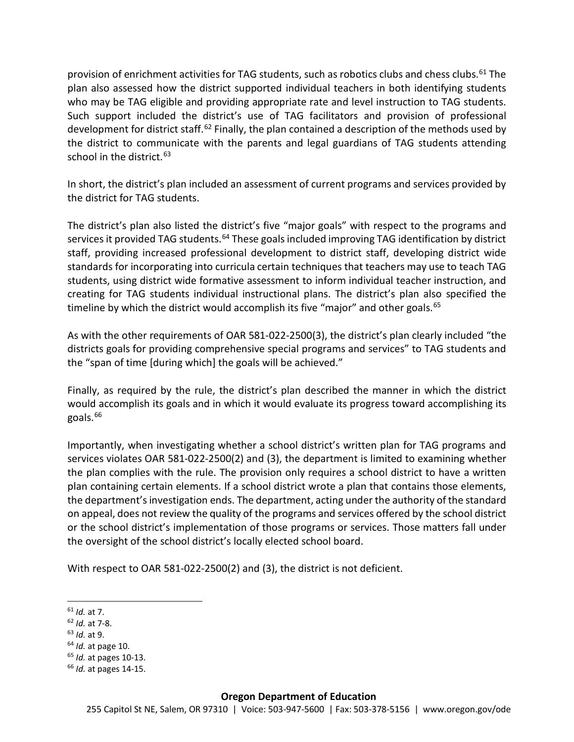provision of enrichment activities for TAG students, such as robotics clubs and chess clubs.<sup>[61](#page-54-0)</sup> The plan also assessed how the district supported individual teachers in both identifying students who may be TAG eligible and providing appropriate rate and level instruction to TAG students. Such support included the district's use of TAG facilitators and provision of professional development for district staff.<sup>[62](#page-54-1)</sup> Finally, the plan contained a description of the methods used by the district to communicate with the parents and legal guardians of TAG students attending school in the district.<sup>[63](#page-54-2)</sup>

In short, the district's plan included an assessment of current programs and services provided by the district for TAG students.

The district's plan also listed the district's five "major goals" with respect to the programs and services it provided TAG students.<sup>[64](#page-54-3)</sup> These goals included improving TAG identification by district staff, providing increased professional development to district staff, developing district wide standards for incorporating into curricula certain techniques that teachers may use to teach TAG students, using district wide formative assessment to inform individual teacher instruction, and creating for TAG students individual instructional plans. The district's plan also specified the timeline by which the district would accomplish its five "major" and other goals.<sup>[65](#page-54-4)</sup>

As with the other requirements of OAR 581-022-2500(3), the district's plan clearly included "the districts goals for providing comprehensive special programs and services" to TAG students and the "span of time [during which] the goals will be achieved."

Finally, as required by the rule, the district's plan described the manner in which the district would accomplish its goals and in which it would evaluate its progress toward accomplishing its goals.<sup>[66](#page-54-5)</sup>

Importantly, when investigating whether a school district's written plan for TAG programs and services violates OAR 581-022-2500(2) and (3), the department is limited to examining whether the plan complies with the rule. The provision only requires a school district to have a written plan containing certain elements. If a school district wrote a plan that contains those elements, the department's investigation ends. The department, acting under the authority of the standard on appeal, does not review the quality of the programs and services offered by the school district or the school district's implementation of those programs or services. Those matters fall under the oversight of the school district's locally elected school board.

With respect to OAR 581-022-2500(2) and (3), the district is not deficient.

- <span id="page-54-1"></span><sup>62</sup> *Id.* at 7-8.
- <span id="page-54-2"></span><sup>63</sup> *Id.* at 9.
- <span id="page-54-3"></span><sup>64</sup> *Id.* at page 10.
- <span id="page-54-4"></span><sup>65</sup> *Id.* at pages 10-13.

<span id="page-54-0"></span> <sup>61</sup> *Id.* at 7.

<span id="page-54-5"></span><sup>66</sup> *Id.* at pages 14-15.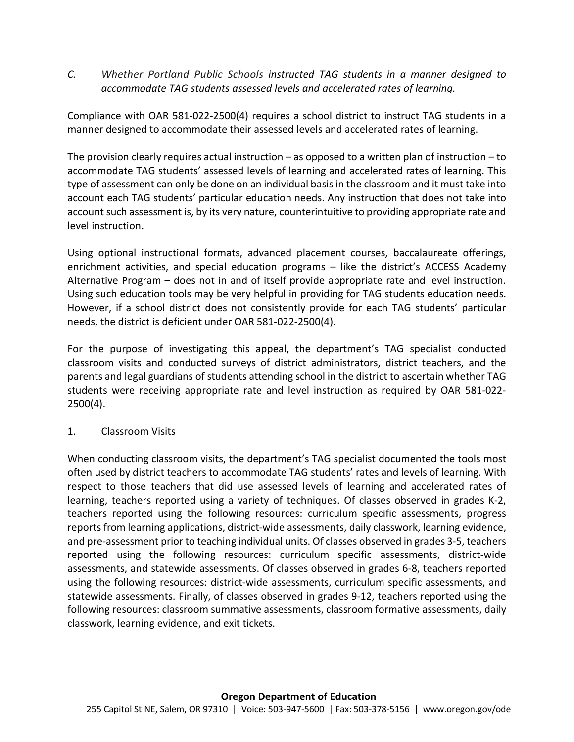*C. Whether Portland Public Schools instructed TAG students in a manner designed to accommodate TAG students assessed levels and accelerated rates of learning.*

Compliance with OAR 581-022-2500(4) requires a school district to instruct TAG students in a manner designed to accommodate their assessed levels and accelerated rates of learning.

The provision clearly requires actual instruction  $-$  as opposed to a written plan of instruction  $-$  to accommodate TAG students' assessed levels of learning and accelerated rates of learning. This type of assessment can only be done on an individual basis in the classroom and it must take into account each TAG students' particular education needs. Any instruction that does not take into account such assessment is, by its very nature, counterintuitive to providing appropriate rate and level instruction.

Using optional instructional formats, advanced placement courses, baccalaureate offerings, enrichment activities, and special education programs – like the district's ACCESS Academy Alternative Program – does not in and of itself provide appropriate rate and level instruction. Using such education tools may be very helpful in providing for TAG students education needs. However, if a school district does not consistently provide for each TAG students' particular needs, the district is deficient under OAR 581-022-2500(4).

For the purpose of investigating this appeal, the department's TAG specialist conducted classroom visits and conducted surveys of district administrators, district teachers, and the parents and legal guardians of students attending school in the district to ascertain whether TAG students were receiving appropriate rate and level instruction as required by OAR 581-022- 2500(4).

## 1. Classroom Visits

When conducting classroom visits, the department's TAG specialist documented the tools most often used by district teachers to accommodate TAG students' rates and levels of learning. With respect to those teachers that did use assessed levels of learning and accelerated rates of learning, teachers reported using a variety of techniques. Of classes observed in grades K-2, teachers reported using the following resources: curriculum specific assessments, progress reports from learning applications, district-wide assessments, daily classwork, learning evidence, and pre-assessment prior to teaching individual units. Of classes observed in grades 3-5, teachers reported using the following resources: curriculum specific assessments, district-wide assessments, and statewide assessments. Of classes observed in grades 6-8, teachers reported using the following resources: district-wide assessments, curriculum specific assessments, and statewide assessments. Finally, of classes observed in grades 9-12, teachers reported using the following resources: classroom summative assessments, classroom formative assessments, daily classwork, learning evidence, and exit tickets.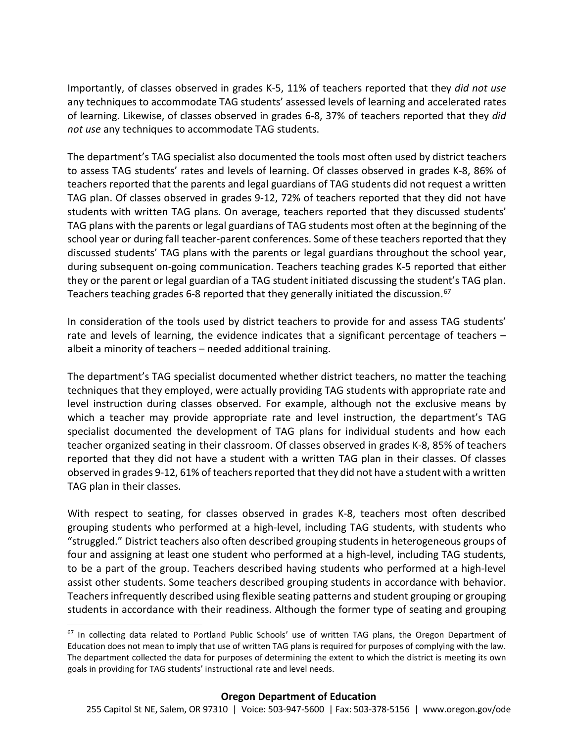Importantly, of classes observed in grades K-5, 11% of teachers reported that they *did not use* any techniques to accommodate TAG students' assessed levels of learning and accelerated rates of learning. Likewise, of classes observed in grades 6-8, 37% of teachers reported that they *did not use* any techniques to accommodate TAG students.

The department's TAG specialist also documented the tools most often used by district teachers to assess TAG students' rates and levels of learning. Of classes observed in grades K-8, 86% of teachers reported that the parents and legal guardians of TAG students did not request a written TAG plan. Of classes observed in grades 9-12, 72% of teachers reported that they did not have students with written TAG plans. On average, teachers reported that they discussed students' TAG plans with the parents or legal guardians of TAG students most often at the beginning of the school year or during fall teacher-parent conferences. Some of these teachers reported that they discussed students' TAG plans with the parents or legal guardians throughout the school year, during subsequent on-going communication. Teachers teaching grades K-5 reported that either they or the parent or legal guardian of a TAG student initiated discussing the student's TAG plan. Teachers teaching grades 6-8 reported that they generally initiated the discussion.  $67$ 

In consideration of the tools used by district teachers to provide for and assess TAG students' rate and levels of learning, the evidence indicates that a significant percentage of teachers – albeit a minority of teachers – needed additional training.

The department's TAG specialist documented whether district teachers, no matter the teaching techniques that they employed, were actually providing TAG students with appropriate rate and level instruction during classes observed. For example, although not the exclusive means by which a teacher may provide appropriate rate and level instruction, the department's TAG specialist documented the development of TAG plans for individual students and how each teacher organized seating in their classroom. Of classes observed in grades K-8, 85% of teachers reported that they did not have a student with a written TAG plan in their classes. Of classes observed in grades 9-12, 61% of teachers reported that they did not have a student with a written TAG plan in their classes.

With respect to seating, for classes observed in grades K-8, teachers most often described grouping students who performed at a high-level, including TAG students, with students who "struggled." District teachers also often described grouping students in heterogeneous groups of four and assigning at least one student who performed at a high-level, including TAG students, to be a part of the group. Teachers described having students who performed at a high-level assist other students. Some teachers described grouping students in accordance with behavior. Teachers infrequently described using flexible seating patterns and student grouping or grouping students in accordance with their readiness. Although the former type of seating and grouping

<span id="page-56-0"></span><sup>&</sup>lt;sup>67</sup> In collecting data related to Portland Public Schools' use of written TAG plans, the Oregon Department of Education does not mean to imply that use of written TAG plans is required for purposes of complying with the law. The department collected the data for purposes of determining the extent to which the district is meeting its own goals in providing for TAG students' instructional rate and level needs.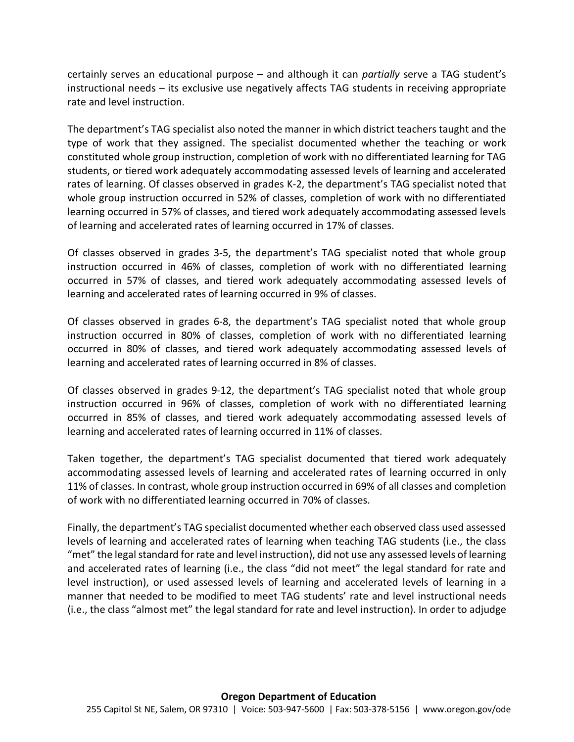certainly serves an educational purpose – and although it can *partially* serve a TAG student's instructional needs – its exclusive use negatively affects TAG students in receiving appropriate rate and level instruction.

The department's TAG specialist also noted the manner in which district teachers taught and the type of work that they assigned. The specialist documented whether the teaching or work constituted whole group instruction, completion of work with no differentiated learning for TAG students, or tiered work adequately accommodating assessed levels of learning and accelerated rates of learning. Of classes observed in grades K-2, the department's TAG specialist noted that whole group instruction occurred in 52% of classes, completion of work with no differentiated learning occurred in 57% of classes, and tiered work adequately accommodating assessed levels of learning and accelerated rates of learning occurred in 17% of classes.

Of classes observed in grades 3-5, the department's TAG specialist noted that whole group instruction occurred in 46% of classes, completion of work with no differentiated learning occurred in 57% of classes, and tiered work adequately accommodating assessed levels of learning and accelerated rates of learning occurred in 9% of classes.

Of classes observed in grades 6-8, the department's TAG specialist noted that whole group instruction occurred in 80% of classes, completion of work with no differentiated learning occurred in 80% of classes, and tiered work adequately accommodating assessed levels of learning and accelerated rates of learning occurred in 8% of classes.

Of classes observed in grades 9-12, the department's TAG specialist noted that whole group instruction occurred in 96% of classes, completion of work with no differentiated learning occurred in 85% of classes, and tiered work adequately accommodating assessed levels of learning and accelerated rates of learning occurred in 11% of classes.

Taken together, the department's TAG specialist documented that tiered work adequately accommodating assessed levels of learning and accelerated rates of learning occurred in only 11% of classes. In contrast, whole group instruction occurred in 69% of all classes and completion of work with no differentiated learning occurred in 70% of classes.

Finally, the department's TAG specialist documented whether each observed class used assessed levels of learning and accelerated rates of learning when teaching TAG students (i.e., the class "met" the legal standard for rate and level instruction), did not use any assessed levels of learning and accelerated rates of learning (i.e., the class "did not meet" the legal standard for rate and level instruction), or used assessed levels of learning and accelerated levels of learning in a manner that needed to be modified to meet TAG students' rate and level instructional needs (i.e., the class "almost met" the legal standard for rate and level instruction). In order to adjudge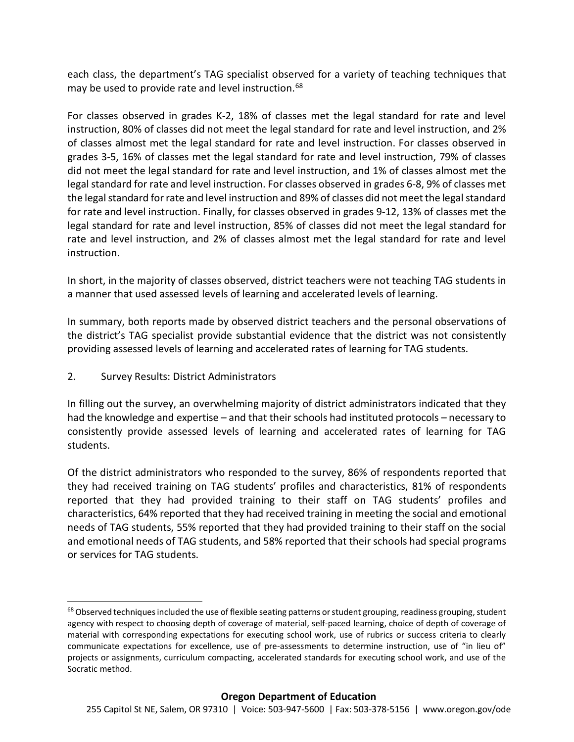each class, the department's TAG specialist observed for a variety of teaching techniques that may be used to provide rate and level instruction. [68](#page-58-0)

For classes observed in grades K-2, 18% of classes met the legal standard for rate and level instruction, 80% of classes did not meet the legal standard for rate and level instruction, and 2% of classes almost met the legal standard for rate and level instruction. For classes observed in grades 3-5, 16% of classes met the legal standard for rate and level instruction, 79% of classes did not meet the legal standard for rate and level instruction, and 1% of classes almost met the legal standard for rate and level instruction. For classes observed in grades 6-8, 9% of classes met the legal standard for rate and level instruction and 89% of classes did not meet the legal standard for rate and level instruction. Finally, for classes observed in grades 9-12, 13% of classes met the legal standard for rate and level instruction, 85% of classes did not meet the legal standard for rate and level instruction, and 2% of classes almost met the legal standard for rate and level instruction.

In short, in the majority of classes observed, district teachers were not teaching TAG students in a manner that used assessed levels of learning and accelerated levels of learning.

In summary, both reports made by observed district teachers and the personal observations of the district's TAG specialist provide substantial evidence that the district was not consistently providing assessed levels of learning and accelerated rates of learning for TAG students.

2. Survey Results: District Administrators

In filling out the survey, an overwhelming majority of district administrators indicated that they had the knowledge and expertise – and that their schools had instituted protocols – necessary to consistently provide assessed levels of learning and accelerated rates of learning for TAG students.

Of the district administrators who responded to the survey, 86% of respondents reported that they had received training on TAG students' profiles and characteristics, 81% of respondents reported that they had provided training to their staff on TAG students' profiles and characteristics, 64% reported that they had received training in meeting the social and emotional needs of TAG students, 55% reported that they had provided training to their staff on the social and emotional needs of TAG students, and 58% reported that their schools had special programs or services for TAG students.

<span id="page-58-0"></span><sup>&</sup>lt;sup>68</sup> Observed techniques included the use of flexible seating patterns or student grouping, readiness grouping, student agency with respect to choosing depth of coverage of material, self-paced learning, choice of depth of coverage of material with corresponding expectations for executing school work, use of rubrics or success criteria to clearly communicate expectations for excellence, use of pre-assessments to determine instruction, use of "in lieu of" projects or assignments, curriculum compacting, accelerated standards for executing school work, and use of the Socratic method.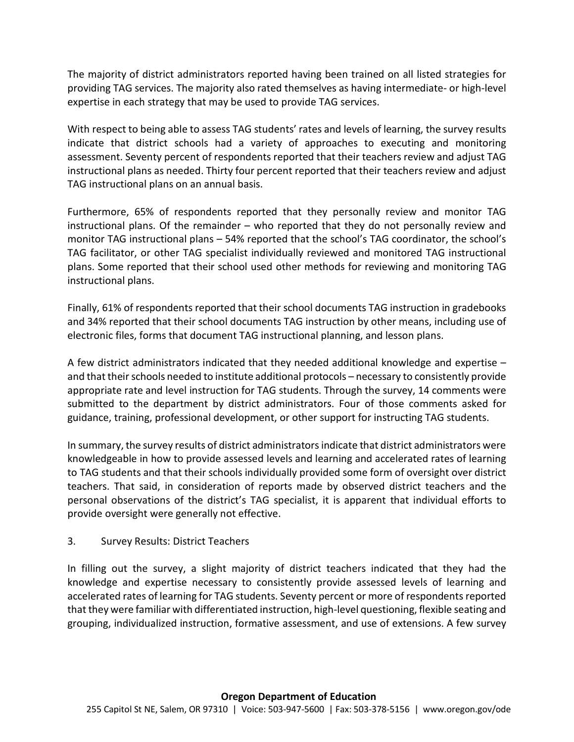The majority of district administrators reported having been trained on all listed strategies for providing TAG services. The majority also rated themselves as having intermediate- or high-level expertise in each strategy that may be used to provide TAG services.

With respect to being able to assess TAG students' rates and levels of learning, the survey results indicate that district schools had a variety of approaches to executing and monitoring assessment. Seventy percent of respondents reported that their teachers review and adjust TAG instructional plans as needed. Thirty four percent reported that their teachers review and adjust TAG instructional plans on an annual basis.

Furthermore, 65% of respondents reported that they personally review and monitor TAG instructional plans. Of the remainder – who reported that they do not personally review and monitor TAG instructional plans – 54% reported that the school's TAG coordinator, the school's TAG facilitator, or other TAG specialist individually reviewed and monitored TAG instructional plans. Some reported that their school used other methods for reviewing and monitoring TAG instructional plans.

Finally, 61% of respondents reported that their school documents TAG instruction in gradebooks and 34% reported that their school documents TAG instruction by other means, including use of electronic files, forms that document TAG instructional planning, and lesson plans.

A few district administrators indicated that they needed additional knowledge and expertise – and that their schools needed to institute additional protocols – necessary to consistently provide appropriate rate and level instruction for TAG students. Through the survey, 14 comments were submitted to the department by district administrators. Four of those comments asked for guidance, training, professional development, or other support for instructing TAG students.

In summary, the survey results of district administrators indicate that district administrators were knowledgeable in how to provide assessed levels and learning and accelerated rates of learning to TAG students and that their schools individually provided some form of oversight over district teachers. That said, in consideration of reports made by observed district teachers and the personal observations of the district's TAG specialist, it is apparent that individual efforts to provide oversight were generally not effective.

## 3. Survey Results: District Teachers

In filling out the survey, a slight majority of district teachers indicated that they had the knowledge and expertise necessary to consistently provide assessed levels of learning and accelerated rates of learning for TAG students. Seventy percent or more of respondents reported that they were familiar with differentiated instruction, high-level questioning, flexible seating and grouping, individualized instruction, formative assessment, and use of extensions. A few survey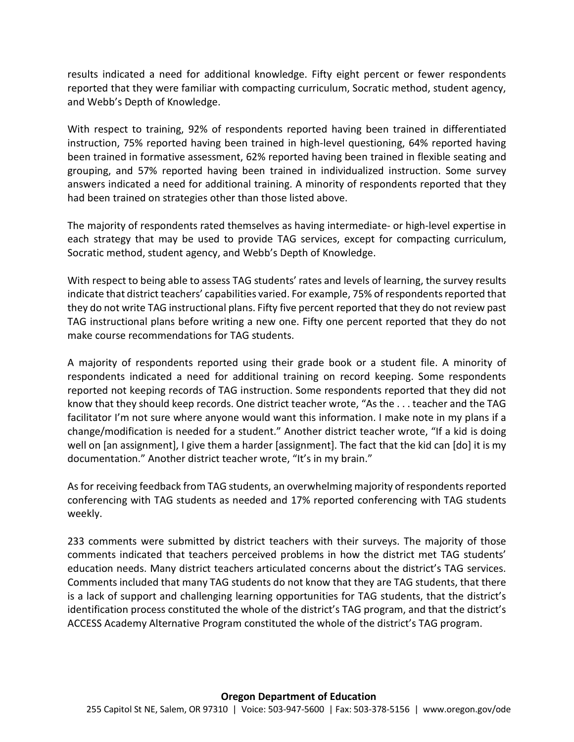results indicated a need for additional knowledge. Fifty eight percent or fewer respondents reported that they were familiar with compacting curriculum, Socratic method, student agency, and Webb's Depth of Knowledge.

With respect to training, 92% of respondents reported having been trained in differentiated instruction, 75% reported having been trained in high-level questioning, 64% reported having been trained in formative assessment, 62% reported having been trained in flexible seating and grouping, and 57% reported having been trained in individualized instruction. Some survey answers indicated a need for additional training. A minority of respondents reported that they had been trained on strategies other than those listed above.

The majority of respondents rated themselves as having intermediate- or high-level expertise in each strategy that may be used to provide TAG services, except for compacting curriculum, Socratic method, student agency, and Webb's Depth of Knowledge.

With respect to being able to assess TAG students' rates and levels of learning, the survey results indicate that district teachers' capabilities varied. For example, 75% of respondents reported that they do not write TAG instructional plans. Fifty five percent reported that they do not review past TAG instructional plans before writing a new one. Fifty one percent reported that they do not make course recommendations for TAG students.

A majority of respondents reported using their grade book or a student file. A minority of respondents indicated a need for additional training on record keeping. Some respondents reported not keeping records of TAG instruction. Some respondents reported that they did not know that they should keep records. One district teacher wrote, "As the . . . teacher and the TAG facilitator I'm not sure where anyone would want this information. I make note in my plans if a change/modification is needed for a student." Another district teacher wrote, "If a kid is doing well on [an assignment], I give them a harder [assignment]. The fact that the kid can [do] it is my documentation." Another district teacher wrote, "It's in my brain."

As for receiving feedback from TAG students, an overwhelming majority of respondents reported conferencing with TAG students as needed and 17% reported conferencing with TAG students weekly.

233 comments were submitted by district teachers with their surveys. The majority of those comments indicated that teachers perceived problems in how the district met TAG students' education needs. Many district teachers articulated concerns about the district's TAG services. Comments included that many TAG students do not know that they are TAG students, that there is a lack of support and challenging learning opportunities for TAG students, that the district's identification process constituted the whole of the district's TAG program, and that the district's ACCESS Academy Alternative Program constituted the whole of the district's TAG program.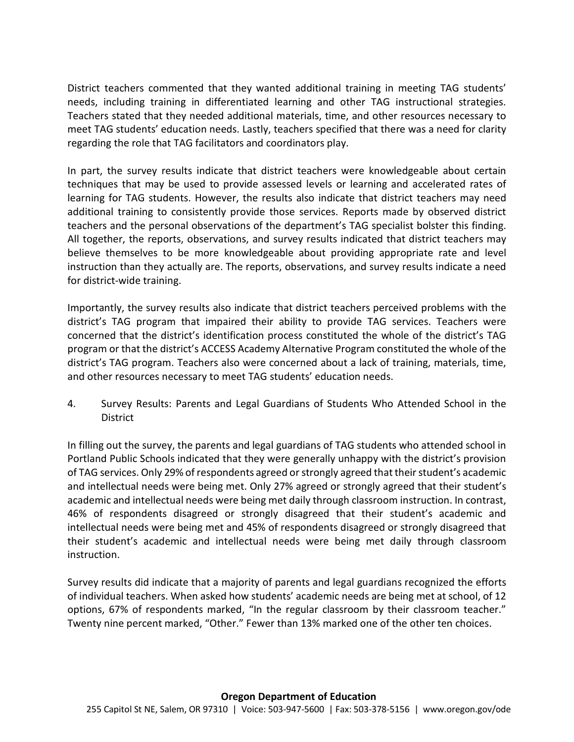District teachers commented that they wanted additional training in meeting TAG students' needs, including training in differentiated learning and other TAG instructional strategies. Teachers stated that they needed additional materials, time, and other resources necessary to meet TAG students' education needs. Lastly, teachers specified that there was a need for clarity regarding the role that TAG facilitators and coordinators play.

In part, the survey results indicate that district teachers were knowledgeable about certain techniques that may be used to provide assessed levels or learning and accelerated rates of learning for TAG students. However, the results also indicate that district teachers may need additional training to consistently provide those services. Reports made by observed district teachers and the personal observations of the department's TAG specialist bolster this finding. All together, the reports, observations, and survey results indicated that district teachers may believe themselves to be more knowledgeable about providing appropriate rate and level instruction than they actually are. The reports, observations, and survey results indicate a need for district-wide training.

Importantly, the survey results also indicate that district teachers perceived problems with the district's TAG program that impaired their ability to provide TAG services. Teachers were concerned that the district's identification process constituted the whole of the district's TAG program or that the district's ACCESS Academy Alternative Program constituted the whole of the district's TAG program. Teachers also were concerned about a lack of training, materials, time, and other resources necessary to meet TAG students' education needs.

4. Survey Results: Parents and Legal Guardians of Students Who Attended School in the District

In filling out the survey, the parents and legal guardians of TAG students who attended school in Portland Public Schools indicated that they were generally unhappy with the district's provision of TAG services. Only 29% of respondents agreed or strongly agreed that their student's academic and intellectual needs were being met. Only 27% agreed or strongly agreed that their student's academic and intellectual needs were being met daily through classroom instruction. In contrast, 46% of respondents disagreed or strongly disagreed that their student's academic and intellectual needs were being met and 45% of respondents disagreed or strongly disagreed that their student's academic and intellectual needs were being met daily through classroom instruction.

Survey results did indicate that a majority of parents and legal guardians recognized the efforts of individual teachers. When asked how students' academic needs are being met at school, of 12 options, 67% of respondents marked, "In the regular classroom by their classroom teacher." Twenty nine percent marked, "Other." Fewer than 13% marked one of the other ten choices.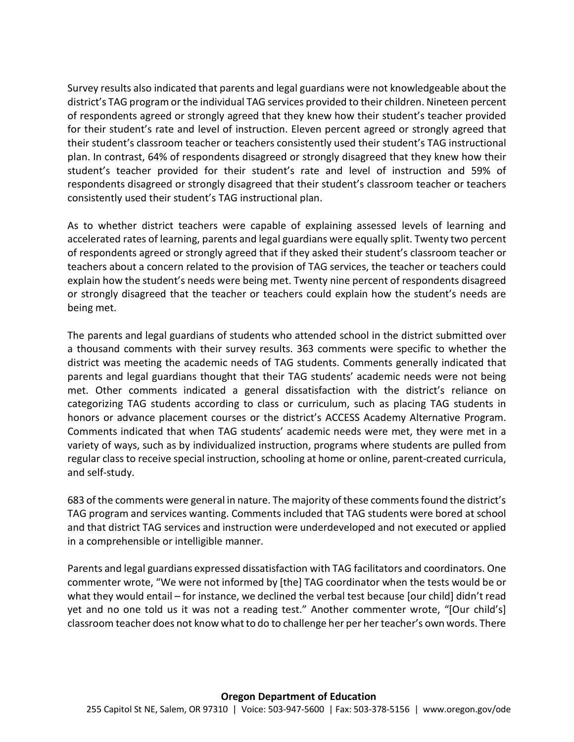Survey results also indicated that parents and legal guardians were not knowledgeable about the district's TAG program or the individual TAG services provided to their children. Nineteen percent of respondents agreed or strongly agreed that they knew how their student's teacher provided for their student's rate and level of instruction. Eleven percent agreed or strongly agreed that their student's classroom teacher or teachers consistently used their student's TAG instructional plan. In contrast, 64% of respondents disagreed or strongly disagreed that they knew how their student's teacher provided for their student's rate and level of instruction and 59% of respondents disagreed or strongly disagreed that their student's classroom teacher or teachers consistently used their student's TAG instructional plan.

As to whether district teachers were capable of explaining assessed levels of learning and accelerated rates of learning, parents and legal guardians were equally split. Twenty two percent of respondents agreed or strongly agreed that if they asked their student's classroom teacher or teachers about a concern related to the provision of TAG services, the teacher or teachers could explain how the student's needs were being met. Twenty nine percent of respondents disagreed or strongly disagreed that the teacher or teachers could explain how the student's needs are being met.

The parents and legal guardians of students who attended school in the district submitted over a thousand comments with their survey results. 363 comments were specific to whether the district was meeting the academic needs of TAG students. Comments generally indicated that parents and legal guardians thought that their TAG students' academic needs were not being met. Other comments indicated a general dissatisfaction with the district's reliance on categorizing TAG students according to class or curriculum, such as placing TAG students in honors or advance placement courses or the district's ACCESS Academy Alternative Program. Comments indicated that when TAG students' academic needs were met, they were met in a variety of ways, such as by individualized instruction, programs where students are pulled from regular class to receive special instruction, schooling at home or online, parent-created curricula, and self-study.

683 of the comments were general in nature. The majority of these comments found the district's TAG program and services wanting. Comments included that TAG students were bored at school and that district TAG services and instruction were underdeveloped and not executed or applied in a comprehensible or intelligible manner.

Parents and legal guardians expressed dissatisfaction with TAG facilitators and coordinators. One commenter wrote, "We were not informed by [the] TAG coordinator when the tests would be or what they would entail – for instance, we declined the verbal test because [our child] didn't read yet and no one told us it was not a reading test." Another commenter wrote, "[Our child's] classroom teacher does not know what to do to challenge her per her teacher's own words. There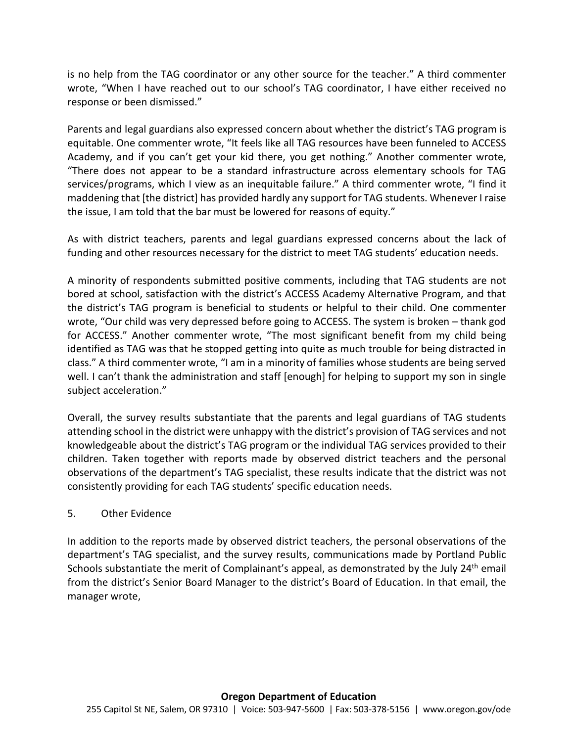is no help from the TAG coordinator or any other source for the teacher." A third commenter wrote, "When I have reached out to our school's TAG coordinator, I have either received no response or been dismissed."

Parents and legal guardians also expressed concern about whether the district's TAG program is equitable. One commenter wrote, "It feels like all TAG resources have been funneled to ACCESS Academy, and if you can't get your kid there, you get nothing." Another commenter wrote, "There does not appear to be a standard infrastructure across elementary schools for TAG services/programs, which I view as an inequitable failure." A third commenter wrote, "I find it maddening that [the district] has provided hardly any support for TAG students. Whenever I raise the issue, I am told that the bar must be lowered for reasons of equity."

As with district teachers, parents and legal guardians expressed concerns about the lack of funding and other resources necessary for the district to meet TAG students' education needs.

A minority of respondents submitted positive comments, including that TAG students are not bored at school, satisfaction with the district's ACCESS Academy Alternative Program, and that the district's TAG program is beneficial to students or helpful to their child. One commenter wrote, "Our child was very depressed before going to ACCESS. The system is broken – thank god for ACCESS." Another commenter wrote, "The most significant benefit from my child being identified as TAG was that he stopped getting into quite as much trouble for being distracted in class." A third commenter wrote, "I am in a minority of families whose students are being served well. I can't thank the administration and staff [enough] for helping to support my son in single subject acceleration."

Overall, the survey results substantiate that the parents and legal guardians of TAG students attending school in the district were unhappy with the district's provision of TAG services and not knowledgeable about the district's TAG program or the individual TAG services provided to their children. Taken together with reports made by observed district teachers and the personal observations of the department's TAG specialist, these results indicate that the district was not consistently providing for each TAG students' specific education needs.

## 5. Other Evidence

In addition to the reports made by observed district teachers, the personal observations of the department's TAG specialist, and the survey results, communications made by Portland Public Schools substantiate the merit of Complainant's appeal, as demonstrated by the July 24<sup>th</sup> email from the district's Senior Board Manager to the district's Board of Education. In that email, the manager wrote,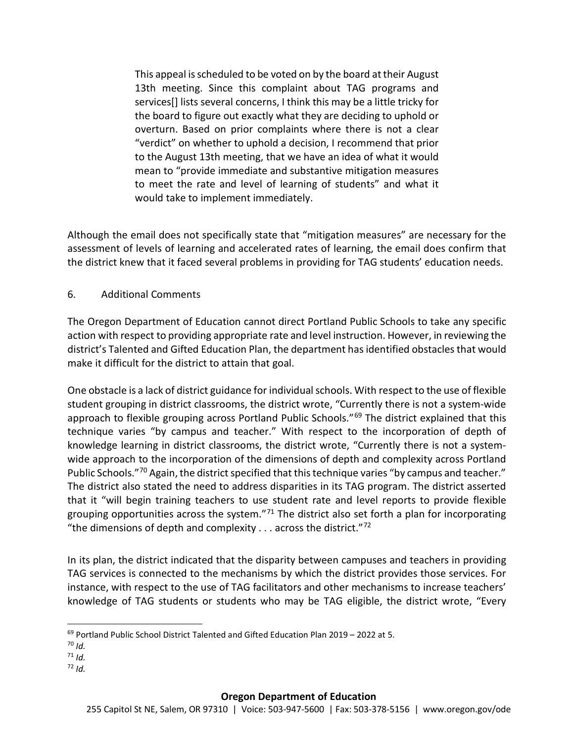This appeal is scheduled to be voted on by the board at their August 13th meeting. Since this complaint about TAG programs and services[] lists several concerns, I think this may be a little tricky for the board to figure out exactly what they are deciding to uphold or overturn. Based on prior complaints where there is not a clear "verdict" on whether to uphold a decision, I recommend that prior to the August 13th meeting, that we have an idea of what it would mean to "provide immediate and substantive mitigation measures to meet the rate and level of learning of students" and what it would take to implement immediately.

Although the email does not specifically state that "mitigation measures" are necessary for the assessment of levels of learning and accelerated rates of learning, the email does confirm that the district knew that it faced several problems in providing for TAG students' education needs.

## 6. Additional Comments

The Oregon Department of Education cannot direct Portland Public Schools to take any specific action with respect to providing appropriate rate and level instruction. However, in reviewing the district's Talented and Gifted Education Plan, the department has identified obstacles that would make it difficult for the district to attain that goal.

One obstacle is a lack of district guidance for individual schools. With respect to the use of flexible student grouping in district classrooms, the district wrote, "Currently there is not a system-wide approach to flexible grouping across Portland Public Schools."<sup>[69](#page-64-0)</sup> The district explained that this technique varies "by campus and teacher." With respect to the incorporation of depth of knowledge learning in district classrooms, the district wrote, "Currently there is not a systemwide approach to the incorporation of the dimensions of depth and complexity across Portland Public Schools."<sup>[70](#page-64-1)</sup> Again, the district specified that this technique varies "by campus and teacher." The district also stated the need to address disparities in its TAG program. The district asserted that it "will begin training teachers to use student rate and level reports to provide flexible grouping opportunities across the system."<sup>[71](#page-64-2)</sup> The district also set forth a plan for incorporating "the dimensions of depth and complexity  $\ldots$  across the district."<sup>[72](#page-64-3)</sup>

In its plan, the district indicated that the disparity between campuses and teachers in providing TAG services is connected to the mechanisms by which the district provides those services. For instance, with respect to the use of TAG facilitators and other mechanisms to increase teachers' knowledge of TAG students or students who may be TAG eligible, the district wrote, "Every

<span id="page-64-3"></span> $72$  *Id.* 

<span id="page-64-0"></span><sup>&</sup>lt;sup>69</sup> Portland Public School District Talented and Gifted Education Plan 2019 - 2022 at 5.

<span id="page-64-1"></span><sup>70</sup> *Id.*

<span id="page-64-2"></span> $71$  *Id*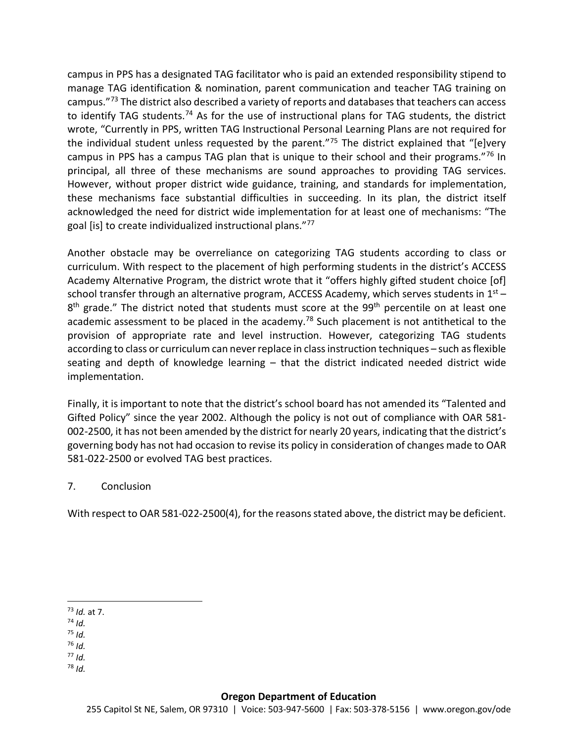campus in PPS has a designated TAG facilitator who is paid an extended responsibility stipend to manage TAG identification & nomination, parent communication and teacher TAG training on campus."<sup>[73](#page-65-0)</sup> The district also described a variety of reports and databases that teachers can access to identify TAG students.<sup>[74](#page-65-1)</sup> As for the use of instructional plans for TAG students, the district wrote, "Currently in PPS, written TAG Instructional Personal Learning Plans are not required for the individual student unless requested by the parent."<sup>[75](#page-65-2)</sup> The district explained that "[e]very campus in PPS has a campus TAG plan that is unique to their school and their programs."<sup>[76](#page-65-3)</sup> In principal, all three of these mechanisms are sound approaches to providing TAG services. However, without proper district wide guidance, training, and standards for implementation, these mechanisms face substantial difficulties in succeeding. In its plan, the district itself acknowledged the need for district wide implementation for at least one of mechanisms: "The goal [is] to create individualized instructional plans."[77](#page-65-4)

Another obstacle may be overreliance on categorizing TAG students according to class or curriculum. With respect to the placement of high performing students in the district's ACCESS Academy Alternative Program, the district wrote that it "offers highly gifted student choice [of] school transfer through an alternative program, ACCESS Academy, which serves students in  $1<sup>st</sup>$  – 8<sup>th</sup> grade." The district noted that students must score at the 99<sup>th</sup> percentile on at least one academic assessment to be placed in the academy.<sup>78</sup> Such placement is not antithetical to the provision of appropriate rate and level instruction. However, categorizing TAG students according to class or curriculum can never replace in class instruction techniques – such as flexible seating and depth of knowledge learning – that the district indicated needed district wide implementation.

Finally, it is important to note that the district's school board has not amended its "Talented and Gifted Policy" since the year 2002. Although the policy is not out of compliance with OAR 581- 002-2500, it has not been amended by the district for nearly 20 years, indicating that the district's governing body has not had occasion to revise its policy in consideration of changes made to OAR 581-022-2500 or evolved TAG best practices.

## 7. Conclusion

With respect to OAR 581-022-2500(4), for the reasons stated above, the district may be deficient.

- <span id="page-65-1"></span><sup>74</sup> *Id.*
- <span id="page-65-2"></span><sup>75</sup> *Id.*
- <span id="page-65-3"></span><sup>76</sup> *Id.*
- <span id="page-65-5"></span><span id="page-65-4"></span><sup>77</sup> *Id.*  $78$  *Id.*

<span id="page-65-0"></span> <sup>73</sup> *Id.* at 7.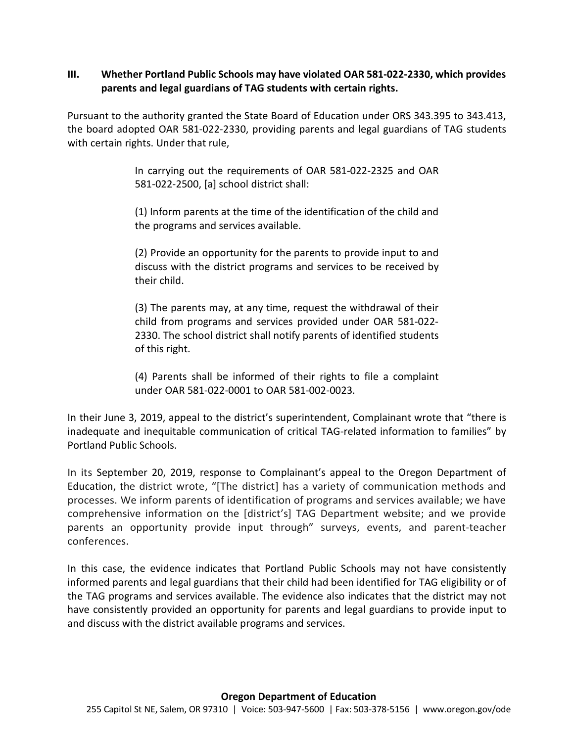#### **III. Whether Portland Public Schools may have violated OAR 581-022-2330, which provides parents and legal guardians of TAG students with certain rights.**

Pursuant to the authority granted the State Board of Education under ORS 343.395 to 343.413, the board adopted OAR 581-022-2330, providing parents and legal guardians of TAG students with certain rights. Under that rule,

> In carrying out the requirements of OAR 581-022-2325 and OAR 581-022-2500, [a] school district shall:

> (1) Inform parents at the time of the identification of the child and the programs and services available.

> (2) Provide an opportunity for the parents to provide input to and discuss with the district programs and services to be received by their child.

> (3) The parents may, at any time, request the withdrawal of their child from programs and services provided under OAR 581-022- 2330. The school district shall notify parents of identified students of this right.

> (4) Parents shall be informed of their rights to file a complaint under OAR 581-022-0001 to OAR 581-002-0023.

In their June 3, 2019, appeal to the district's superintendent, Complainant wrote that "there is inadequate and inequitable communication of critical TAG-related information to families" by Portland Public Schools.

In its September 20, 2019, response to Complainant's appeal to the Oregon Department of Education, the district wrote, "[The district] has a variety of communication methods and processes. We inform parents of identification of programs and services available; we have comprehensive information on the [district's] TAG Department website; and we provide parents an opportunity provide input through" surveys, events, and parent-teacher conferences.

In this case, the evidence indicates that Portland Public Schools may not have consistently informed parents and legal guardians that their child had been identified for TAG eligibility or of the TAG programs and services available. The evidence also indicates that the district may not have consistently provided an opportunity for parents and legal guardians to provide input to and discuss with the district available programs and services.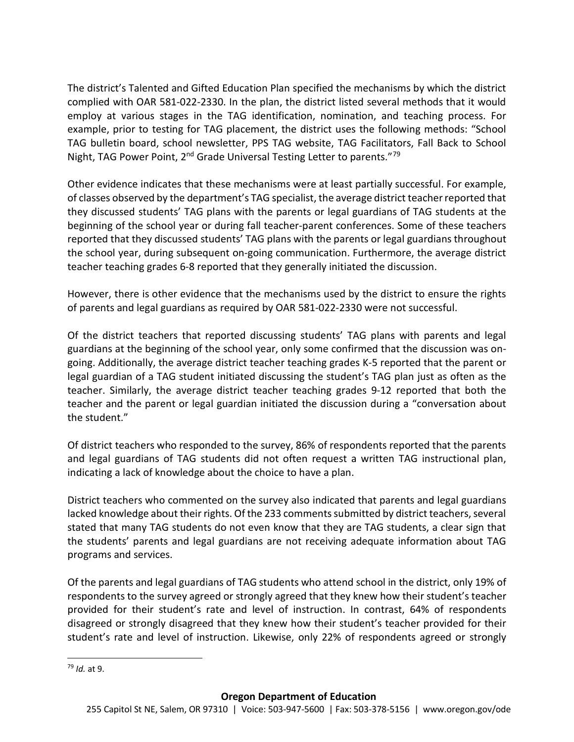The district's Talented and Gifted Education Plan specified the mechanisms by which the district complied with OAR 581-022-2330. In the plan, the district listed several methods that it would employ at various stages in the TAG identification, nomination, and teaching process. For example, prior to testing for TAG placement, the district uses the following methods: "School TAG bulletin board, school newsletter, PPS TAG website, TAG Facilitators, Fall Back to School Night, TAG Power Point, 2<sup>nd</sup> Grade Universal Testing Letter to parents."<sup>[79](#page-67-0)</sup>

Other evidence indicates that these mechanisms were at least partially successful. For example, of classes observed by the department's TAG specialist, the average district teacherreported that they discussed students' TAG plans with the parents or legal guardians of TAG students at the beginning of the school year or during fall teacher-parent conferences. Some of these teachers reported that they discussed students' TAG plans with the parents or legal guardians throughout the school year, during subsequent on-going communication. Furthermore, the average district teacher teaching grades 6-8 reported that they generally initiated the discussion.

However, there is other evidence that the mechanisms used by the district to ensure the rights of parents and legal guardians as required by OAR 581-022-2330 were not successful.

Of the district teachers that reported discussing students' TAG plans with parents and legal guardians at the beginning of the school year, only some confirmed that the discussion was ongoing. Additionally, the average district teacher teaching grades K-5 reported that the parent or legal guardian of a TAG student initiated discussing the student's TAG plan just as often as the teacher. Similarly, the average district teacher teaching grades 9-12 reported that both the teacher and the parent or legal guardian initiated the discussion during a "conversation about the student."

Of district teachers who responded to the survey, 86% of respondents reported that the parents and legal guardians of TAG students did not often request a written TAG instructional plan, indicating a lack of knowledge about the choice to have a plan.

District teachers who commented on the survey also indicated that parents and legal guardians lacked knowledge about their rights. Of the 233 comments submitted by district teachers, several stated that many TAG students do not even know that they are TAG students, a clear sign that the students' parents and legal guardians are not receiving adequate information about TAG programs and services.

Of the parents and legal guardians of TAG students who attend school in the district, only 19% of respondents to the survey agreed or strongly agreed that they knew how their student's teacher provided for their student's rate and level of instruction. In contrast, 64% of respondents disagreed or strongly disagreed that they knew how their student's teacher provided for their student's rate and level of instruction. Likewise, only 22% of respondents agreed or strongly

<span id="page-67-0"></span> <sup>79</sup> *Id.* at 9.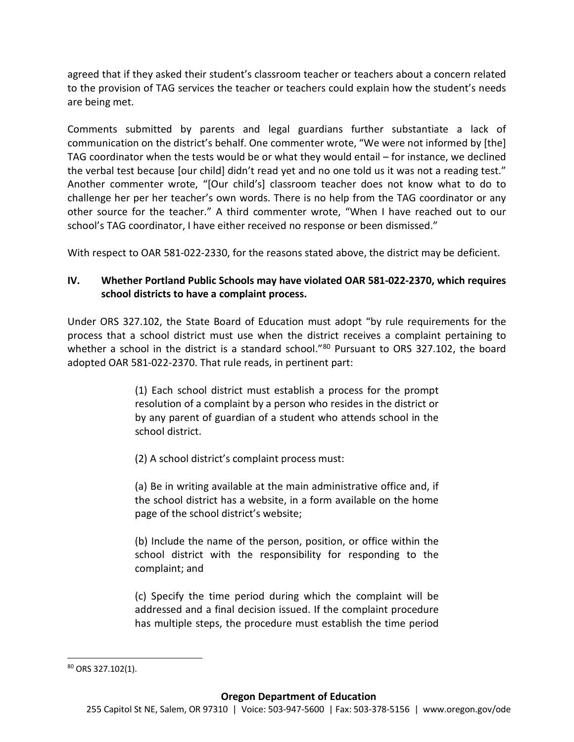agreed that if they asked their student's classroom teacher or teachers about a concern related to the provision of TAG services the teacher or teachers could explain how the student's needs are being met.

Comments submitted by parents and legal guardians further substantiate a lack of communication on the district's behalf. One commenter wrote, "We were not informed by [the] TAG coordinator when the tests would be or what they would entail – for instance, we declined the verbal test because [our child] didn't read yet and no one told us it was not a reading test." Another commenter wrote, "[Our child's] classroom teacher does not know what to do to challenge her per her teacher's own words. There is no help from the TAG coordinator or any other source for the teacher." A third commenter wrote, "When I have reached out to our school's TAG coordinator, I have either received no response or been dismissed."

With respect to OAR 581-022-2330, for the reasons stated above, the district may be deficient.

# **IV. Whether Portland Public Schools may have violated OAR 581-022-2370, which requires school districts to have a complaint process.**

Under ORS 327.102, the State Board of Education must adopt "by rule requirements for the process that a school district must use when the district receives a complaint pertaining to whether a school in the district is a standard school."<sup>[80](#page-68-0)</sup> Pursuant to ORS 327.102, the board adopted OAR 581-022-2370. That rule reads, in pertinent part:

> (1) Each school district must establish a process for the prompt resolution of a complaint by a person who resides in the district or by any parent of guardian of a student who attends school in the school district.

(2) A school district's complaint process must:

(a) Be in writing available at the main administrative office and, if the school district has a website, in a form available on the home page of the school district's website;

(b) Include the name of the person, position, or office within the school district with the responsibility for responding to the complaint; and

(c) Specify the time period during which the complaint will be addressed and a final decision issued. If the complaint procedure has multiple steps, the procedure must establish the time period

<span id="page-68-0"></span> <sup>80</sup> ORS 327.102(1).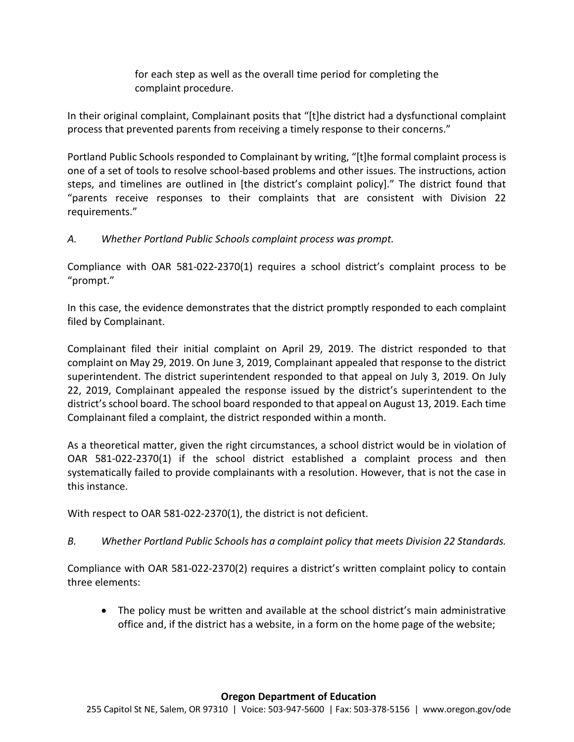for each step as well as the overall time period for completing the complaint procedure.

In their original complaint, Complainant posits that "[t]he district had a dysfunctional complaint process that prevented parents from receiving a timely response to their concerns."

Portland Public Schools responded to Complainant by writing, "[t]he formal complaint process is one of a set of tools to resolve school-based problems and other issues. The instructions, action steps, and timelines are outlined in [the district's complaint policy]." The district found that "parents receive responses to their complaints that are consistent with Division 22 requirements."

*A. Whether Portland Public Schools complaint process was prompt.*

Compliance with OAR 581-022-2370(1) requires a school district's complaint process to be "prompt."

In this case, the evidence demonstrates that the district promptly responded to each complaint filed by Complainant.

Complainant filed their initial complaint on April 29, 2019. The district responded to that complaint on May 29, 2019. On June 3, 2019, Complainant appealed that response to the district superintendent. The district superintendent responded to that appeal on July 3, 2019. On July 22, 2019, Complainant appealed the response issued by the district's superintendent to the district's school board. The school board responded to that appeal on August 13, 2019. Each time Complainant filed a complaint, the district responded within a month.

As a theoretical matter, given the right circumstances, a school district would be in violation of OAR 581-022-2370(1) if the school district established a complaint process and then systematically failed to provide complainants with a resolution. However, that is not the case in this instance.

With respect to OAR 581-022-2370(1), the district is not deficient.

*B. Whether Portland Public Schools has a complaint policy that meets Division 22 Standards.*

Compliance with OAR 581-022-2370(2) requires a district's written complaint policy to contain three elements:

• The policy must be written and available at the school district's main administrative office and, if the district has a website, in a form on the home page of the website;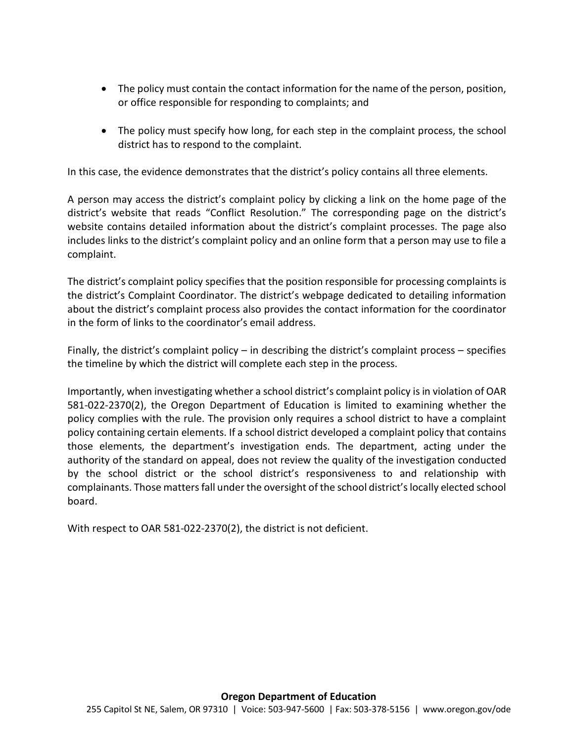- The policy must contain the contact information for the name of the person, position, or office responsible for responding to complaints; and
- The policy must specify how long, for each step in the complaint process, the school district has to respond to the complaint.

In this case, the evidence demonstrates that the district's policy contains all three elements.

A person may access the district's complaint policy by clicking a link on the home page of the district's website that reads "Conflict Resolution." The corresponding page on the district's website contains detailed information about the district's complaint processes. The page also includes links to the district's complaint policy and an online form that a person may use to file a complaint.

The district's complaint policy specifies that the position responsible for processing complaints is the district's Complaint Coordinator. The district's webpage dedicated to detailing information about the district's complaint process also provides the contact information for the coordinator in the form of links to the coordinator's email address.

Finally, the district's complaint policy – in describing the district's complaint process – specifies the timeline by which the district will complete each step in the process.

Importantly, when investigating whether a school district's complaint policy is in violation of OAR 581-022-2370(2), the Oregon Department of Education is limited to examining whether the policy complies with the rule. The provision only requires a school district to have a complaint policy containing certain elements. If a school district developed a complaint policy that contains those elements, the department's investigation ends. The department, acting under the authority of the standard on appeal, does not review the quality of the investigation conducted by the school district or the school district's responsiveness to and relationship with complainants. Those mattersfall under the oversight of the school district's locally elected school board.

With respect to OAR 581-022-2370(2), the district is not deficient.